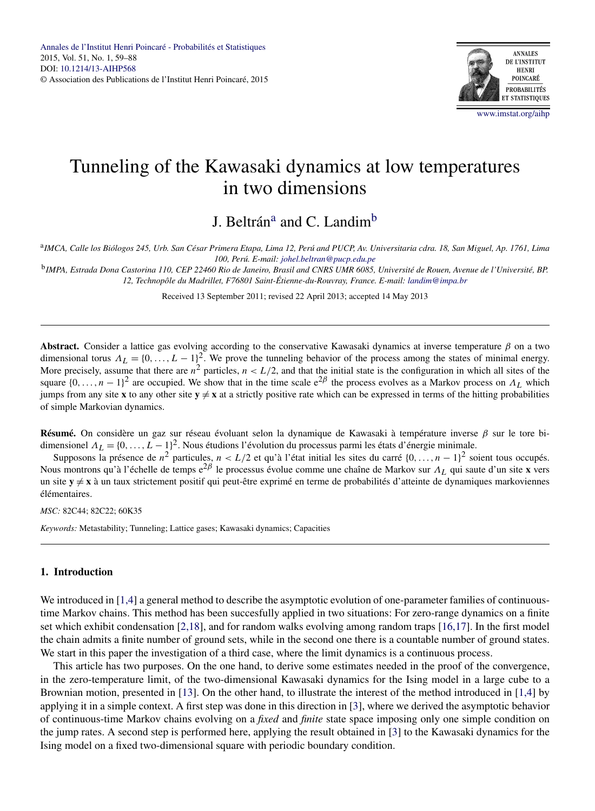

# <span id="page-0-0"></span>Tunneling of the Kawasaki dynamics at low temperatures in two dimensions

J. Beltrán<sup>a</sup> and C. Landim<sup>b</sup>

<sup>a</sup>*IMCA, Calle los Biólogos 245, Urb. San César Primera Etapa, Lima 12, Perú and PUCP, Av. Universitaria cdra. 18, San Miguel, Ap. 1761, Lima 100, Perú. E-mail: [johel.beltran@pucp.edu.pe](mailto:johel.beltran@pucp.edu.pe)*

<sup>b</sup>*IMPA, Estrada Dona Castorina 110, CEP 22460 Rio de Janeiro, Brasil and CNRS UMR 6085, Université de Rouen, Avenue de l'Université, BP. 12, Technopôle du Madrillet, F76801 Saint-Étienne-du-Rouvray, France. E-mail: [landim@impa.br](mailto:landim@impa.br)*

Received 13 September 2011; revised 22 April 2013; accepted 14 May 2013

**Abstract.** Consider a lattice gas evolving according to the conservative Kawasaki dynamics at inverse temperature *β* on a two dimensional torus  $\Lambda_L = \{0, \ldots, L - 1\}^2$ . We prove the tunneling behavior of the process among the states of minimal energy. More precisely, assume that there are  $n^2$  particles,  $n < L/2$ , and that the initial state is the configuration in which all sites of the square  $\{0,\ldots,n-1\}^2$  are occupied. We show that in the time scale  $e^{2\beta}$  the process evolves as a Markov process on  $\Lambda_L$  which jumps from any site **x** to any other site  $y \neq x$  at a strictly positive rate which can be expressed in terms of the hitting probabilities of simple Markovian dynamics.

**Résumé.** On considère un gaz sur réseau évoluant selon la dynamique de Kawasaki à température inverse *β* sur le tore bidimensionel *ΛL* = {0*,...,L* − 1}2. Nous étudions l'évolution du processus parmi les états d'énergie minimale.

Supposons la présence de *n*<sup>2</sup> particules, *n* < *L*/2 et qu'à l'état initial les sites du carré {0, ..., *n* − 1}<sup>2</sup> soient tous occupés. Nous montrons qu'à l'échelle de temps e<sup>2β</sup> le processus évolue comme une chaîne de Markov sur *Λ<sub>L</sub>* qui saute d'un site **x** vers un site  $y \neq x$  à un taux strictement positif qui peut-être exprimé en terme de probabilités d'atteinte de dynamiques markoviennes élémentaires.

### *MSC:* 82C44; 82C22; 60K35

*Keywords:* Metastability; Tunneling; Lattice gases; Kawasaki dynamics; Capacities

### **1. Introduction**

We introduced in [\[1,4\]](#page-29-0) a general method to describe the asymptotic evolution of one-parameter families of continuoustime Markov chains. This method has been succesfully applied in two situations: For zero-range dynamics on a finite set which exhibit condensation [\[2,18\]](#page-29-0), and for random walks evolving among random traps [\[16,17\]](#page-29-0). In the first model the chain admits a finite number of ground sets, while in the second one there is a countable number of ground states. We start in this paper the investigation of a third case, where the limit dynamics is a continuous process.

This article has two purposes. On the one hand, to derive some estimates needed in the proof of the convergence, in the zero-temperature limit, of the two-dimensional Kawasaki dynamics for the Ising model in a large cube to a Brownian motion, presented in [\[13\]](#page-29-0). On the other hand, to illustrate the interest of the method introduced in [\[1,4\]](#page-29-0) by applying it in a simple context. A first step was done in this direction in [\[3\]](#page-29-0), where we derived the asymptotic behavior of continuous-time Markov chains evolving on a *fixed* and *finite* state space imposing only one simple condition on the jump rates. A second step is performed here, applying the result obtained in [\[3\]](#page-29-0) to the Kawasaki dynamics for the Ising model on a fixed two-dimensional square with periodic boundary condition.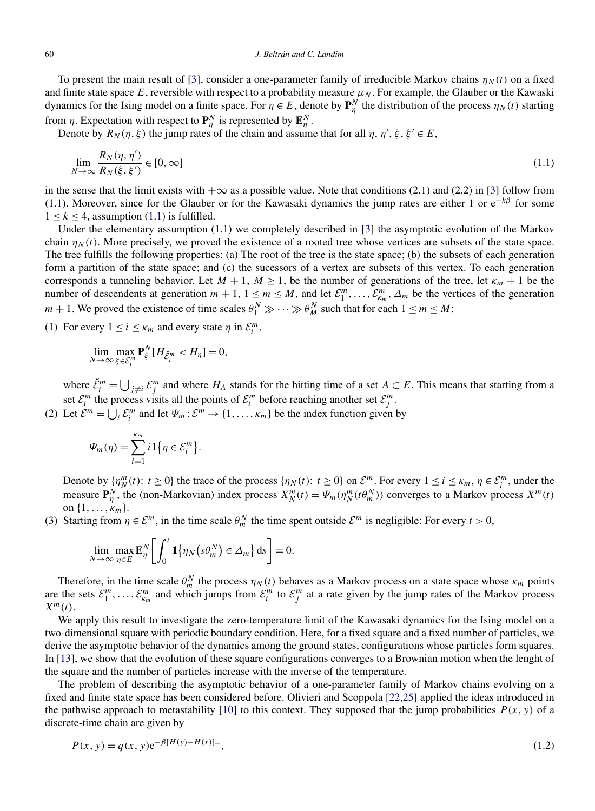<span id="page-1-0"></span>To present the main result of [\[3\]](#page-29-0), consider a one-parameter family of irreducible Markov chains  $\eta_N(t)$  on a fixed and finite state space E, reversible with respect to a probability measure  $\mu_N$ . For example, the Glauber or the Kawaski dynamics for the Ising model on a finite space. For  $\eta \in E$ , denote by  $P^N_\eta$  the distribution of the process  $\eta_N(t)$  starting from  $\eta$ . Expectation with respect to  $\mathbf{P}_{\eta}^{N}$  is represented by  $\mathbf{E}_{\eta}^{N}$ .

Denote by  $R_N(\eta, \xi)$  the jump rates of the chain and assume that for all  $\eta$ ,  $\eta'$ ,  $\xi$ ,  $\xi' \in E$ ,

$$
\lim_{N \to \infty} \frac{R_N(\eta, \eta')}{R_N(\xi, \xi')} \in [0, \infty]
$$
\n(1.1)

in the sense that the limit exists with  $+\infty$  as a possible value. Note that conditions (2.1) and (2.2) in [\[3\]](#page-29-0) follow from (1.1). Moreover, since for the Glauber or for the Kawasaki dynamics the jump rates are either 1 or e−*kβ* for some  $1 < k < 4$ , assumption (1.1) is fulfilled.

Under the elementary assumption (1.1) we completely described in [\[3\]](#page-29-0) the asymptotic evolution of the Markov chain  $\eta_N(t)$ . More precisely, we proved the existence of a rooted tree whose vertices are subsets of the state space. The tree fulfills the following properties: (a) The root of the tree is the state space; (b) the subsets of each generation form a partition of the state space; and (c) the sucessors of a vertex are subsets of this vertex. To each generation corresponds a tunneling behavior. Let  $M + 1$ ,  $M \ge 1$ , be the number of generations of the tree, let  $\kappa_m + 1$  be the number of descendents at generation  $m + 1$ ,  $1 \le m \le M$ , and let  $\mathcal{E}_1^m, \ldots, \mathcal{E}_{\kappa_m}^m, \Delta_m$  be the vertices of the generation *m* + 1. We proved the existence of time scales  $\theta_1^N \gg \cdots \gg \theta_M^N$  such that for each  $1 \le m \le M$ :

(1) For every  $1 \le i \le \kappa_m$  and every state  $\eta$  in  $\mathcal{E}_i^m$ ,

$$
\lim_{N \to \infty} \max_{\xi \in \mathcal{E}_i^m} \mathbf{P}_{\xi}^N [H_{\tilde{\mathcal{E}}_i^m} < H_\eta] = 0,
$$

where  $\check{\mathcal{E}}_i^m = \bigcup_{j \neq i} \mathcal{E}_j^m$  and where  $H_A$  stands for the hitting time of a set  $A \subset E$ . This means that starting from a set  $\mathcal{E}_i^m$  the process visits all the points of  $\mathcal{E}_i^m$  before reaching another set  $\mathcal{E}_j^m$ .

(2) Let  $\mathcal{E}^m = \bigcup_i \mathcal{E}_i^m$  and let  $\Psi_m : \mathcal{E}^m \to \{1, \dots, \kappa_m\}$  be the index function given by

$$
\Psi_m(\eta) = \sum_{i=1}^{\kappa_m} i \mathbf{1} \{ \eta \in \mathcal{E}_i^m \}.
$$

Denote by  $\{\eta_N^m(t): t \ge 0\}$  the trace of the process  $\{\eta_N(t): t \ge 0\}$  on  $\mathcal{E}_n^m$ . For every  $1 \le i \le \kappa_m$ ,  $\eta \in \mathcal{E}_i^m$ , under the measure  $P_{\eta}^N$ , the (non-Markovian) index process  $X_N^m(t) = \Psi_m(\eta_N^m(t\theta_m^N))$  converges to a Markov process  $X^m(t)$ on  $\{1, \ldots, \kappa_m\}$ .

(3) Starting from  $\eta \in \mathcal{E}^m$ , in the time scale  $\theta_m^N$  the time spent outside  $\mathcal{E}^m$  is negligible: For every  $t > 0$ ,

$$
\lim_{N \to \infty} \max_{\eta \in E} \mathbf{E}_{\eta}^N \bigg[ \int_0^t \mathbf{1} \{ \eta_N \big( s \theta_m^N \big) \in \Delta_m \} \, \mathrm{d} s \bigg] = 0.
$$

Therefore, in the time scale  $\theta_m^N$  the process  $\eta_N(t)$  behaves as a Markov process on a state space whose  $\kappa_m$  points are the sets  $\mathcal{E}_1^m, \ldots, \mathcal{E}_{k_m}^m$  and which jumps from  $\mathcal{E}_i^m$  to  $\mathcal{E}_j^m$  at a rate given by the jump rates of the Markov process  $X^m(t)$ .

We apply this result to investigate the zero-temperature limit of the Kawasaki dynamics for the Ising model on a two-dimensional square with periodic boundary condition. Here, for a fixed square and a fixed number of particles, we derive the asymptotic behavior of the dynamics among the ground states, configurations whose particles form squares. In [\[13\]](#page-29-0), we show that the evolution of these square configurations converges to a Brownian motion when the lenght of the square and the number of particles increase with the inverse of the temperature.

The problem of describing the asymptotic behavior of a one-parameter family of Markov chains evolving on a fixed and finite state space has been considered before. Olivieri and Scoppola [\[22,25\]](#page-29-0) applied the ideas introduced in the pathwise approach to metastability [\[10\]](#page-29-0) to this context. They supposed that the jump probabilities  $P(x, y)$  of a discrete-time chain are given by

$$
P(x, y) = q(x, y)e^{-\beta[H(y) - H(x)]_+},
$$
\n(1.2)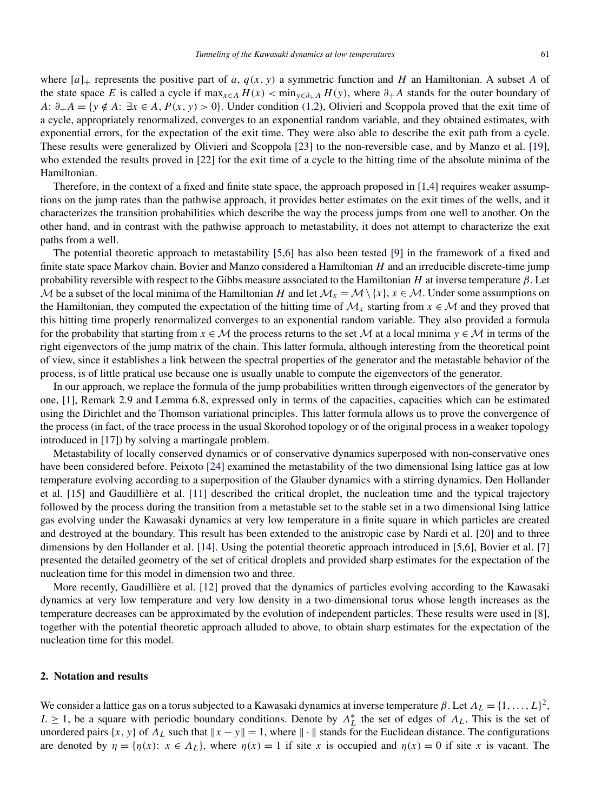where  $[a]_+$  represents the positive part of *a*,  $q(x, y)$  a symmetric function and *H* an Hamiltonian. A subset *A* of the state space *E* is called a cycle if  $\max_{x \in A} H(x) < \min_{y \in \partial_{+} A} H(y)$ , where  $\partial_{+} A$  stands for the outer boundary of *A*:  $\partial_+ A = \{y \notin A: \exists x \in A, P(x, y) > 0\}$ . Under condition [\(1.2\)](#page-1-0), Olivieri and Scoppola proved that the exit time of a cycle, appropriately renormalized, converges to an exponential random variable, and they obtained estimates, with exponential errors, for the expectation of the exit time. They were also able to describe the exit path from a cycle. These results were generalized by Olivieri and Scoppola [\[23\]](#page-29-0) to the non-reversible case, and by Manzo et al. [\[19\]](#page-29-0), who extended the results proved in [\[22\]](#page-29-0) for the exit time of a cycle to the hitting time of the absolute minima of the Hamiltonian.

Therefore, in the context of a fixed and finite state space, the approach proposed in [\[1,4\]](#page-29-0) requires weaker assumptions on the jump rates than the pathwise approach, it provides better estimates on the exit times of the wells, and it characterizes the transition probabilities which describe the way the process jumps from one well to another. On the other hand, and in contrast with the pathwise approach to metastability, it does not attempt to characterize the exit paths from a well.

The potential theoretic approach to metastability [\[5,6\]](#page-29-0) has also been tested [\[9\]](#page-29-0) in the framework of a fixed and finite state space Markov chain. Bovier and Manzo considered a Hamiltonian *H* and an irreducible discrete-time jump probability reversible with respect to the Gibbs measure associated to the Hamiltonian *H* at inverse temperature *β*. Let M be a subset of the local minima of the Hamiltonian *H* and let  $\mathcal{M}_x = \mathcal{M}\setminus\{x\}$ ,  $x \in \mathcal{M}$ . Under some assumptions on the Hamiltonian, they computed the expectation of the hitting time of  $\mathcal{M}_x$  starting from  $x \in \mathcal{M}$  and they proved that this hitting time properly renormalized converges to an exponential random variable. They also provided a formula for the probability that starting from  $x \in M$  the process returns to the set M at a local minima  $y \in M$  in terms of the right eigenvectors of the jump matrix of the chain. This latter formula, although interesting from the theoretical point of view, since it establishes a link between the spectral properties of the generator and the metastable behavior of the process, is of little pratical use because one is usually unable to compute the eigenvectors of the generator.

In our approach, we replace the formula of the jump probabilities written through eigenvectors of the generator by one, [\[1\]](#page-29-0), Remark 2.9 and Lemma 6.8, expressed only in terms of the capacities, capacities which can be estimated using the Dirichlet and the Thomson variational principles. This latter formula allows us to prove the convergence of the process (in fact, of the trace process in the usual Skorohod topology or of the original process in a weaker topology introduced in [\[17\]](#page-29-0)) by solving a martingale problem.

Metastability of locally conserved dynamics or of conservative dynamics superposed with non-conservative ones have been considered before. Peixoto [\[24\]](#page-29-0) examined the metastability of the two dimensional Ising lattice gas at low temperature evolving according to a superposition of the Glauber dynamics with a stirring dynamics. Den Hollander et al. [\[15\]](#page-29-0) and Gaudillière et al. [\[11\]](#page-29-0) described the critical droplet, the nucleation time and the typical trajectory followed by the process during the transition from a metastable set to the stable set in a two dimensional Ising lattice gas evolving under the Kawasaki dynamics at very low temperature in a finite square in which particles are created and destroyed at the boundary. This result has been extended to the anistropic case by Nardi et al. [\[20\]](#page-29-0) and to three dimensions by den Hollander et al. [\[14\]](#page-29-0). Using the potential theoretic approach introduced in [\[5,6\]](#page-29-0), Bovier et al. [\[7\]](#page-29-0) presented the detailed geometry of the set of critical droplets and provided sharp estimates for the expectation of the nucleation time for this model in dimension two and three.

More recently, Gaudillière et al. [\[12\]](#page-29-0) proved that the dynamics of particles evolving according to the Kawasaki dynamics at very low temperature and very low density in a two-dimensional torus whose length increases as the temperature decreases can be approximated by the evolution of independent particles. These results were used in [\[8\]](#page-29-0), together with the potential theoretic approach alluded to above, to obtain sharp estimates for the expectation of the nucleation time for this model.

### **2. Notation and results**

We consider a lattice gas on a torus subjected to a Kawasaki dynamics at inverse temperature  $\beta$ . Let  $\Lambda_L = \{1, \ldots, L\}^2$ ,  $L \geq 1$ , be a square with periodic boundary conditions. Denote by  $\Lambda_L^*$  the set of edges of  $\Lambda_L$ . This is the set of unordered pairs  $\{x, y\}$  of  $\Lambda_L$  such that  $\|x - y\| = 1$ , where  $\|\cdot\|$  stands for the Euclidean distance. The configurations are denoted by  $\eta = {\eta(x): x \in \Lambda_L}$ , where  $\eta(x) = 1$  if site *x* is occupied and  $\eta(x) = 0$  if site *x* is vacant. The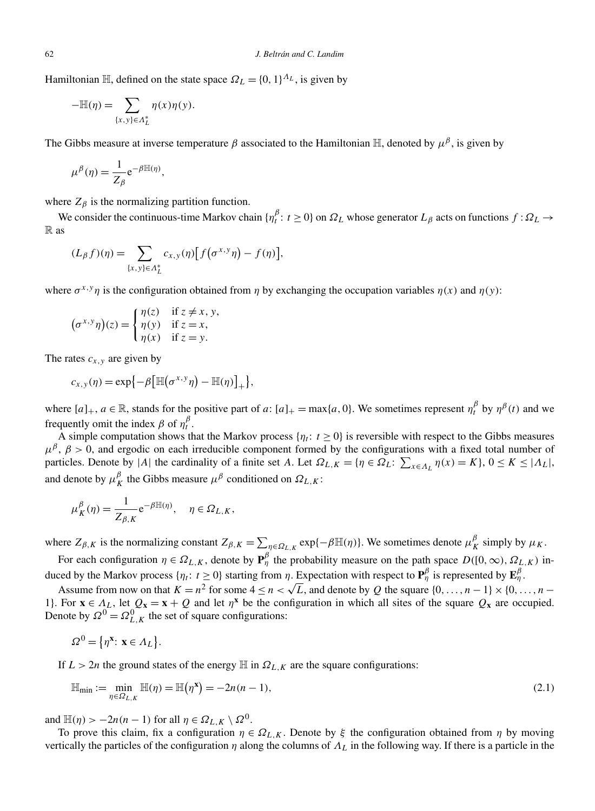<span id="page-3-0"></span>Hamiltonian H, defined on the state space  $\Omega_L = \{0, 1\}^{\Lambda_L}$ , is given by

$$
-\mathbb{H}(\eta) = \sum_{\{x,y\} \in \Lambda_L^*} \eta(x)\eta(y).
$$

The Gibbs measure at inverse temperature  $\beta$  associated to the Hamiltonian H, denoted by  $\mu^{\beta}$ , is given by

$$
\mu^{\beta}(\eta) = \frac{1}{Z_{\beta}} e^{-\beta \mathbb{H}(\eta)},
$$

where  $Z_\beta$  is the normalizing partition function.

We consider the continuous-time Markov chain  $\{\eta_t^{\beta} : t \ge 0\}$  on  $\Omega_L$  whose generator  $L_\beta$  acts on functions  $f : \Omega_L \to$ R as

$$
(L_{\beta} f)(\eta) = \sum_{\{x,y\} \in \Lambda_L^*} c_{x,y}(\eta) \big[ f(\sigma^{x,y}\eta) - f(\eta) \big],
$$

where  $\sigma^{x,y}\eta$  is the configuration obtained from  $\eta$  by exchanging the occupation variables  $\eta(x)$  and  $\eta(y)$ :

$$
(\sigma^{x,y}\eta)(z) = \begin{cases} \eta(z) & \text{if } z \neq x, y, \\ \eta(y) & \text{if } z = x, \\ \eta(x) & \text{if } z = y. \end{cases}
$$

The rates  $c_{x,y}$  are given by

$$
c_{x,y}(\eta) = \exp\{-\beta \big[\mathbb{H}(\sigma^{x,y}\eta) - \mathbb{H}(\eta)\big]_+\},
$$

where  $[a]_+, a \in \mathbb{R}$ , stands for the positive part of *a*:  $[a]_+ = \max\{a, 0\}$ . We sometimes represent  $\eta_t^{\beta}$  by  $\eta^{\beta}(t)$  and we frequently omit the index  $\beta$  of  $\eta_t^{\beta}$ .

A simple computation shows that the Markov process  $\{\eta_t: t \geq 0\}$  is reversible with respect to the Gibbs measures  $\mu^{\beta}$ ,  $\beta > 0$ , and ergodic on each irreducible component formed by the configurations with a fixed total number of particles. Denote by |*A*| the cardinality of a finite set *A*. Let  $\Omega_{L,K} = \{ \eta \in \Omega_L : \sum_{x \in \Lambda_L} \eta(x) = K \}$ ,  $0 \le K \le |\Lambda_L|$ , and denote by  $\mu_K^{\beta}$  the Gibbs measure  $\mu^{\beta}$  conditioned on  $\Omega_{L,K}$ :

$$
\mu_K^{\beta}(\eta) = \frac{1}{Z_{\beta,K}} e^{-\beta \mathbb{H}(\eta)}, \quad \eta \in \Omega_{L,K},
$$

where  $Z_{\beta,K}$  is the normalizing constant  $Z_{\beta,K} = \sum_{\eta \in \Omega_{L,K}} \exp\{-\beta \mathbb{H}(\eta)\}\)$ . We sometimes denote  $\mu_K^{\beta}$  simply by  $\mu_K$ .

For each configuration  $\eta \in \Omega_{L,K}$ , denote by  $\mathbf{P}_{\eta}^{\beta}$  the probability measure on the path space  $D([0,\infty),\Omega_{L,K})$  induced by the Markov process  $\{\eta_t: t \ge 0\}$  starting from  $\eta$ . Expectation with respect to  $\mathbf{P}_\eta^{\beta}$  is represented by  $\mathbf{E}_\eta^{\beta}$ .

Assume from now on that  $K = n^2$  for some  $4 \le n < \sqrt{L}$ , and denote by *Q* the square  $\{0, \ldots, n-1\} \times \{0, \ldots, n-1\}$ 1}. For  $\mathbf{x} \in \Lambda_L$ , let  $Q_{\mathbf{x}} = \mathbf{x} + Q$  and let  $\eta^{\mathbf{x}}$  be the configuration in which all sites of the square  $Q_{\mathbf{x}}$  are occupied. Denote by  $\Omega^0 = \Omega^0_{L,K}$  the set of square configurations:

$$
\Omega^0 = \{ \eta^{\mathbf{x}} : \mathbf{x} \in \Lambda_L \}.
$$

If  $L > 2n$  the ground states of the energy H in  $\Omega_{L,K}$  are the square configurations:

$$
\mathbb{H}_{\min} := \min_{\eta \in \Omega_{L,K}} \mathbb{H}(\eta) = \mathbb{H}\big(\eta^{\mathbf{x}}\big) = -2n(n-1),\tag{2.1}
$$

and  $\mathbb{H}(\eta) > -2n(n-1)$  for all  $\eta \in \Omega_{L,K} \setminus \Omega^0$ .

To prove this claim, fix a configuration  $\eta \in \Omega_{L,K}$ . Denote by  $\xi$  the configuration obtained from  $\eta$  by moving vertically the particles of the configuration *η* along the columns of *ΛL* in the following way. If there is a particle in the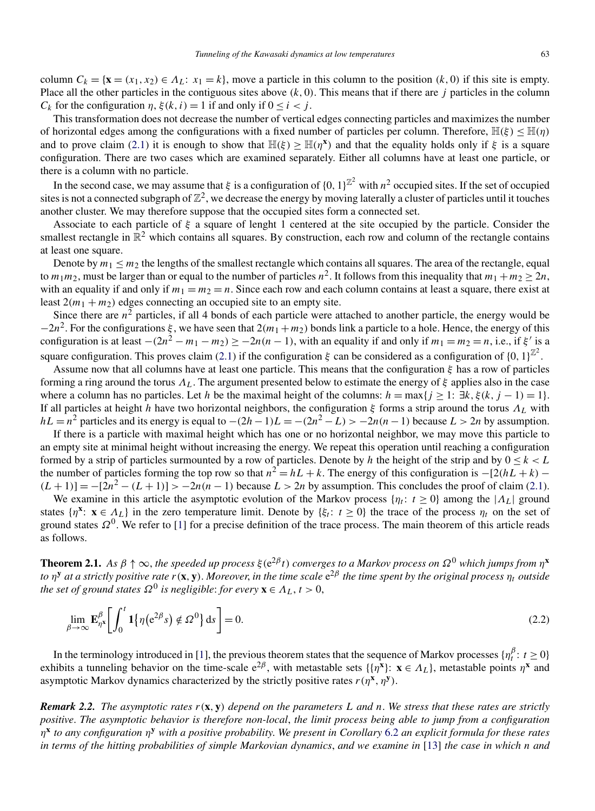<span id="page-4-0"></span>column  $C_k = \{ \mathbf{x} = (x_1, x_2) \in A_L : x_1 = k \}$ , move a particle in this column to the position  $(k, 0)$  if this site is empty. Place all the other particles in the contiguous sites above *(k,* 0*)*. This means that if there are *j* particles in the column

*C<sub>k</sub>* for the configuration  $\eta$ ,  $\xi(k, i) = 1$  if and only if  $0 \le i < j$ . This transformation does not decrease the number of vertical edges connecting particles and maximizes the number of horizontal edges among the configurations with a fixed number of particles per column. Therefore,  $\mathbb{H}(\xi) < \mathbb{H}(n)$ and to prove claim [\(2.1\)](#page-3-0) it is enough to show that  $\mathbb{H}(\xi) \geq \mathbb{H}(n^{\mathbf{x}})$  and that the equality holds only if  $\xi$  is a square configuration. There are two cases which are examined separately. Either all columns have at least one particle, or there is a column with no particle.

In the second case, we may assume that  $\xi$  is a configuration of  $\{0, 1\}^{\mathbb{Z}^2}$  with  $n^2$  occupied sites. If the set of occupied sites is not a connected subgraph of  $\mathbb{Z}^2$ , we decrease the energy by moving laterally a cluster of particles until it touches another cluster. We may therefore suppose that the occupied sites form a connected set.

Associate to each particle of *ξ* a square of lenght 1 centered at the site occupied by the particle. Consider the smallest rectangle in  $\mathbb{R}^2$  which contains all squares. By construction, each row and column of the rectangle contains at least one square.

Denote by  $m_1 \leq m_2$  the lengths of the smallest rectangle which contains all squares. The area of the rectangle, equal to  $m_1m_2$ , must be larger than or equal to the number of particles  $n^2$ . It follows from this inequality that  $m_1 + m_2 \ge 2n$ , with an equality if and only if  $m_1 = m_2 = n$ . Since each row and each column contains at least a square, there exist at least  $2(m_1 + m_2)$  edges connecting an occupied site to an empty site.

Since there are  $n^2$  particles, if all 4 bonds of each particle were attached to another particle, the energy would be  $-2n^2$ . For the configurations  $\xi$ , we have seen that  $2(m_1 + m_2)$  bonds link a particle to a hole. Hence, the energy of this configuration is at least  $-(2n^2 - m_1 - m_2) \ge -2n(n-1)$ , with an equality if and only if  $m_1 = m_2 = n$ , i.e., if  $\xi'$  is a square configuration. This proves claim [\(2.1\)](#page-3-0) if the configuration  $\xi$  can be considered as a configuration of  $\{0, 1\}^{\mathbb{Z}^2}$ .

Assume now that all columns have at least one particle. This means that the configuration *ξ* has a row of particles forming a ring around the torus *ΛL*. The argument presented below to estimate the energy of *ξ* applies also in the case where a column has no particles. Let *h* be the maximal height of the columns:  $h = \max\{j \ge 1: \exists k, \xi(k, j - 1) = 1\}$ . If all particles at height *h* have two horizontal neighbors, the configuration *ξ* forms a strip around the torus *ΛL* with *hL* =  $n^2$  particles and its energy is equal to  $-(2h-1)L = -(2n^2 - L) > -2n(n-1)$  because *L* > 2*n* by assumption.

If there is a particle with maximal height which has one or no horizontal neighbor, we may move this particle to an empty site at minimal height without increasing the energy. We repeat this operation until reaching a configuration formed by a strip of particles surmounted by a row of particles. Denote by *h* the height of the strip and by  $0 \le k < L$ the number of particles forming the top row so that  $n^2 = hL + k$ . The energy of this configuration is  $-[2(hL + k) (L+1)$ ] =  $-[2n^2 - (L+1)] > -2n(n-1)$  because  $L > 2n$  by assumption. This concludes the proof of claim [\(2.1\)](#page-3-0).

We examine in this article the asymptotic evolution of the Markov process  $\{\eta_t: t \geq 0\}$  among the  $|A_L|$  ground states  $\{\eta^{\mathbf{x}}: \mathbf{x} \in \Lambda_L\}$  in the zero temperature limit. Denote by  $\{\xi_t: t \geq 0\}$  the trace of the process  $\eta_t$  on the set of ground states  $\Omega^0$ . We refer to [\[1\]](#page-29-0) for a precise definition of the trace process. The main theorem of this article reads as follows.

**Theorem 2.1.** As  $\beta \uparrow \infty$ , the speeded up process  $\xi(e^{2\beta}t)$  converges to a Markov process on  $\Omega^0$  which jumps from  $\eta^x$ to  $\eta^y$  at a strictly positive rate  $r(x, y)$ . Moreover, in the time scale  $e^{2\beta}$  the time spent by the original process  $\eta_t$  outside *the set of ground states*  $\Omega^0$  *is negligible: for every*  $\mathbf{x} \in \Lambda_L$ ,  $t > 0$ ,

$$
\lim_{\beta \to \infty} \mathbf{E}_{\eta^{\mathbf{x}}}^{\beta} \left[ \int_0^t \mathbf{1} \{ \eta(e^{2\beta} s) \notin \Omega^0 \} ds \right] = 0. \tag{2.2}
$$

In the terminology introduced in [\[1\]](#page-29-0), the previous theorem states that the sequence of Markov processes  $\{\eta_t^{\beta} : t \ge 0\}$ exhibits a tunneling behavior on the time-scale  $e^{2\beta}$ , with metastable sets  $\{\{\eta^x\}: x \in \Lambda_L\}$ , metastable points  $\eta^x$  and asymptotic Markov dynamics characterized by the strictly positive rates  $r(\eta^{\mathbf{x}}, \eta^{\mathbf{y}})$ .

*Remark 2.2. The asymptotic rates*  $r(x, y)$  *depend on the parameters L and n. We stress that these rates are strictly positive*. *The asymptotic behavior is therefore non-local*, *the limit process being able to jump from a configuration η***<sup>x</sup>** *to any configuration η***<sup>y</sup>** *with a positive probability*. *We present in Corollary* [6.2](#page-27-0) *an explicit formula for these rates in terms of the hitting probabilities of simple Markovian dynamics*, *and we examine in* [\[13\]](#page-29-0) *the case in which n and*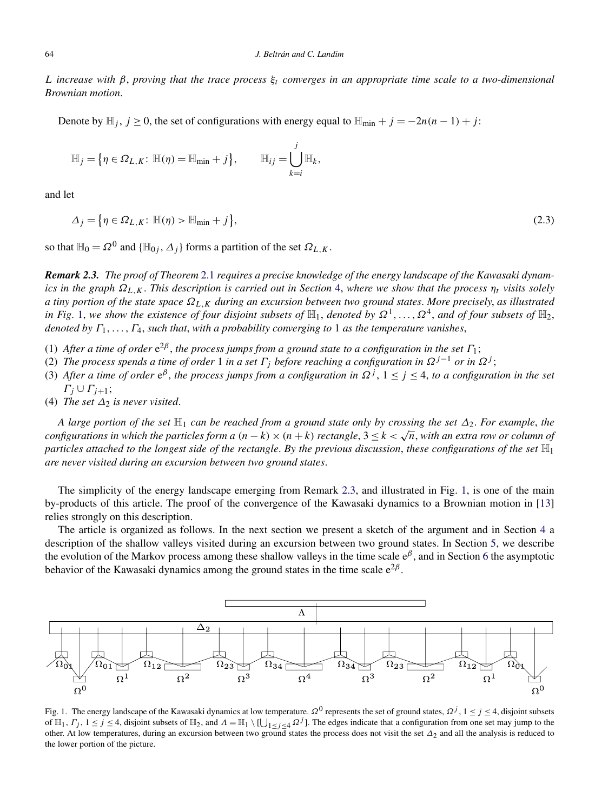<span id="page-5-0"></span>*L* increase with  $\beta$ , proving that the trace process  $\xi$  *converges in an appropriate time scale to a two-dimensional Brownian motion*.

Denote by  $\mathbb{H}_i$ ,  $j \geq 0$ , the set of configurations with energy equal to  $\mathbb{H}_{\text{min}} + j = -2n(n-1) + j$ .

$$
\mathbb{H}_j = \big\{\eta \in \Omega_{L,K}: \, \mathbb{H}(\eta) = \mathbb{H}_{\min} + j\big\}, \qquad \mathbb{H}_{ij} = \bigcup_{k=i}^j \mathbb{H}_k,
$$

and let

$$
\Delta_j = \left\{ \eta \in \Omega_{L,K} : \mathbb{H}(\eta) > \mathbb{H}_{\text{min}} + j \right\},\tag{2.3}
$$

so that  $\mathbb{H}_0 = \Omega^0$  and  $\{\mathbb{H}_{0j}, \Delta_j\}$  forms a partition of the set  $\Omega_{L,K}$ .

*Remark 2.3. The proof of Theorem* [2.1](#page-4-0) *requires a precise knowledge of the energy landscape of the Kawasaki dynamics in the graph ΩL,K* . *This description is carried out in Section* [4,](#page-7-0) *where we show that the process ηt visits solely a tiny portion of the state space ΩL,K during an excursion between two ground states*. *More precisely*, *as illustrated in Fig.* 1, we show the existence of four disjoint subsets of  $\mathbb{H}_1$ , *denoted by*  $\Omega^1,\ldots,\Omega^4$ , *and of four subsets of*  $\mathbb{H}_2$ , *denoted by Γ*1*,...,Γ*4, *such that*, *with a probability converging to* 1 *as the temperature vanishes*,

- (1) *After a time of order*  $e^{2\beta}$ , *the process jumps from a ground state to a configuration in the set*  $\Gamma_1$ ;
- (2) *The process spends a time of order* 1 *in a set*  $\Gamma_j$  *before reaching a configuration in*  $\Omega^{j-1}$  *or in*  $\Omega^j$ ;
- (3) *After a time of order* e*<sup>β</sup>* , *the process jumps from a configuration in Ω<sup>j</sup>* , 1 ≤ *j* ≤ 4, *to a configuration in the set*  $\Gamma_j \cup \Gamma_{j+1}$ ;
- (4) *The set*  $\Delta_2$  *is never visited.*

*A* large portion of the set  $\mathbb{H}_1$  can be reached from a ground state only by crossing the set  $\Delta_2$ . For example, the *configurations in which the particles form a*  $(n - k) \times (n + k)$  *rectangle*,  $3 \leq k < \sqrt{n}$ , *with an extra row or column of particles attached to the longest side of the rectangle*. *By the previous discussion*, *these configurations of the set* H<sup>1</sup> *are never visited during an excursion between two ground states*.

The simplicity of the energy landscape emerging from Remark 2.3, and illustrated in Fig. 1, is one of the main by-products of this article. The proof of the convergence of the Kawasaki dynamics to a Brownian motion in [\[13\]](#page-29-0) relies strongly on this description.

The article is organized as follows. In the next section we present a sketch of the argument and in Section [4](#page-7-0) a description of the shallow valleys visited during an excursion between two ground states. In Section [5,](#page-24-0) we describe the evolution of the Markov process among these shallow valleys in the time scale  $e^{\beta}$ , and in Section [6](#page-26-0) the asymptotic behavior of the Kawasaki dynamics among the ground states in the time scale  $e^{2\beta}$ .



Fig. 1. The energy landscape of the Kawasaki dynamics at low temperature.  $\Omega^0$  represents the set of ground states,  $\Omega^j$ ,  $1 \le j \le 4$ , disjoint subsets of  $\mathbb{H}_1$ ,  $\Gamma_j$ ,  $1 \le j \le 4$ , disjoint subsets of  $\mathbb{H}_2$ , and  $\Lambda = \mathbb{H}_1 \setminus \left[\bigcup_{1 \le j \le 4} \Omega^j\right]$ . The edges indicate that a configuration from one set may jump to the other. At low temperatures, during an excursion between two ground states the process does not visit the set *Δ*2 and all the analysis is reduced to the lower portion of the picture.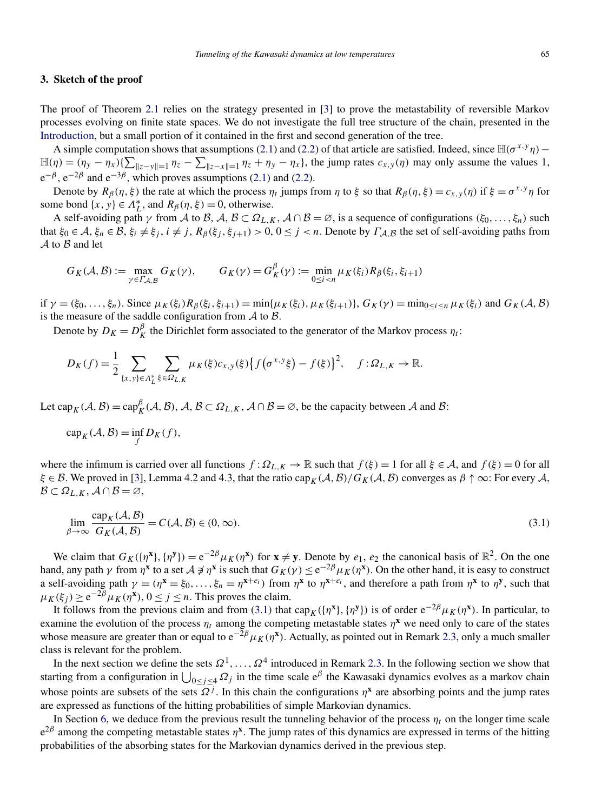#### <span id="page-6-0"></span>**3. Sketch of the proof**

The proof of Theorem [2.1](#page-4-0) relies on the strategy presented in [\[3\]](#page-29-0) to prove the metastability of reversible Markov processes evolving on finite state spaces. We do not investigate the full tree structure of the chain, presented in the [Introduction,](#page-0-0) but a small portion of it contained in the first and second generation of the tree.

A simple computation shows that assumptions [\(2.1\)](#page-3-0) and [\(2.2\)](#page-4-0) of that article are satisfied. Indeed, since  $\mathbb{H}(\sigma^{x,y}\eta)$  −  $\mathbb{H}(\eta) = (\eta_y - \eta_x) \{ \sum_{\|z - y\| = 1} \eta_z - \sum_{\|z - x\| = 1} \eta_z + \eta_y - \eta_x \},\$  the jump rates  $c_{x,y}(\eta)$  may only assume the values 1,  $e^{-\beta}$ ,  $e^{-2\beta}$  and  $e^{-3\beta}$ , which proves assumptions [\(2.1\)](#page-3-0) and [\(2.2\)](#page-4-0).

Denote by  $R_\beta(\eta, \xi)$  the rate at which the process  $\eta_t$  jumps from  $\eta$  to  $\xi$  so that  $R_\beta(\eta, \xi) = c_{x,y}(\eta)$  if  $\xi = \sigma^{x,y} \eta$  for some bond  $\{x, y\} \in \Lambda_L^*$ , and  $R_\beta(\eta, \xi) = 0$ , otherwise.

A self-avoiding path  $\gamma$  from A to B, A,  $\beta \subset \Omega_{L,K}$ ,  $\lambda \cap \beta = \emptyset$ , is a sequence of configurations  $(\xi_0, \ldots, \xi_n)$  such that  $\xi_0 \in A$ ,  $\xi_n \in B$ ,  $\xi_i \neq \xi_j$ ,  $i \neq j$ ,  $R_\beta(\xi_j, \xi_{j+1}) > 0$ ,  $0 \leq j < n$ . Denote by  $\Gamma_{A,B}$  the set of self-avoiding paths from  $\mathcal A$  to  $\mathcal B$  and let

$$
G_K(\mathcal{A}, \mathcal{B}) := \max_{\gamma \in \Gamma_{\mathcal{A}, \mathcal{B}}} G_K(\gamma), \qquad G_K(\gamma) = G_K^{\beta}(\gamma) := \min_{0 \le i < n} \mu_K(\xi_i) R_\beta(\xi_i, \xi_{i+1})
$$

if  $\gamma = (\xi_0, \ldots, \xi_n)$ . Since  $\mu_K(\xi_i)R_\beta(\xi_i, \xi_{i+1}) = \min{\{\mu_K(\xi_i), \mu_K(\xi_{i+1})\}}, G_K(\gamma) = \min_{0 \le i \le n} \mu_K(\xi_i)$  and  $G_K(\mathcal{A}, \mathcal{B})$ is the measure of the saddle configuration from  $A$  to  $B$ .

Denote by  $D_K = D_K^{\beta}$  the Dirichlet form associated to the generator of the Markov process  $\eta_t$ :

$$
D_K(f) = \frac{1}{2} \sum_{\{x,y\} \in \Lambda_L^*} \sum_{\xi \in \Omega_{L,K}} \mu_K(\xi) c_{x,y}(\xi) \left\{ f\left(\sigma^{x,y}\xi\right) - f(\xi) \right\}^2, \quad f: \Omega_{L,K} \to \mathbb{R}.
$$

Let cap<sub>*K*</sub>( $A$ ,  $B$ ) = cap<sub>*K*</sub></sub> $(A, B)$ ,  $A$ ,  $B \subset \Omega_{L,K}$ ,  $A \cap B = \emptyset$ , be the capacity between  $A$  and  $B$ :

$$
cap_K(\mathcal{A}, \mathcal{B}) = \inf_f D_K(f),
$$

where the infimum is carried over all functions  $f: \Omega_{L,K} \to \mathbb{R}$  such that  $f(\xi) = 1$  for all  $\xi \in A$ , and  $f(\xi) = 0$  for all  $\xi \in \mathcal{B}$ . We proved in [\[3\]](#page-29-0), Lemma 4.2 and 4.3, that the ratio cap<sub>*K*</sub>( $\mathcal{A}$ ,  $\mathcal{B}$ )/G<sub>*K*</sub>( $\mathcal{A}$ ,  $\mathcal{B}$ ) converges as  $\beta \uparrow \infty$ : For every  $\mathcal{A}$ ,  $\mathcal{B} \subset \Omega_{L,K}$ ,  $\mathcal{A} \cap \mathcal{B} = \varnothing$ ,

$$
\lim_{\beta \to \infty} \frac{\text{cap}_K(\mathcal{A}, \mathcal{B})}{G_K(\mathcal{A}, \mathcal{B})} = C(\mathcal{A}, \mathcal{B}) \in (0, \infty).
$$
\n(3.1)

We claim that  $G_K(\{\eta^x\}, \{\eta^y\}) = e^{-2\beta} \mu_K(\eta^x)$  for  $x \neq y$ . Denote by  $e_1, e_2$  the canonical basis of  $\mathbb{R}^2$ . On the one hand, any path  $\gamma$  from  $\eta^{\mathbf{x}}$  to a set  $\mathcal{A} \neq \eta^{\mathbf{x}}$  is such that  $G_K(\gamma) \leq e^{-2\beta} \mu_K(\eta^{\mathbf{x}})$ . On the other hand, it is easy to construct a self-avoiding path  $\gamma = (\eta^x = \xi_0, ..., \xi_n = \eta^{x+e_i})$  from  $\eta^x$  to  $\eta^{x+e_i}$ , and therefore a path from  $\eta^x$  to  $\eta^y$ , such that  $\mu_K(\xi_i) \ge e^{-2\beta} \mu_K(\eta^{\mathbf{x}}), 0 \le i \le n$ . This proves the claim.

It follows from the previous claim and from (3.1) that cap<sub>K</sub>({ $n<sup>x</sup>$ }, { $n<sup>y</sup>$ }) is of order e<sup>-2*β*</sup>μ<sub>K</sub>( $n<sup>x</sup>$ ). In particular, to examine the evolution of the process  $\eta_t$  among the competing metastable states  $\eta^x$  we need only to care of the states whose measure are greater than or equal to  $e^{-2\beta} \mu_K(\eta^x)$ . Actually, as pointed out in Remark [2.3,](#page-5-0) only a much smaller class is relevant for the problem.

In the next section we define the sets  $\Omega^1, \ldots, \Omega^4$  introduced in Remark [2.3.](#page-5-0) In the following section we show that starting from a configuration in  $\bigcup_{0 \le j \le 4} \Omega_j$  in the time scale  $e^{\beta}$  the Kawasaki dynamics evolves as a markov chain whose points are subsets of the sets  $\Omega^j$ . In this chain the configurations  $\eta^{\bf x}$  are absorbing points and the jump rates are expressed as functions of the hitting probabilities of simple Markovian dynamics.

In Section [6,](#page-26-0) we deduce from the previous result the tunneling behavior of the process  $\eta_t$  on the longer time scale  $e^{2\beta}$  among the competing metastable states  $\eta^{\bf x}$ . The jump rates of this dynamics are expressed in terms of the hitting probabilities of the absorbing states for the Markovian dynamics derived in the previous step.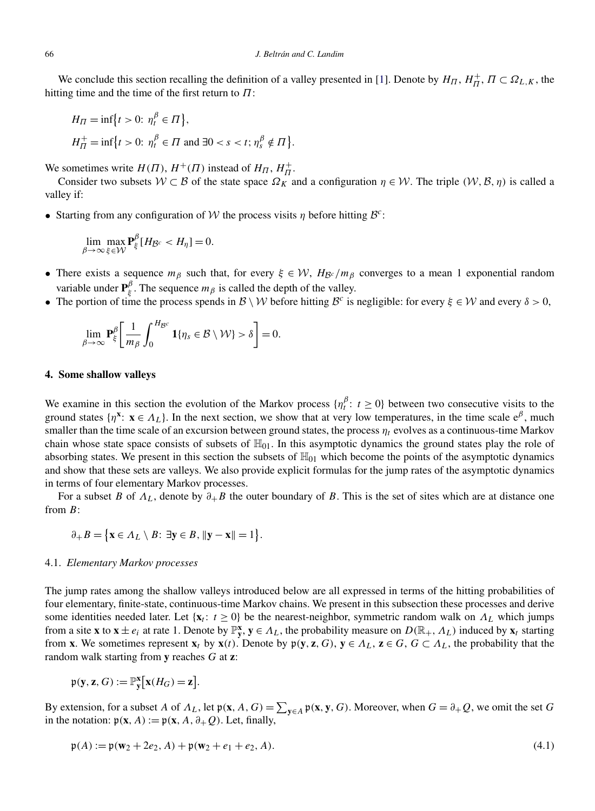<span id="page-7-0"></span>We conclude this section recalling the definition of a valley presented in [\[1\]](#page-29-0). Denote by  $H_{\Pi}$ ,  $H_{\Pi}^+$ ,  $\Pi \subset \Omega_{L,K}$ , the hitting time and the time of the first return to *Π*:

$$
H_{\Pi} = \inf \{ t > 0 : \eta_t^{\beta} \in \Pi \},
$$
\n
$$
H_{\Pi}^+ = \inf \{ t > 0 : \eta_t^{\beta} \in \Pi \text{ and } \exists 0 < s < t; \eta_s^{\beta} \notin \Pi \}
$$

We sometimes write  $H(\Pi)$ ,  $H^+(\Pi)$  instead of  $H_{\Pi}$ ,  $H^+_{\Pi}$ .

Consider two subsets  $W \subset B$  of the state space  $\Omega_K$  and a configuration  $\eta \in W$ . The triple  $(W, B, \eta)$  is called a valley if:

*.*

• Starting from any configuration of W the process visits  $\eta$  before hitting  $\mathcal{B}^c$ :

$$
\lim_{\beta \to \infty} \max_{\xi \in \mathcal{W}} \mathbf{P}_{\xi}^{\beta} [H_{\mathcal{B}^c} < H_{\eta}] = 0.
$$

- There exists a sequence  $m_\beta$  such that, for every  $\xi \in \mathcal{W}$ ,  $H_{\beta}c/m_\beta$  converges to a mean 1 exponential random variable under  $\mathbf{P}_{\xi}^{\beta}$ . The sequence  $m_{\beta}$  is called the depth of the valley.
- The portion of time the process spends in  $\mathcal{B} \setminus \mathcal{W}$  before hitting  $\mathcal{B}^c$  is negligible: for every  $\xi \in \mathcal{W}$  and every  $\delta > 0$ ,

$$
\lim_{\beta\to\infty}\mathbf{P}_{\xi}^{\beta}\bigg[\frac{1}{m_{\beta}}\int_{0}^{H_{\mathcal{B}^c}}\mathbf{1}\{\eta_s\in\mathcal{B}\setminus\mathcal{W}\}>\delta\bigg]=0.
$$

### **4. Some shallow valleys**

We examine in this section the evolution of the Markov process  $\{\eta_t^{\beta} : t \ge 0\}$  between two consecutive visits to the ground states  $\{n^{\mathbf{x}}: \mathbf{x} \in A_L\}$ . In the next section, we show that at very low temperatures, in the time scale  $e^{\beta}$ , much smaller than the time scale of an excursion between ground states, the process  $\eta_t$  evolves as a continuous-time Markov chain whose state space consists of subsets of  $H_{01}$ . In this asymptotic dynamics the ground states play the role of absorbing states. We present in this section the subsets of  $\mathbb{H}_{01}$  which become the points of the asymptotic dynamics and show that these sets are valleys. We also provide explicit formulas for the jump rates of the asymptotic dynamics in terms of four elementary Markov processes.

For a subset *B* of  $\Lambda_L$ , denote by  $\partial_{+}B$  the outer boundary of *B*. This is the set of sites which are at distance one from *B*:

$$
\partial_+ B = \{ \mathbf{x} \in \Lambda_L \setminus B : \exists \mathbf{y} \in B, \|\mathbf{y} - \mathbf{x}\| = 1 \}.
$$

### 4.1. *Elementary Markov processes*

The jump rates among the shallow valleys introduced below are all expressed in terms of the hitting probabilities of four elementary, finite-state, continuous-time Markov chains. We present in this subsection these processes and derive some identities needed later. Let  $\{x_t : t \geq 0\}$  be the nearest-neighbor, symmetric random walk on  $\Lambda_L$  which jumps from a site **x** to **x**  $\pm e_i$  at rate 1. Denote by  $\mathbb{P}^{\mathbf{x}}_y$ ,  $\mathbf{y} \in \Lambda_L$ , the probability measure on  $D(\mathbb{R}_+, \Lambda_L)$  induced by  $\mathbf{x}_t$  starting from **x**. We sometimes represent  $\mathbf{x}_t$  by  $\mathbf{x}(t)$ . Denote by  $\mathbf{p}(\mathbf{y}, \mathbf{z}, G)$ ,  $\mathbf{y} \in \Lambda_L$ ,  $\mathbf{z} \in G$ ,  $G \subset \Lambda_L$ , the probability that the random walk starting from **y** reaches *G* at **z**:

$$
\mathfrak{p}(\mathbf{y}, \mathbf{z}, G) := \mathbb{P}_{\mathbf{y}}^{\mathbf{x}}[\mathbf{x}(H_G) = \mathbf{z}].
$$

By extension, for a subset *A* of  $\Lambda_L$ , let  $\mathfrak{p}(\mathbf{x}, A, G) = \sum_{\mathbf{y} \in A} \mathfrak{p}(\mathbf{x}, \mathbf{y}, G)$ . Moreover, when  $G = \partial_+ Q$ , we omit the set *G* in the notation:  $\mathfrak{p}(\mathbf{x}, A) := \mathfrak{p}(\mathbf{x}, A, \partial_+ Q)$ . Let, finally,

$$
\mathfrak{p}(A) := \mathfrak{p}(\mathbf{w}_2 + 2e_2, A) + \mathfrak{p}(\mathbf{w}_2 + e_1 + e_2, A). \tag{4.1}
$$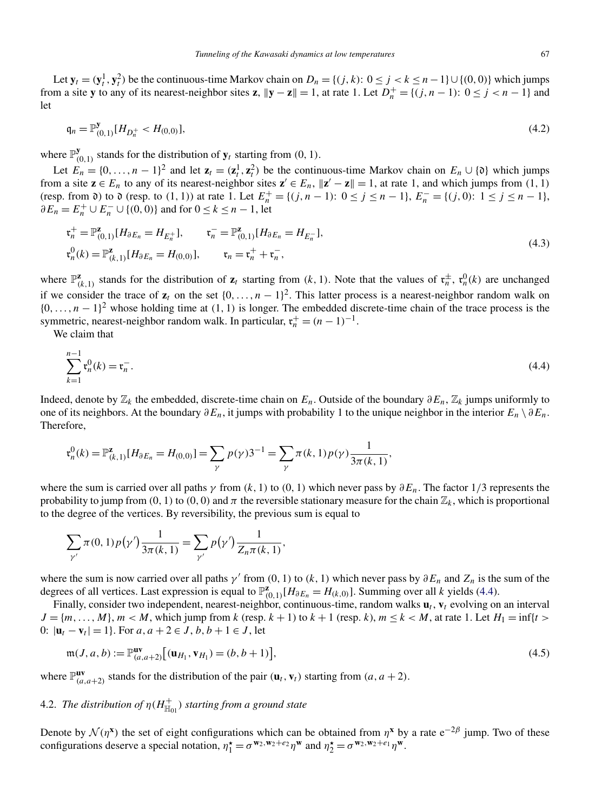<span id="page-8-0"></span>Let  $\mathbf{y}_t = (\mathbf{y}_t^1, \mathbf{y}_t^2)$  be the continuous-time Markov chain on  $D_n = \{(j, k): 0 \le j < k \le n - 1\} \cup \{(0, 0)\}$  which jumps from a site **y** to any of its nearest-neighbor sites **z**,  $\|\mathbf{y} - \mathbf{z}\| = 1$ , at rate 1. Let  $D_n^+ = \{(j, n-1): 0 \le j < n-1\}$  and let

$$
\mathfrak{q}_n = \mathbb{P}_{(0,1)}^{\mathbf{y}} [H_{D_n^+} < H_{(0,0)}],\tag{4.2}
$$

where  $\mathbb{P}_{(0,1)}^{\mathbf{y}}$  stands for the distribution of  $\mathbf{y}_t$  starting from  $(0,1)$ .

Let  $E_n = \{0, \ldots, n-1\}^2$  and let  $\mathbf{z}_t = (\mathbf{z}_t^1, \mathbf{z}_t^2)$  be the continuous-time Markov chain on  $E_n \cup \{0\}$  which jumps from a site  $z \in E_n$  to any of its nearest-neighbor sites  $z' \in E_n$ ,  $||z' - z|| = 1$ , at rate 1, and which jumps from  $(1, 1)$ (resp. from  $\mathfrak d$ ) to  $\mathfrak d$  (resp. to (1, 1)) at rate 1. Let  $E_n^+ = \{(j, n-1): 0 \le j \le n-1\}$ ,  $E_n^- = \{(j, 0): 1 \le j \le n-1\}$ , *∂*  $E_n = E_n^+ \cup E_n^- \cup \{(0, 0)\}\$  and for  $0 \le k \le n - 1$ , let

$$
\mathfrak{r}_{n}^{+} = \mathbb{P}_{(0,1)}^{\mathbf{z}}[H_{\partial E_{n}} = H_{E_{n}^{+}}], \qquad \mathfrak{r}_{n}^{-} = \mathbb{P}_{(0,1)}^{\mathbf{z}}[H_{\partial E_{n}} = H_{E_{n}^{-}}],
$$
\n
$$
\mathfrak{r}_{n}^{0}(k) = \mathbb{P}_{(k,1)}^{\mathbf{z}}[H_{\partial E_{n}} = H_{(0,0)}], \qquad \mathfrak{r}_{n} = \mathfrak{r}_{n}^{+} + \mathfrak{r}_{n}^{-},
$$
\n
$$
(4.3)
$$

where  $\mathbb{P}_{(k,1)}^{\mathbf{z}}$  stands for the distribution of  $\mathbf{z}_t$  starting from  $(k,1)$ . Note that the values of  $\mathfrak{r}_n^{\pm}$ ,  $\mathfrak{r}_n^0(k)$  are unchanged if we consider the trace of  $\mathbf{z}_t$  on the set  $\{0, \ldots, n-1\}^2$ . This latter process is a nearest-neighbor random walk on {0*,...,n* − 1}<sup>2</sup> whose holding time at *(*1*,* 1*)* is longer. The embedded discrete-time chain of the trace process is the symmetric, nearest-neighbor random walk. In particular,  $\mathfrak{r}_n^+ = (n-1)^{-1}$ .

We claim that

$$
\sum_{k=1}^{n-1} \mathfrak{r}_n^0(k) = \mathfrak{r}_n^-.
$$
 (4.4)

Indeed, denote by Z*<sup>k</sup>* the embedded, discrete-time chain on *En*. Outside of the boundary *∂En*, Z*<sup>k</sup>* jumps uniformly to one of its neighbors. At the boundary *∂En*, it jumps with probability 1 to the unique neighbor in the interior *En* \ *∂En*. Therefore,

$$
\mathfrak{r}_n^0(k) = \mathbb{P}_{(k,1)}^{\mathbf{z}}[H_{\partial E_n} = H_{(0,0)}] = \sum_{\gamma} p(\gamma) 3^{-1} = \sum_{\gamma} \pi(k,1) p(\gamma) \frac{1}{3\pi(k,1)},
$$

where the sum is carried over all paths  $\gamma$  from  $(k, 1)$  to  $(0, 1)$  which never pass by  $\partial E_n$ . The factor 1/3 represents the probability to jump from  $(0, 1)$  to  $(0, 0)$  and  $\pi$  the reversible stationary measure for the chain  $\mathbb{Z}_k$ , which is proportional to the degree of the vertices. By reversibility, the previous sum is equal to

$$
\sum_{\gamma'} \pi(0, 1) p(\gamma') \frac{1}{3\pi(k, 1)} = \sum_{\gamma'} p(\gamma') \frac{1}{Z_n \pi(k, 1)},
$$

where the sum is now carried over all paths  $\gamma'$  from (0, 1) to  $(k, 1)$  which never pass by  $\partial E_n$  and  $Z_n$  is the sum of the degrees of all vertices. Last expression is equal to  $\mathbb{P}^{\mathbf{z}}_{(0,1)}[H_{\partial E_n} = H_{(k,0)}].$  Summing over all *k* yields (4.4).

Finally, consider two independent, nearest-neighbor, continuous-time, random walks  $\mathbf{u}_t$ ,  $\mathbf{v}_t$  evolving on an interval  $J = \{m, \ldots, M\}$ ,  $m < M$ , which jump from  $k$  (resp.  $k + 1$ ) to  $k + 1$  (resp.  $k$ ),  $m \le k < M$ , at rate 1. Let  $H_1 = \inf\{t > k\}$ 0:  $|\mathbf{u}_t - \mathbf{v}_t| = 1$ . For  $a, a + 2 \in J, b, b + 1 \in J$ , let

$$
\mathfrak{m}(J, a, b) := \mathbb{P}_{(a, a+2)}^{\mathbf{uv}} \big[ (\mathbf{u}_{H_1}, \mathbf{v}_{H_1}) = (b, b+1) \big],\tag{4.5}
$$

where  $\mathbb{P}_{(a,a+2)}^{\mathbf{uv}}$  stands for the distribution of the pair  $(\mathbf{u}_t, \mathbf{v}_t)$  starting from  $(a, a+2)$ .

## 4.2. *The distribution of*  $\eta(H^+_{\mathbb{H}_01})$  *starting from a ground state*

Denote by  $\mathcal{N}(\eta^{\mathbf{x}})$  the set of eight configurations which can be obtained from  $\eta^{\mathbf{x}}$  by a rate  $e^{-2\beta}$  jump. Two of these configurations deserve a special notation,  $\eta_1^* = \sigma^{w_2, w_2 + e_2} \eta^w$  and  $\eta_2^* = \sigma^{w_2, w_2 + e_1} \eta^w$ .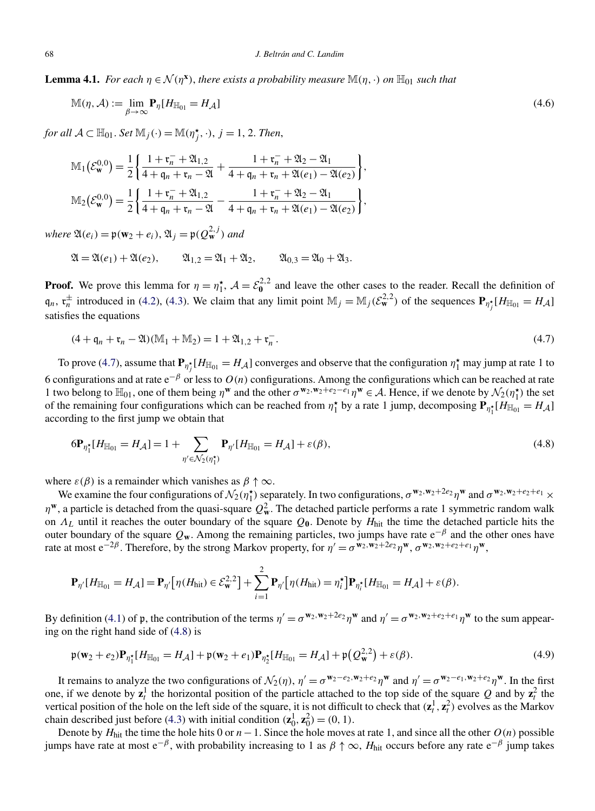<span id="page-9-0"></span>**Lemma 4.1.** *For each*  $\eta \in \mathcal{N}(\eta^{\mathbf{x}})$ *, there exists a probability measure*  $\mathbb{M}(\eta, \cdot)$  *on*  $\mathbb{H}_{01}$  *such that* 

$$
\mathbb{M}(\eta, \mathcal{A}) := \lim_{\beta \to \infty} \mathbf{P}_{\eta} [H_{\mathbb{H}_{01}} = H_{\mathcal{A}}]
$$
\n(4.6)

*for all*  $A \subset \mathbb{H}_{01}$ *. Set*  $\mathbb{M}_j(\cdot) = \mathbb{M}(\eta_j^{\star}, \cdot)$ *, j* = 1*,* 2*. Then,* 

$$
\mathbb{M}_{1}(\mathcal{E}_{\mathbf{w}}^{0,0}) = \frac{1}{2} \left\{ \frac{1 + \mathfrak{r}_{n}^{-} + \mathfrak{A}_{1,2}}{4 + \mathfrak{q}_{n} + \mathfrak{r}_{n} - \mathfrak{A}} + \frac{1 + \mathfrak{r}_{n}^{-} + \mathfrak{A}_{2} - \mathfrak{A}_{1}}{4 + \mathfrak{q}_{n} + \mathfrak{r}_{n} + \mathfrak{A}(e_{1}) - \mathfrak{A}(e_{2})} \right\},
$$
  

$$
\mathbb{M}_{2}(\mathcal{E}_{\mathbf{w}}^{0,0}) = \frac{1}{2} \left\{ \frac{1 + \mathfrak{r}_{n}^{-} + \mathfrak{A}_{1,2}}{4 + \mathfrak{q}_{n} + \mathfrak{r}_{n} - \mathfrak{A}} - \frac{1 + \mathfrak{r}_{n}^{-} + \mathfrak{A}_{2} - \mathfrak{A}_{1}}{4 + \mathfrak{q}_{n} + \mathfrak{r}_{n} + \mathfrak{A}(e_{1}) - \mathfrak{A}(e_{2})} \right\},
$$

*where*  $\mathfrak{A}(e_i) = \mathfrak{p}(\mathbf{w}_2 + e_i), \mathfrak{A}_j = \mathfrak{p}(Q_{\mathbf{w}}^{2,j})$  and

$$
\mathfrak{A} = \mathfrak{A}(e_1) + \mathfrak{A}(e_2), \qquad \mathfrak{A}_{1,2} = \mathfrak{A}_1 + \mathfrak{A}_2, \qquad \mathfrak{A}_{0,3} = \mathfrak{A}_0 + \mathfrak{A}_3.
$$

**Proof.** We prove this lemma for  $\eta = \eta_1^*$ ,  $\mathcal{A} = \mathcal{E}_0^{2,2}$  and leave the other cases to the reader. Recall the definition of  $\mathbf{q}_n$ ,  $\mathbf{r}_n^{\pm}$  introduced in [\(4.2\)](#page-8-0), [\(4.3\)](#page-8-0). We claim that any limit point  $\mathbb{M}_j = \mathbb{M}_j (\mathcal{E}_{\mathbf{w}}^{2,2})$  of the sequences  $\mathbf{P}_{\eta_j^{\pm}} [H_{\mathbb{H}_{01}} = H_A]$ satisfies the equations

$$
(4 + \mathfrak{q}_n + \mathfrak{r}_n - 2\mathfrak{t})(\mathbb{M}_1 + \mathbb{M}_2) = 1 + 2\mathfrak{t}_{1,2} + \mathfrak{r}_n^-.
$$
\n(4.7)

To prove (4.7), assume that  $P_{\eta_j^*}[H_{\mathbb{H}_{01}} = H_A]$  converges and observe that the configuration  $\eta_1^*$  may jump at rate 1 to 6 configurations and at rate e−*<sup>β</sup>* or less to *O(n)* configurations. Among the configurations which can be reached at rate 1 two belong to  $\mathbb{H}_{01}$ , one of them being  $\eta^{\mathbf{w}}$  and the other  $\sigma^{\mathbf{w}_2,\mathbf{w}_2+e_2-e_1}\eta^{\mathbf{w}} \in A$ . Hence, if we denote by  $\mathcal{N}_2(\eta_1^{\star})$  the set of the remaining four configurations which can be reached from  $\eta_1^*$  by a rate 1 jump, decomposing  $P_{\eta_1^*}[H_{\mathbb{H}_0} = H_A]$ according to the first jump we obtain that

$$
6\mathbf{P}_{\eta_1^*}[H_{\mathbb{H}_{01}} = H_{\mathcal{A}}] = 1 + \sum_{\eta' \in \mathcal{N}_2(\eta_1^*)} \mathbf{P}_{\eta'}[H_{\mathbb{H}_{01}} = H_{\mathcal{A}}] + \varepsilon(\beta),\tag{4.8}
$$

where  $\varepsilon(\beta)$  is a remainder which vanishes as  $\beta \uparrow \infty$ .

We examine the four configurations of  $\mathcal{N}_2(\eta_1^{\star})$  separately. In two configurations,  $\sigma^{w_2,w_2+2e_2}\eta^{w}$  and  $\sigma^{w_2,w_2+e_2+e_1} \times$ *η***w**, a particle is detached from the quasi-square  $Q_w^2$ . The detached particle performs a rate 1 symmetric random walk on *ΛL* until it reaches the outer boundary of the square *Q***0**. Denote by *H*hit the time the detached particle hits the outer boundary of the square *Q***w**. Among the remaining particles, two jumps have rate e−*<sup>β</sup>* and the other ones have rate at most  $e^{-2\beta}$ . Therefore, by the strong Markov property, for  $\eta' = \sigma^{w_2, w_2 + 2e_2} \eta^w$ ,  $\sigma^{w_2, w_2 + e_2 + e_1} \eta^w$ ,

$$
\mathbf{P}_{\eta'}[H_{\mathbb{H}_{01}} = H_{\mathcal{A}}] = \mathbf{P}_{\eta'}[\eta(H_{\text{hit}}) \in \mathcal{E}_{\mathbf{w}}^{2,2}] + \sum_{i=1}^{2} \mathbf{P}_{\eta'}[\eta(H_{\text{hit}}) = \eta_i^{\star}] \mathbf{P}_{\eta_i^{\star}}[H_{\mathbb{H}_{01}} = H_{\mathcal{A}}] + \varepsilon(\beta).
$$

By definition [\(4.1\)](#page-7-0) of p, the contribution of the terms  $\eta' = \sigma^{w_2, w_2 + 2e_2} \eta^w$  and  $\eta' = \sigma^{w_2, w_2 + e_2 + e_1} \eta^w$  to the sum appearing on the right hand side of (4.8) is

$$
\mathfrak{p}(\mathbf{w}_2 + e_2) \mathbf{P}_{\eta_1^*} [H_{\mathbb{H}_{01}} = H_{\mathcal{A}}] + \mathfrak{p}(\mathbf{w}_2 + e_1) \mathbf{P}_{\eta_2^*} [H_{\mathbb{H}_{01}} = H_{\mathcal{A}}] + \mathfrak{p}(\mathcal{Q}_\mathbf{w}^{2,2}) + \varepsilon(\beta). \tag{4.9}
$$

It remains to analyze the two configurations of  $\mathcal{N}_2(\eta)$ ,  $\eta' = \sigma^{w_2 - e_2, w_2 + e_2} \eta^w$  and  $\eta' = \sigma^{w_2 - e_1, w_2 + e_2} \eta^w$ . In the first one, if we denote by  $z_t^1$  the horizontal position of the particle attached to the top side of the square *Q* and by  $z_t^2$  the vertical position of the hole on the left side of the square, it is not difficult to check that  $(z_t^1, z_t^2)$  evolves as the Markov chain described just before [\(4.3\)](#page-8-0) with initial condition  $(\mathbf{z}_0^1, \mathbf{z}_0^2) = (0, 1)$ .

Denote by  $H_{\text{hit}}$  the time the hole hits 0 or  $n-1$ . Since the hole moves at rate 1, and since all the other  $O(n)$  possible jumps have rate at most e−*<sup>β</sup>* , with probability increasing to 1 as *β* ↑ ∞, *H*hit occurs before any rate e−*<sup>β</sup>* jump takes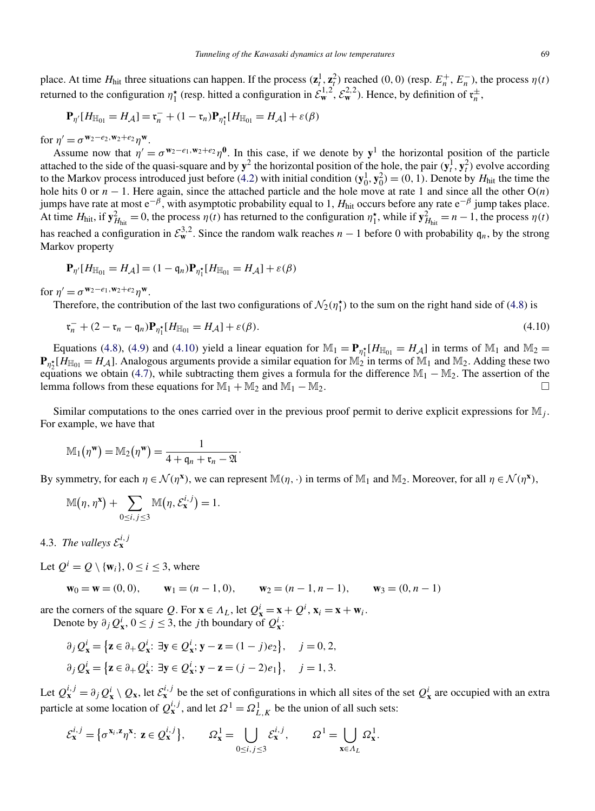<span id="page-10-0"></span>place. At time  $H_{\text{hit}}$  three situations can happen. If the process  $(\mathbf{z}_t^1, \mathbf{z}_t^2)$  reached  $(0, 0)$  (resp.  $E_n^+$ ,  $E_n^-$ ), the process  $\eta(t)$ returned to the configuration  $\eta_1^*$  (resp. hitted a configuration in  $\mathcal{E}_w^{1,2}, \mathcal{E}_w^{2,2}$ ). Hence, by definition of  $\mathfrak{r}_n^{\pm}$ ,

$$
\mathbf{P}_{\eta'}[H_{\mathbb{H}_{01}} = H_{\mathcal{A}}] = \mathfrak{r}_{n}^- + (1 - \mathfrak{r}_{n}) \mathbf{P}_{\eta_1^*}[H_{\mathbb{H}_{01}} = H_{\mathcal{A}}] + \varepsilon(\beta)
$$

for  $\eta' = \sigma^{w_2 - e_2, w_2 + e_2} \eta^w$ .

Assume now that  $\eta' = \sigma^{w_2 - e_1, w_2 + e_2} \eta^0$ . In this case, if we denote by  $y^1$  the horizontal position of the particle attached to the side of the quasi-square and by  $y^2$  the horizontal position of the hole, the pair  $(y_t^1, y_t^2)$  evolve according to the Markov process introduced just before [\(4.2\)](#page-8-0) with initial condition  $(y_0^1, y_0^2) = (0, 1)$ . Denote by  $H_{\text{hit}}$  the time the hole hits 0 or *n* − 1. Here again, since the attached particle and the hole move at rate 1 and since all the other O*(n)* jumps have rate at most e−*<sup>β</sup>* , with asymptotic probability equal to 1, *H*hit occurs before any rate e−*<sup>β</sup>* jump takes place. At time  $H_{\text{hit}}$ , if  $\mathbf{y}_{H_{\text{hit}}}^2 = 0$ , the process  $\eta(t)$  has returned to the configuration  $\eta_1^*$ , while if  $\mathbf{y}_{H_{\text{hit}}}^2 = n - 1$ , the process  $\eta(t)$ has reached a configuration in  $\mathcal{E}_w^{3,2}$ . Since the random walk reaches *n* − 1 before 0 with probability  $q_n$ , by the strong Markov property

$$
\mathbf{P}_{\eta'}[H_{\mathbb{H}_{01}} = H_{\mathcal{A}}] = (1 - \mathfrak{q}_n) \mathbf{P}_{\eta_1^*}[H_{\mathbb{H}_{01}} = H_{\mathcal{A}}] + \varepsilon(\beta)
$$

for  $\eta' = \sigma^{w_2 - e_1, w_2 + e_2} \eta^w$ .

Therefore, the contribution of the last two configurations of  $\mathcal{N}_2(\eta_1^{\star})$  to the sum on the right hand side of [\(4.8\)](#page-9-0) is

$$
\mathfrak{r}_{n}^{-} + (2 - \mathfrak{r}_{n} - \mathfrak{q}_{n}) \mathbf{P}_{\eta_{1}^{\star}} [H_{\mathbb{H}_{01}} = H_{\mathcal{A}}] + \varepsilon(\beta).
$$
\n(4.10)

Equations [\(4.8\)](#page-9-0), [\(4.9\)](#page-9-0) and (4.10) yield a linear equation for  $\mathbb{M}_1 = \mathbf{P}_{\eta_1^*} [H_{\mathbb{H}_{01}} = H_A]$  in terms of  $\mathbb{M}_1$  and  $\mathbb{M}_2 =$  $\mathbf{P}_{\eta_2^{\star}}[H_{\mathbb{H}_0} = H_{\mathcal{A}}]$ . Analogous arguments provide a similar equation for  $\mathbb{M}_2$  in terms of  $\mathbb{M}_1$  and  $\mathbb{M}_2$ . Adding these two equations we obtain [\(4.7\)](#page-9-0), while subtracting them gives a formula for the difference  $\mathbb{M}_1 - \mathbb{M}_2$ . The assertion of the lemma follows from these equations for  $M_1 + M_2$  and  $M_1 - M_2$ .  $\Box$ 

Similar computations to the ones carried over in the previous proof permit to derive explicit expressions for  $M_j$ . For example, we have that

$$
\mathbb{M}_1(\eta^{\mathbf{w}})=\mathbb{M}_2(\eta^{\mathbf{w}})=\frac{1}{4+\mathfrak{q}_n+\mathfrak{r}_n-2\mathfrak{l}}.
$$

By symmetry, for each  $\eta \in \mathcal{N}(\eta^{\mathbf{x}})$ , we can represent  $\mathbb{M}(\eta, \cdot)$  in terms of  $\mathbb{M}_1$  and  $\mathbb{M}_2$ . Moreover, for all  $\eta \in \mathcal{N}(\eta^{\mathbf{x}})$ ,

$$
\mathbb{M}(\eta, \eta^{\mathbf{x}}) + \sum_{0 \leq i, j \leq 3} \mathbb{M}(\eta, \mathcal{E}_{\mathbf{x}}^{i, j}) = 1.
$$

4.3. *The valleys*  $\mathcal{E}_{\mathbf{x}}^{i,j}$ 

Let  $Q^i = Q \setminus \{w_i\}$ ,  $0 \le i \le 3$ , where

$$
\mathbf{w}_0 = \mathbf{w} = (0, 0), \qquad \mathbf{w}_1 = (n - 1, 0), \qquad \mathbf{w}_2 = (n - 1, n - 1), \qquad \mathbf{w}_3 = (0, n - 1)
$$

are the corners of the square *Q*. For  $\mathbf{x} \in \Lambda_L$ , let  $Q_{\mathbf{x}}^i = \mathbf{x} + Q^i$ ,  $\mathbf{x}_i = \mathbf{x} + \mathbf{w}_i$ . Denote by  $\partial_j Q^i_{\mathbf{x}}, 0 \le j \le 3$ , the *j*th boundary of  $Q^i_{\mathbf{x}}$ :

$$
\partial_j Q_{\mathbf{x}}^i = \left\{ \mathbf{z} \in \partial_+ Q_{\mathbf{x}}^i : \exists \mathbf{y} \in Q_{\mathbf{x}}^i; \mathbf{y} - \mathbf{z} = (1 - j)e_2 \right\}, \quad j = 0, 2,
$$
  

$$
\partial_j Q_{\mathbf{x}}^i = \left\{ \mathbf{z} \in \partial_+ Q_{\mathbf{x}}^i: \exists \mathbf{y} \in Q_{\mathbf{x}}^i; \mathbf{y} - \mathbf{z} = (j - 2)e_1 \right\}, \quad j = 1, 3.
$$

Let  $Q_{\mathbf{x}}^{i,j} = \partial_j Q_{\mathbf{x}}^i \setminus Q_{\mathbf{x}}$ , let  $\mathcal{E}_{\mathbf{x}}^{i,j}$  be the set of configurations in which all sites of the set  $Q_{\mathbf{x}}^i$  are occupied with an extra particle at some location of  $Q_{\mathbf{x}}^{i,j}$ , and let  $\Omega^1 = \Omega^1_{L,K}$  be the union of all such sets:

$$
\mathcal{E}_{\mathbf{x}}^{i,j} = \big\{ \sigma^{\mathbf{x}_i, \mathbf{z}} \eta^{\mathbf{x}} \colon \mathbf{z} \in \mathcal{Q}_{\mathbf{x}}^{i,j} \big\}, \qquad \Omega_{\mathbf{x}}^1 = \bigcup_{0 \le i,j \le 3} \mathcal{E}_{\mathbf{x}}^{i,j}, \qquad \Omega^1 = \bigcup_{\mathbf{x} \in \Lambda_L} \Omega_{\mathbf{x}}^1.
$$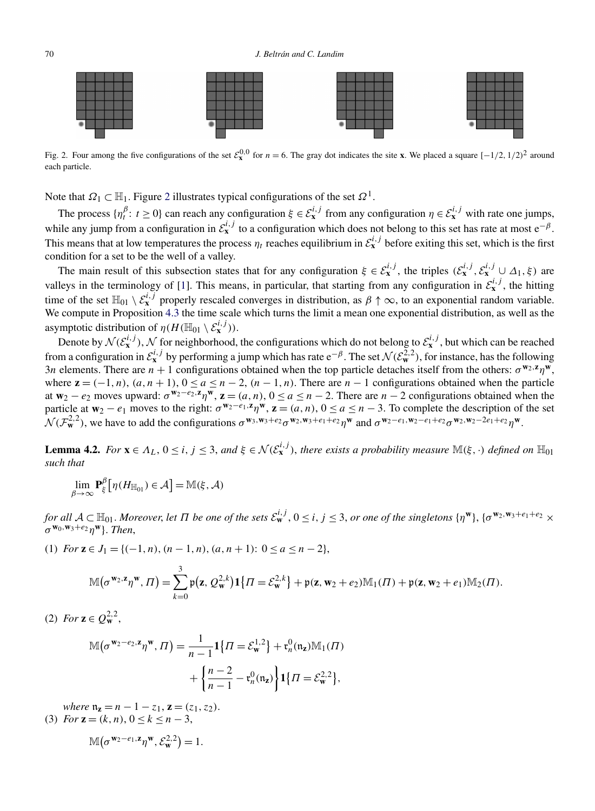<span id="page-11-0"></span>

Fig. 2. Four among the five configurations of the set  $\mathcal{E}_{\mathbf{x}}^{0,0}$  for  $n = 6$ . The gray dot indicates the site **x**. We placed a square  $[-1/2, 1/2)^2$  around each particle.

Note that  $Ω_1 ⊂ \mathbb{H}_1$ . Figure 2 illustrates typical configurations of the set  $Ω<sup>1</sup>$ .

The process  $\{ \eta_t^{\beta} : t \ge 0 \}$  can reach any configuration  $\xi \in \mathcal{E}_{\mathbf{x}}^{i,j}$  from any configuration  $\eta \in \mathcal{E}_{\mathbf{x}}^{i,j}$  with rate one jumps, while any jump from a configuration in  $\mathcal{E}_{\mathbf{x}}^{i,j}$  to a configuration which does not belong to this set has rate at most  $e^{-\beta}$ . This means that at low temperatures the process  $\eta_t$  reaches equilibrium in  $\mathcal{E}_{\mathbf{x}}^{i,j}$  before exiting this set, which is the first condition for a set to be the well of a valley.

The main result of this subsection states that for any configuration  $\xi \in \mathcal{E}_{\mathbf{x}}^{i,j}$ , the triples  $(\mathcal{E}_{\mathbf{x}}^{i,j}, \mathcal{E}_{\mathbf{x}}^{i,j} \cup \Delta_1, \xi)$  are valleys in the terminology of [\[1\]](#page-29-0). This means, in particular, that starting from any configuration in  $\mathcal{E}_{\mathbf{x}}^{i,j}$ , the hitting time of the set  $\mathbb{H}_{01} \setminus \mathcal{E}_{\mathbf{x}}^{i,j}$  properly rescaled converges in distribution, as  $\beta \uparrow \infty$ , to an exponential random variable. We compute in Proposition [4.3](#page-13-0) the time scale which turns the limit a mean one exponential distribution, as well as the asymptotic distribution of  $\eta(H(\mathbb{H}_{01} \setminus \mathcal{E}_{\mathbf{x}}^{i,j}))$ .

Denote by  $\mathcal{N}(\mathcal{E}_{\mathbf{x}}^{i,j})$ ,  $\mathcal{N}$  for neighborhood, the configurations which do not belong to  $\mathcal{E}_{\mathbf{x}}^{i,j}$ , but which can be reached from a configuration in  $\mathcal{E}_{\mathbf{x}}^{i,j}$  by performing a jump which has rate  $e^{-\beta}$ . The set  $\mathcal{N}(\mathcal{E}_{\mathbf{w}}^{2,2})$ , for instance, has the following 3*n* elements. There are  $n + 1$  configurations obtained when the top particle detaches itself from the others:  $\sigma^{w_2} \sigma_\eta w$ , where  $z = (-1, n)$ ,  $(a, n + 1)$ ,  $0 \le a \le n - 2$ ,  $(n - 1, n)$ . There are  $n - 1$  configurations obtained when the particle at  $\mathbf{w}_2 - e_2$  moves upward:  $\sigma^{\mathbf{w}_2 - e_2, \mathbf{z}} \eta^{\mathbf{w}}, \mathbf{z} = (a, n), 0 \le a \le n - 2$ . There are  $n - 2$  configurations obtained when the particle at  $\mathbf{w}_2 - e_1$  moves to the right:  $\sigma^{\mathbf{w}_2 - e_1, \mathbf{z}} \eta^{\mathbf{w}}, \mathbf{z} = (a, n), 0 \le a \le n - 3$ . To complete the description of the set  $\mathcal{N}(\mathcal{F}_{\mathbf{w}}^{2,2})$ , we have to add the configurations  $\sigma^{\mathbf{w}_3,\mathbf{w}_3+e_2}\sigma^{\mathbf{w}_2,\mathbf{w}_3+e_1+e_2}\eta^{\mathbf{w}}$  and  $\sigma^{\mathbf{w}_2-e_1,\mathbf{w}_2-e_1+e_2}\sigma^{\mathbf{w}_2,\mathbf{w}_2-2e_1+e_2}\eta^{\mathbf{w}}$ .

**Lemma 4.2.** *For*  $\mathbf{x} \in \Lambda_L$ ,  $0 \le i, j \le 3$ , and  $\xi \in \mathcal{N}(\mathcal{E}_\mathbf{x}^{i,j})$ , there exists a probability measure  $\mathbb{M}(\xi, \cdot)$  defined on  $\mathbb{H}_{01}$ *such that*

$$
\lim_{\beta \to \infty} \mathbf{P}_{\xi}^{\beta} \big[ \eta(H_{\mathbb{H}_{01}}) \in \mathcal{A} \big] = \mathbb{M}(\xi, \mathcal{A})
$$

for all  $A \subset \mathbb{H}_{01}$ . Moreover, let  $\Pi$  be one of the sets  $\mathcal{E}_{\mathbf{w}}^{i,j}$ ,  $0 \leq i, j \leq 3$ , or one of the singletons  $\{\eta^{\mathbf{w}}\}$ ,  $\{\sigma^{\mathbf{w}_2, \mathbf{w}_3 + e_1 + e_2} \times$  $\sigma^{w_0, w_3 + e_2} n^w$ . *Then*,

(1) For 
$$
\mathbf{z} \in J_1 = \{(-1, n), (n - 1, n), (a, n + 1): 0 \le a \le n - 2\}
$$
,

$$
\mathbb{M}(\sigma^{\mathbf{w}_2,\mathbf{z}}\eta^{\mathbf{w}},\Pi)=\sum_{k=0}^3\mathfrak{p}(\mathbf{z},\mathcal{Q}_{\mathbf{w}}^{2,k})\mathbf{1}\{\Pi=\mathcal{E}_{\mathbf{w}}^{2,k}\}+\mathfrak{p}(\mathbf{z},\mathbf{w}_2+e_2)\mathbb{M}_1(\Pi)+\mathfrak{p}(\mathbf{z},\mathbf{w}_2+e_1)\mathbb{M}_2(\Pi).
$$

(2) *For*  $z \in Q_w^{2,2}$ ,

$$
\mathbb{M}(\sigma^{\mathbf{w}_2 - e_2, \mathbf{z}} \eta^{\mathbf{w}}, \Pi) = \frac{1}{n-1} \mathbf{1} \{ \Pi = \mathcal{E}_{\mathbf{w}}^{1,2} \} + \mathfrak{r}_n^0(\mathfrak{n}_\mathbf{z}) \mathbb{M}_1(\Pi) + \left\{ \frac{n-2}{n-1} - \mathfrak{r}_n^0(\mathfrak{n}_\mathbf{z}) \right\} \mathbf{1} \{ \Pi = \mathcal{E}_{\mathbf{w}}^{2,2} \},
$$

*where*  $\mathfrak{n}_z = n - 1 - z_1$ ,  $z = (z_1, z_2)$ . (3) *For*  $z = (k, n), 0 \le k \le n - 3$ ,

$$
\mathbb{M}\big(\sigma^{\mathbf{w}_2-\boldsymbol{e}_1,\mathbf{z}}\eta^{\mathbf{w}},\mathcal{E}^{2,2}_{\mathbf{w}}\big)=1.
$$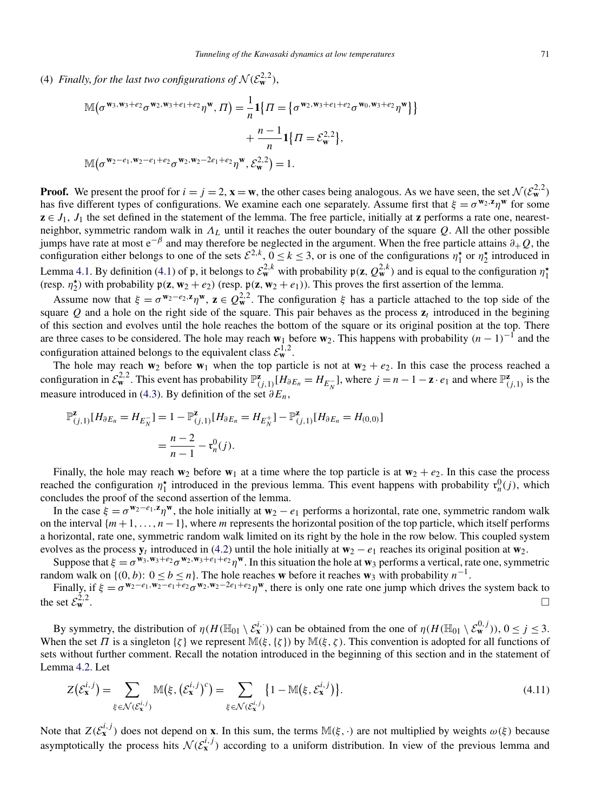<span id="page-12-0"></span>(4) *Finally, for the last two configurations of*  $\mathcal{N}(\mathcal{E}_{\mathbf{w}}^{2,2})$ ,

$$
\mathbb{M}(\sigma^{\mathbf{w}_3, \mathbf{w}_3 + e_2} \sigma^{\mathbf{w}_2, \mathbf{w}_3 + e_1 + e_2} \eta^{\mathbf{w}}, \Pi) = \frac{1}{n} \mathbf{1} \{ \Pi = \{ \sigma^{\mathbf{w}_2, \mathbf{w}_3 + e_1 + e_2} \sigma^{\mathbf{w}_0, \mathbf{w}_3 + e_2} \eta^{\mathbf{w}} \} \} + \frac{n-1}{n} \mathbf{1} \{ \Pi = \mathcal{E}_{\mathbf{w}}^{2,2} \},
$$
  

$$
\mathbb{M}(\sigma^{\mathbf{w}_2 - e_1, \mathbf{w}_2 - e_1 + e_2} \sigma^{\mathbf{w}_2, \mathbf{w}_2 - 2e_1 + e_2} \eta^{\mathbf{w}}, \mathcal{E}_{\mathbf{w}}^{2,2} ) = 1.
$$

**Proof.** We present the proof for  $i = j = 2$ ,  $\mathbf{x} = \mathbf{w}$ , the other cases being analogous. As we have seen, the set  $\mathcal{N}(\mathcal{E}_{\mathbf{w}}^{2,2})$ has five different types of configurations. We examine each one separately. Assume first that  $\xi = \sigma^{w_2} \cdot z_\eta$ **w** for some  $z \in J_1$ ,  $J_1$  the set defined in the statement of the lemma. The free particle, initially at **z** performs a rate one, nearestneighbor, symmetric random walk in *ΛL* until it reaches the outer boundary of the square *Q*. All the other possible jumps have rate at most e−*<sup>β</sup>* and may therefore be neglected in the argument. When the free particle attains *∂*+*Q*, the configuration either belongs to one of the sets  $\mathcal{E}^{2,k}$ ,  $0 \le k \le 3$ , or is one of the configurations  $\eta_1^{\star}$  or  $\eta_2^{\star}$  introduced in Lemma [4.1.](#page-9-0) By definition [\(4.1\)](#page-7-0) of p, it belongs to  $\mathcal{E}_{\mathbf{w}}^{2,k}$  with probability  $p(\mathbf{z}, Q_{\mathbf{w}}^{2,k})$  and is equal to the configuration  $\eta_1^*$ (resp.  $\eta_2^{\star}$ ) with probability  $p(\mathbf{z}, \mathbf{w}_2 + e_2)$  (resp.  $p(\mathbf{z}, \mathbf{w}_2 + e_1)$ ). This proves the first assertion of the lemma.

Assume now that  $\xi = \sigma^{w_2 - e_2, z} \eta^w$ ,  $z \in Q_w^{2,2}$ . The configuration  $\xi$  has a particle attached to the top side of the square  $Q$  and a hole on the right side of the square. This pair behaves as the process  $z_t$  introduced in the begining of this section and evolves until the hole reaches the bottom of the square or its original position at the top. There are three cases to be considered. The hole may reach  $w_1$  before  $w_2$ . This happens with probability  $(n - 1)^{-1}$  and the configuration attained belongs to the equivalent class  $\mathcal{E}_{w}^{1,2}$ .

The hole may reach  $w_2$  before  $w_1$  when the top particle is not at  $w_2 + e_2$ . In this case the process reached a configuration in  $\mathcal{E}_{\mathbf{w}}^{2,2}$ . This event has probability  $\mathbb{P}_{(j,1)}^{\mathbf{z}}[H_{\partial E_n} = H_{E_N^-}]$ , where  $j = n - 1 - \mathbf{z} \cdot e_1$  and where  $\mathbb{P}_{(j,1)}^{\mathbf{z}}$  is the measure introduced in [\(4.3\)](#page-8-0). By definition of the set  $\hat{\theta}E_n$ ,

$$
\mathbb{P}_{(j,1)}^{\mathbf{z}}[H_{\partial E_n} = H_{E_N^{-}}] = 1 - \mathbb{P}_{(j,1)}^{\mathbf{z}}[H_{\partial E_n} = H_{E_N^{+}}] - \mathbb{P}_{(j,1)}^{\mathbf{z}}[H_{\partial E_n} = H_{(0,0)}]
$$
  
=  $\frac{n-2}{n-1} - \mathfrak{r}_n^0(j).$ 

Finally, the hole may reach  $w_2$  before  $w_1$  at a time where the top particle is at  $w_2 + e_2$ . In this case the process reached the configuration  $\eta_1^*$  introduced in the previous lemma. This event happens with probability  $\mathfrak{r}_n^0(j)$ , which concludes the proof of the second assertion of the lemma.

In the case  $\xi = \sigma^{w_2 - e_1, z} \eta^w$ , the hole initially at  $w_2 - e_1$  performs a horizontal, rate one, symmetric random walk on the interval {*m*+1*,...,n*−1}, where *m* represents the horizontal position of the top particle, which itself performs a horizontal, rate one, symmetric random walk limited on its right by the hole in the row below. This coupled system evolves as the process  $\mathbf{y}_t$  introduced in [\(4.2\)](#page-8-0) until the hole initially at  $\mathbf{w}_2 - e_1$  reaches its original position at  $\mathbf{w}_2$ .

Suppose that  $\xi = \sigma^{w_3, w_3 + e_2} \sigma^{w_2, w_3 + e_1 + e_2} \eta^w$ . In this situation the hole at **w**<sub>3</sub> performs a vertical, rate one, symmetric random walk on  $\{(0, b): 0 \le b \le n\}$ . The hole reaches **w** before it reaches **w**<sub>3</sub> with probability  $n^{-1}$ .

Finally, if  $\xi = \sigma^{w_2 - e_1, w_2 - e_1 + e_2} \sigma^{w_2, w_2 - 2e_1 + e_2} \eta^w$ , there is only one rate one jump which drives the system back to the set  $\mathcal{E}_{\mathbf{w}}^{2,2}$ .

By symmetry, the distribution of  $\eta(H(\mathbb{H}_{01} \setminus \mathcal{E}_{\mathbf{x}}^{i,\cdot}))$  can be obtained from the one of  $\eta(H(\mathbb{H}_{01} \setminus \mathcal{E}_{\mathbf{w}}^{0,j}))$ ,  $0 \le j \le 3$ . When the set *Π* is a singleton  $\{\zeta\}$  we represent  $\mathbb{M}(\xi,\{\zeta\})$  by  $\mathbb{M}(\xi,\zeta)$ . This convention is adopted for all functions of sets without further comment. Recall the notation introduced in the beginning of this section and in the statement of Lemma [4.2.](#page-11-0) Let

$$
Z(\mathcal{E}_{\mathbf{x}}^{i,j}) = \sum_{\xi \in \mathcal{N}(\mathcal{E}_{\mathbf{x}}^{i,j})} \mathbb{M}(\xi, (\mathcal{E}_{\mathbf{x}}^{i,j})^c) = \sum_{\xi \in \mathcal{N}(\mathcal{E}_{\mathbf{x}}^{i,j})} \{1 - \mathbb{M}(\xi, \mathcal{E}_{\mathbf{x}}^{i,j})\}.
$$
\n(4.11)

Note that  $Z(\mathcal{E}_{\mathbf{x}}^{i,j})$  does not depend on **x**. In this sum, the terms  $\mathbb{M}(\xi,\cdot)$  are not multiplied by weights  $\omega(\xi)$  because asymptotically the process hits  $\mathcal{N}(\mathcal{E}_{\mathbf{x}}^{i,j})$  according to a uniform distribution. In view of the previous lemma and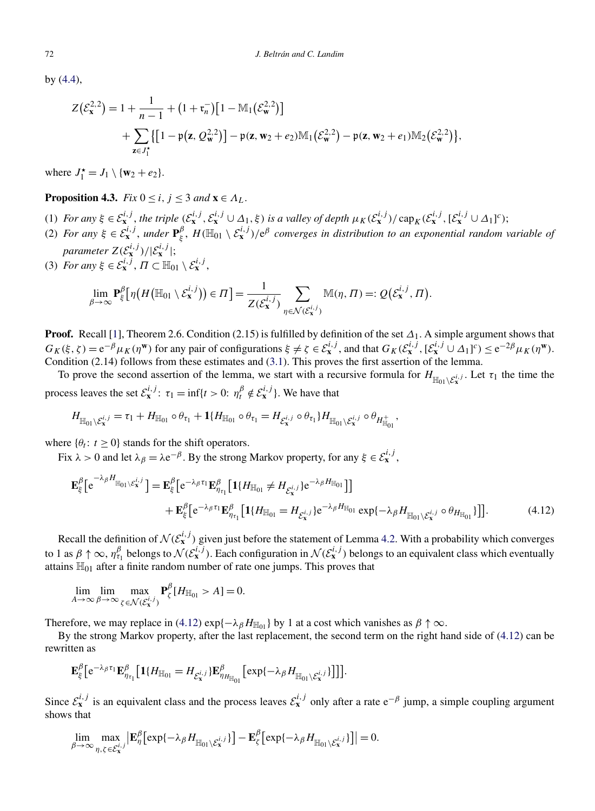<span id="page-13-0"></span>by [\(4.4\)](#page-8-0),

$$
Z(\mathcal{E}_{\mathbf{x}}^{2,2}) = 1 + \frac{1}{n-1} + (1 + \mathfrak{r}_{n}^{-})[1 - M_{1}(\mathcal{E}_{\mathbf{w}}^{2,2})] + \sum_{\mathbf{z} \in J_{1}^{*}} \{ [1 - \mathfrak{p}(\mathbf{z}, \mathcal{Q}_{\mathbf{w}}^{2,2})] - \mathfrak{p}(\mathbf{z}, \mathbf{w}_{2} + e_{2})M_{1}(\mathcal{E}_{\mathbf{w}}^{2,2}) - \mathfrak{p}(\mathbf{z}, \mathbf{w}_{2} + e_{1})M_{2}(\mathcal{E}_{\mathbf{w}}^{2,2}) \},
$$

where  $J_1^* = J_1 \setminus \{w_2 + e_2\}.$ 

**Proposition 4.3.** *Fix*  $0 \le i, j \le 3$  *and*  $\mathbf{x} \in \Lambda_L$ .

- (1) For any  $\xi \in \mathcal{E}_{\mathbf{x}}^{i,j}$ , the triple  $(\mathcal{E}_{\mathbf{x}}^{i,j}, \mathcal{E}_{\mathbf{x}}^{i,j} \cup \Delta_1, \xi)$  is a valley of depth  $\mu_K(\mathcal{E}_{\mathbf{x}}^{i,j})$   $\exp_K(\mathcal{E}_{\mathbf{x}}^{i,j}, [\mathcal{E}_{\mathbf{x}}^{i,j} \cup \Delta_1]^c)$ ;
- (2) For any  $\xi \in \mathcal{E}_{\mathbf{x}}^{i,j}$ , under  $\mathbf{P}_{\xi}^{\beta}$ ,  $H(\mathbb{H}_{01} \setminus \mathcal{E}_{\mathbf{x}}^{i,j})/e^{\beta}$  converges in distribution to an exponential random variable of  $\frac{\partial}{\partial \mathbf{f}} \text{parameter } Z(\mathcal{E}_{\mathbf{x}}^{i,j})/|\mathcal{E}_{\mathbf{x}}^{i,j}|;$
- (3) *For any*  $\xi \in \mathcal{E}_{\mathbf{x}}^{i,j}$ ,  $\Pi \subset \mathbb{H}_{01} \setminus \mathcal{E}_{\mathbf{x}}^{i,j}$ ,

$$
\lim_{\beta \to \infty} \mathbf{P}_{\xi}^{\beta} \big[ \eta \big( H(\mathbb{H}_{01} \setminus \mathcal{E}_{\mathbf{x}}^{i,j}) \big) \in \Pi \big] = \frac{1}{Z(\mathcal{E}_{\mathbf{x}}^{i,j})} \sum_{\eta \in \mathcal{N}(\mathcal{E}_{\mathbf{x}}^{i,j})} \mathbb{M}(\eta, \Pi) =: Q(\mathcal{E}_{\mathbf{x}}^{i,j}, \Pi).
$$

**Proof.** Recall [\[1\]](#page-29-0), Theorem 2.6. Condition (2.15) is fulfilled by definition of the set *Δ*1. A simple argument shows that  $G_K(\xi, \zeta) = e^{-\beta} \mu_K(\eta^{\mathbf{w}})$  for any pair of configurations  $\xi \neq \zeta \in \mathcal{E}_{\mathbf{x}}^{i,j}$ , and that  $G_K(\mathcal{E}_{\mathbf{x}}^{i,j}, [\mathcal{E}_{\mathbf{x}}^{i,j} \cup \Delta_1]^c) \leq e^{-2\beta} \mu_K(\eta^{\mathbf{w}})$ . Condition (2.14) follows from these estimates and [\(3.1\)](#page-6-0). This proves the first assertion of the lemma.

To prove the second assertion of the lemma, we start with a recursive formula for  $H_{\mathbb{H}_{01}\setminus \mathcal{E}_{\mathbf{x}}^{i,j}}$ . Let  $\tau_1$  the time the process leaves the set  $\mathcal{E}_{\mathbf{x}}^{i,j}$ :  $\tau_1 = \inf\{t > 0: \eta_t^{\beta} \notin \mathcal{E}_{\mathbf{x}}^{i,j}\}\)$ . We have that

$$
H_{\mathbb{H}_{01}\setminus \mathcal{E}_{\mathbf{x}}^{i,j}} = \tau_1 + H_{\mathbb{H}_{01}} \circ \theta_{\tau_1} + \mathbf{1} \{H_{\mathbb{H}_{01}} \circ \theta_{\tau_1} = H_{\mathcal{E}_{\mathbf{x}}^{i,j}} \circ \theta_{\tau_1} \} H_{\mathbb{H}_{01}\setminus \mathcal{E}_{\mathbf{x}}^{i,j}} \circ \theta_{H_{\mathbb{H}_{01}}^+},
$$

where  $\{\theta_t: t > 0\}$  stands for the shift operators.

Fix  $\lambda > 0$  and let  $\lambda_{\beta} = \lambda e^{-\beta}$ . By the strong Markov property, for any  $\xi \in \mathcal{E}_{\mathbf{x}}^{i,j}$ ,

$$
\mathbf{E}_{\xi}^{\beta} \left[ e^{-\lambda_{\beta} H_{\mathbb{H}_{01} \setminus \mathcal{E}_{\mathbf{x}}^{i,j}}} \right] = \mathbf{E}_{\xi}^{\beta} \left[ e^{-\lambda_{\beta} \tau_{1}} \mathbf{E}_{\eta_{\tau_{1}}}^{\beta} \left[ 1 \{ H_{\mathbb{H}_{01}} \neq H_{\mathcal{E}_{\mathbf{x}}^{i,j}} \} e^{-\lambda_{\beta} H_{\mathbb{H}_{01}}} \right] \right] + \mathbf{E}_{\xi}^{\beta} \left[ e^{-\lambda_{\beta} \tau_{1}} \mathbf{E}_{\eta_{\tau_{1}}}^{\beta} \left[ 1 \{ H_{\mathbb{H}_{01}} \neq H_{\mathcal{E}_{\mathbf{x}}^{i,j}} \} e^{-\lambda_{\beta} H_{\mathbb{H}_{01}}} \exp\{-\lambda_{\beta} H_{\mathbb{H}_{01} \setminus \mathcal{E}_{\mathbf{x}}^{i,j}} \circ \theta_{H_{\mathbb{H}_{01}}} \} \right] \right].
$$
\n(4.12)

Recall the definition of  $N(\mathcal{E}_{\mathbf{x}}^{i,j})$  given just before the statement of Lemma [4.2.](#page-11-0) With a probability which converges to 1 as  $\beta \uparrow \infty$ ,  $\eta_{\tau_1}^{\beta}$  belongs to  $\mathcal{N}(\mathcal{E}_{\mathbf{x}}^{i,j})$ . Each configuration in  $\mathcal{N}(\mathcal{E}_{\mathbf{x}}^{i,j})$  belongs to an equivalent class which eventually attains  $\mathbb{H}_{01}$  after a finite random number of rate one jumps. This proves that

$$
\lim_{A\to\infty}\lim_{\beta\to\infty}\max_{\zeta\in\mathcal{N}(\mathcal{E}_{\mathbf{x}}^{i,j})}\mathbf{P}_{\zeta}^{\beta}[H_{\mathbb{H}_{01}} > A] = 0.
$$

Therefore, we may replace in (4.12)  $\exp\{-\lambda_{\beta}H_{\mathbb{H}_{01}}\}$  by 1 at a cost which vanishes as  $\beta \uparrow \infty$ .

By the strong Markov property, after the last replacement, the second term on the right hand side of (4.12) can be rewritten as

$$
\mathbf{E}_{\xi}^{\beta} \big[ e^{-\lambda_{\beta} \tau_1} \mathbf{E}_{\eta_{\tau_1}}^{\beta} \big[ \mathbf{1} \{ H_{\mathbb{H}_{01}} = H_{\mathcal{E}_{\mathbf{x}}^{i,j}} \} \mathbf{E}_{\eta_{H_{\mathbb{H}_{01}}}}^{\beta} \big[ \exp \{-\lambda_{\beta} H_{\mathbb{H}_{01} \setminus \mathcal{E}_{\mathbf{x}}^{i,j}} \} \big] \big] \big].
$$

Since  $\mathcal{E}_{\mathbf{x}}^{i,j}$  is an equivalent class and the process leaves  $\mathcal{E}_{\mathbf{x}}^{i,j}$  only after a rate  $e^{-\beta}$  jump, a simple coupling argument shows that

$$
\lim_{\beta \to \infty} \max_{\eta, \zeta \in \mathcal{E}_{\mathbf{x}}^{i,j}} \left| \mathbf{E}_{\eta}^{\beta} \left[ \exp\{-\lambda_{\beta} H_{\mathbb{H}_{01} \setminus \mathcal{E}_{\mathbf{x}}^{i,j}} \} \right] - \mathbf{E}_{\zeta}^{\beta} \left[ \exp\{-\lambda_{\beta} H_{\mathbb{H}_{01} \setminus \mathcal{E}_{\mathbf{x}}^{i,j}} \} \right] \right| = 0.
$$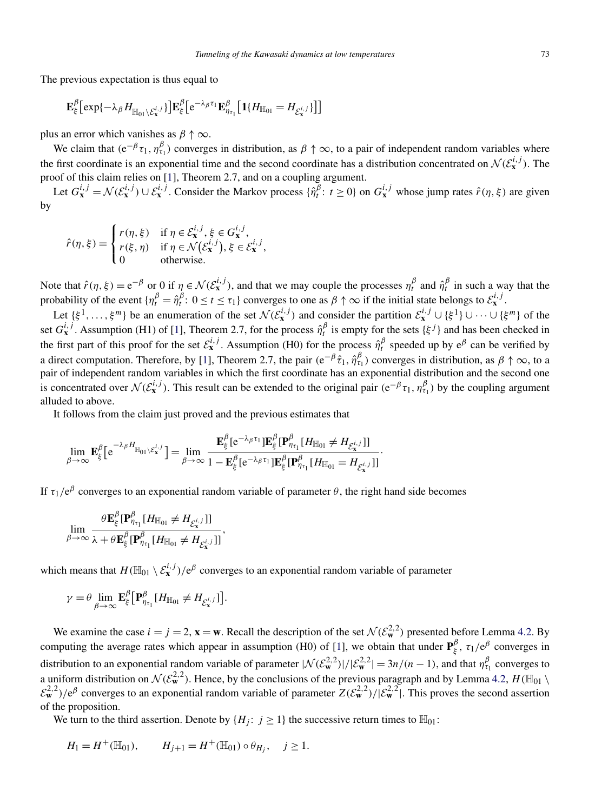The previous expectation is thus equal to

$$
\mathbf{E}_{\xi}^{\beta} \big[ \exp\{-\lambda_{\beta} H_{\mathbb{H}_{01} \setminus \mathcal{E}_{\mathbf{x}}^{i,j}} \} \big] \mathbf{E}_{\xi}^{\beta} \big[ e^{-\lambda_{\beta} \tau_1} \mathbf{E}_{\eta_{\tau_1}}^{\beta} \big[ \mathbf{1} \{ H_{\mathbb{H}_{01}} = H_{\mathcal{E}_{\mathbf{x}}^{i,j}} \} \big] \big]
$$

plus an error which vanishes as  $\beta \uparrow \infty$ .

We claim that  $(e^{-\beta} \tau_1, \eta_{\tau_1}^{\beta})$  converges in distribution, as  $\beta \uparrow \infty$ , to a pair of independent random variables where the first coordinate is an exponential time and the second coordinate has a distribution concentrated on  $\mathcal{N}(\mathcal{E}_{\mathbf{x}}^{i,j})$ . The proof of this claim relies on [\[1\]](#page-29-0), Theorem 2.7, and on a coupling argument.

Let  $G_{\mathbf{x}}^{i,j} = \mathcal{N}(\mathcal{E}_{\mathbf{x}}^{i,j}) \cup \mathcal{E}_{\mathbf{x}}^{i,j}$ . Consider the Markov process  $\{\hat{\eta}_t^{\beta}: t \ge 0\}$  on  $G_{\mathbf{x}}^{i,j}$  whose jump rates  $\hat{r}(\eta, \xi)$  are given by

$$
\hat{r}(\eta,\xi) = \begin{cases}\nr(\eta,\xi) & \text{if } \eta \in \mathcal{E}_{\mathbf{x}}^{i,j}, \xi \in G_{\mathbf{x}}^{i,j}, \\
r(\xi,\eta) & \text{if } \eta \in \mathcal{N}(\mathcal{E}_{\mathbf{x}}^{i,j}), \xi \in \mathcal{E}_{\mathbf{x}}^{i,j}, \\
0 & \text{otherwise}.\n\end{cases}
$$

Note that  $\hat{r}(\eta, \xi) = e^{-\beta}$  or 0 if  $\eta \in \mathcal{N}(\mathcal{E}_{\mathbf{x}}^{i,j})$ , and that we may couple the processes  $\eta_t^{\beta}$  and  $\hat{\eta}_t^{\beta}$  in such a way that the probability of the event  $\{\eta_t^{\beta} = \hat{\eta}_t^{\beta} : 0 \le t \le \tau_1\}$  converges to one as  $\beta \uparrow \infty$  if the initial state belongs to  $\mathcal{E}_{\mathbf{x}}^{i,j}$ .

Let  $\{\xi^1, \ldots, \xi^m\}$  be an enumeration of the set  $\mathcal{N}(\mathcal{E}_{\mathbf{x}}^{i,j})$  and consider the partition  $\mathcal{E}_{\mathbf{x}}^{i,j} \cup \{\xi^1\} \cup \cdots \cup \{\xi^m\}$  of the set  $G_{\mathbf{x}}^{i,j}$ . Assumption (H1) of [\[1\]](#page-29-0), Theorem 2.7, for the process  $\hat{\eta}_t^{\beta}$  is empty for the sets  $\{\xi^j\}$  and has been checked in the first part of this proof for the set  $\mathcal{E}_{\mathbf{x}}^{i,j}$ . Assumption (H0) for the process  $\hat{\eta}_t^{\beta}$  speeded up by  $e^{\beta}$  can be verified by a direct computation. Therefore, by [\[1\]](#page-29-0), Theorem 2.7, the pair  $(e^{-\beta}\hat{\tau}_1, \hat{\eta}^{\beta}_{\tau_1})$  converges in distribution, as  $\beta \uparrow \infty$ , to a pair of independent random variables in which the first coordinate has an exponential distribution and the second one is concentrated over  $\mathcal{N}(\mathcal{E}_{\mathbf{x}}^{i,j})$ . This result can be extended to the original pair  $(e^{-\beta} \tau_1, \eta_{\tau_1}^{\beta})$  by the coupling argument alluded to above.

It follows from the claim just proved and the previous estimates that

$$
\lim_{\beta \to \infty} \mathbf{E}_{\xi}^{\beta} \big[ e^{-\lambda_{\beta} H_{\mathbb{H}_{01}} \setminus \varepsilon_{\mathbf{x}}^{i,j}} \big] = \lim_{\beta \to \infty} \frac{\mathbf{E}_{\xi}^{\beta} [e^{-\lambda_{\beta} \tau_1}] \mathbf{E}_{\xi}^{\beta} [\mathbf{P}_{\eta_{\tau_1}}^{\beta} [H_{\mathbb{H}_{01}} \neq H_{\varepsilon_{\mathbf{x}}^{i,j}}]]}{1 - \mathbf{E}_{\xi}^{\beta} [e^{-\lambda_{\beta} \tau_1}] \mathbf{E}_{\xi}^{\beta} [\mathbf{P}_{\eta_{\tau_1}}^{\beta} [H_{\mathbb{H}_{01}} = H_{\varepsilon_{\mathbf{x}}^{i,j}}]]}.
$$

If *τ*<sub>1</sub>/e<sup>β</sup> converges to an exponential random variable of parameter  $θ$ , the right hand side becomes

$$
\lim_{\beta \to \infty} \frac{\theta \mathbf{E}_{\xi}^{\beta} [\mathbf{P}_{\eta_{\tau_1}}^{\beta} [H_{\mathbb{H}_{01}} \neq H_{\mathcal{E}_{\mathbf{x}}^{i,j}}]]}{\lambda + \theta \mathbf{E}_{\xi}^{\beta} [\mathbf{P}_{\eta_{\tau_1}}^{\beta} [H_{\mathbb{H}_{01}} \neq H_{\mathcal{E}_{\mathbf{x}}^{i,j}}]]},
$$

which means that  $H(\mathbb{H}_{01} \setminus \mathcal{E}_{\mathbf{x}}^{i,j})/e^{\beta}$  converges to an exponential random variable of parameter

$$
\gamma = \theta \lim_{\beta \to \infty} \mathbf{E}_{\xi}^{\beta} \big[ \mathbf{P}_{\eta_{\tau_1}}^{\beta} [H_{\mathbb{H}_{01}} \neq H_{\xi_{\mathbf{x}}^{i,j}}] \big].
$$

We examine the case  $i = j = 2$ ,  $\mathbf{x} = \mathbf{w}$ . Recall the description of the set  $\mathcal{N}(\mathcal{E}_{\mathbf{w}}^{2,2})$  presented before Lemma [4.2.](#page-11-0) By computing the average rates which appear in assumption (H0) of [\[1\]](#page-29-0), we obtain that under  $\mathbf{P}^{\beta}_{\xi}$ ,  $\tau_1/e^{\beta}$  converges in distribution to an exponential random variable of parameter  $|\mathcal{N}(\mathcal{E}_w^{2,2})|/|\mathcal{E}_w^{2,2}| = 3n/(n-1)$ , and that  $\eta_{\tau_1}^{\beta}$  converges to a uniform distribution on  $\mathcal{N}(\mathcal{E}_{\mathbf{w}}^{2,2})$ . Hence, by the conclusions of the previous paragraph and by Lemma [4.2,](#page-11-0)  $H(\mathbb{H}_{01} \setminus \mathbb{R}_{01})$  $\mathcal{E}_{\mathbf{w}}^{2,2}$ )/ $e^{\beta}$  converges to an exponential random variable of parameter  $Z(\mathcal{E}_{\mathbf{w}}^{2,2})/|\mathcal{E}_{\mathbf{w}}^{2,2}|$ . This proves the second assertion of the proposition.

We turn to the third assertion. Denote by  $\{H_i: j \geq 1\}$  the successive return times to  $\mathbb{H}_{01}$ :

$$
H_1 = H^+(\mathbb{H}_{01}), \qquad H_{j+1} = H^+(\mathbb{H}_{01}) \circ \theta_{H_j}, \quad j \ge 1.
$$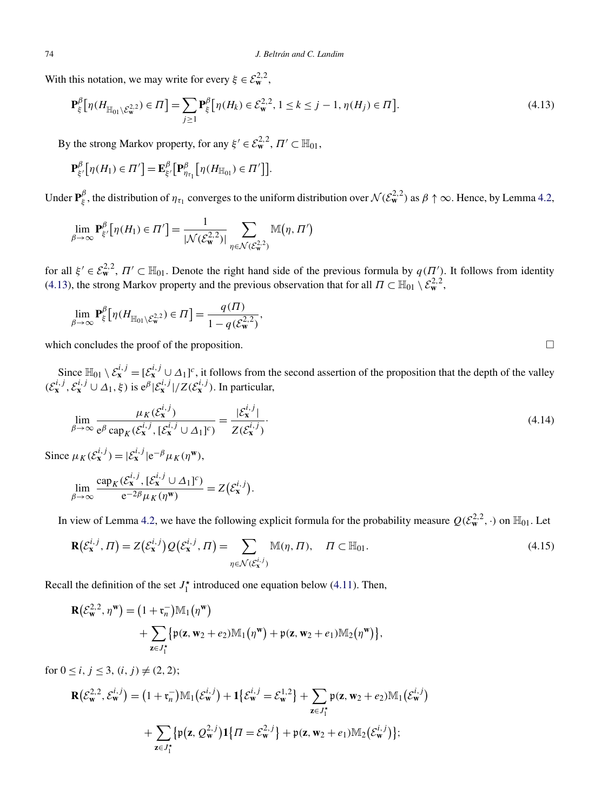<span id="page-15-0"></span>With this notation, we may write for every  $\xi \in \mathcal{E}_{\mathbf{w}}^{2,2}$ ,

$$
\mathbf{P}_{\xi}^{\beta} \big[ \eta(H_{\mathbb{H}_{01} \setminus \mathcal{E}_{\mathbf{w}}^{2,2}}) \in \Pi \big] = \sum_{j \ge 1} \mathbf{P}_{\xi}^{\beta} \big[ \eta(H_k) \in \mathcal{E}_{\mathbf{w}}^{2,2}, 1 \le k \le j-1, \eta(H_j) \in \Pi \big].
$$
 (4.13)

By the strong Markov property, for any  $\xi' \in \mathcal{E}_w^{2,2}$ ,  $\Pi' \subset \mathbb{H}_{01}$ ,

$$
\mathbf{P}_{\xi'}^{\beta}\big[\eta(H_1)\in\Pi'\big]=\mathbf{E}_{\xi'}^{\beta}\big[\mathbf{P}_{\eta_{\tau_1}}^{\beta}\big[\eta(H_{\mathbb{H}_{01}})\in\Pi'\big]\big].
$$

Under  $\mathbf{P}_{\xi}^{\beta}$ , the distribution of  $\eta_{\tau_1}$  converges to the uniform distribution over  $\mathcal{N}(\mathcal{E}_{\mathbf{w}}^{2,2})$  as  $\beta \uparrow \infty$ . Hence, by Lemma [4.2,](#page-11-0)

$$
\lim_{\beta \to \infty} \mathbf{P}_{\xi'}^{\beta} [\eta(H_1) \in \Pi'] = \frac{1}{|\mathcal{N}(\mathcal{E}_{\mathbf{w}}^{2,2})|} \sum_{\eta \in \mathcal{N}(\mathcal{E}_{\mathbf{w}}^{2,2})} \mathbb{M}(\eta, \Pi')
$$

for all  $\xi' \in \mathcal{E}_{\mathbf{w}}^{2,2}$ ,  $\Pi' \subset \mathbb{H}_{01}$ . Denote the right hand side of the previous formula by  $q(\Pi')$ . It follows from identity (4.13), the strong Markov property and the previous observation that for all  $\Pi \subset \mathbb{H}_{01} \setminus \mathcal{E}_{\mathbf{w}}^{2,2}$ ,

$$
\lim_{\beta \to \infty} \mathbf{P}_{\xi}^{\beta} \big[ \eta(H_{\mathbb{H}_{01} \setminus \mathcal{E}_{\mathbf{w}}^{2,2}}) \in \Pi \big] = \frac{q(\Pi)}{1 - q(\mathcal{E}_{\mathbf{w}}^{2,2})},
$$

which concludes the proof of the proposition.  $\Box$ 

Since  $\mathbb{H}_{01} \setminus \mathcal{E}_{\mathbf{x}}^{i,j} = [\mathcal{E}_{\mathbf{x}}^{i,j} \cup \Delta_1]^c$ , it follows from the second assertion of the proposition that the depth of the valley  $(\mathcal{E}_{\mathbf{x}}^{i,j}, \mathcal{E}_{\mathbf{x}}^{i,j} \cup \Delta_1, \xi)$  is  $e^{\beta} |\mathcal{E}_{\mathbf{x}}^{i,j}| / Z(\mathcal{E}_{\mathbf{x}}^{i,j})$ . In particular,

$$
\lim_{\beta \to \infty} \frac{\mu_K(\mathcal{E}_{\mathbf{x}}^{i,j})}{e^{\beta} \operatorname{cap}_K(\mathcal{E}_{\mathbf{x}}^{i,j}, [\mathcal{E}_{\mathbf{x}}^{i,j} \cup \Delta_1]^c)} = \frac{|\mathcal{E}_{\mathbf{x}}^{i,j}|}{Z(\mathcal{E}_{\mathbf{x}}^{i,j})}.
$$
\n(4.14)

Since  $\mu_K(\mathcal{E}_{\mathbf{x}}^{i,j}) = |\mathcal{E}_{\mathbf{x}}^{i,j}| e^{-\beta} \mu_K(\eta^{\mathbf{w}}),$ 

$$
\lim_{\beta \to \infty} \frac{\text{cap}_K(\mathcal{E}_{\mathbf{x}}^{i,j}, [\mathcal{E}_{\mathbf{x}}^{i,j} \cup \Delta_1]^c)}{e^{-2\beta} \mu_K(\eta^{\mathbf{w}})} = Z(\mathcal{E}_{\mathbf{x}}^{i,j})
$$

In view of Lemma [4.2,](#page-11-0) we have the following explicit formula for the probability measure  $Q(\mathcal{E}_{w}^{2,2},\cdot)$  on  $\mathbb{H}_{01}$ . Let

$$
\mathbf{R}(\mathcal{E}_{\mathbf{x}}^{i,j}, \Pi) = Z(\mathcal{E}_{\mathbf{x}}^{i,j}) Q(\mathcal{E}_{\mathbf{x}}^{i,j}, \Pi) = \sum_{\eta \in \mathcal{N}(\mathcal{E}_{\mathbf{x}}^{i,j})} \mathbb{M}(\eta, \Pi), \quad \Pi \subset \mathbb{H}_{01}.
$$
\n(4.15)

Recall the definition of the set  $J_1^*$  introduced one equation below [\(4.11\)](#page-12-0). Then,

$$
\mathbf{R}(\mathcal{E}_{\mathbf{w}}^{2,2},\eta^{\mathbf{w}})=(1+\mathfrak{r}_{n}^{-})\mathbb{M}_{1}(\eta^{\mathbf{w}})+\sum_{\mathbf{z}\in J_{1}^{*}}\{\mathfrak{p}(\mathbf{z},\mathbf{w}_{2}+e_{2})\mathbb{M}_{1}(\eta^{\mathbf{w}})+\mathfrak{p}(\mathbf{z},\mathbf{w}_{2}+e_{1})\mathbb{M}_{2}(\eta^{\mathbf{w}})\},
$$

for  $0 \le i, j \le 3, (i, j) \ne (2, 2)$ ;

$$
\mathbf{R}(\mathcal{E}_{\mathbf{w}}^{2,2}, \mathcal{E}_{\mathbf{w}}^{i,j}) = (1 + \mathfrak{r}_{n}^{-})\mathbb{M}_{1}(\mathcal{E}_{\mathbf{w}}^{i,j}) + \mathbf{1}\{\mathcal{E}_{\mathbf{w}}^{i,j} = \mathcal{E}_{\mathbf{w}}^{1,2}\} + \sum_{\mathbf{z} \in J_{1}^{*}} \mathfrak{p}(\mathbf{z}, \mathbf{w}_{2} + e_{2})\mathbb{M}_{1}(\mathcal{E}_{\mathbf{w}}^{i,j}) + \sum_{\mathbf{z} \in J_{1}^{*}} \{\mathfrak{p}(\mathbf{z}, \mathcal{Q}_{\mathbf{w}}^{2,j})\mathbf{1}\{\Pi = \mathcal{E}_{\mathbf{w}}^{2,j}\} + \mathfrak{p}(\mathbf{z}, \mathbf{w}_{2} + e_{1})\mathbb{M}_{2}(\mathcal{E}_{\mathbf{w}}^{i,j})\};
$$

*.*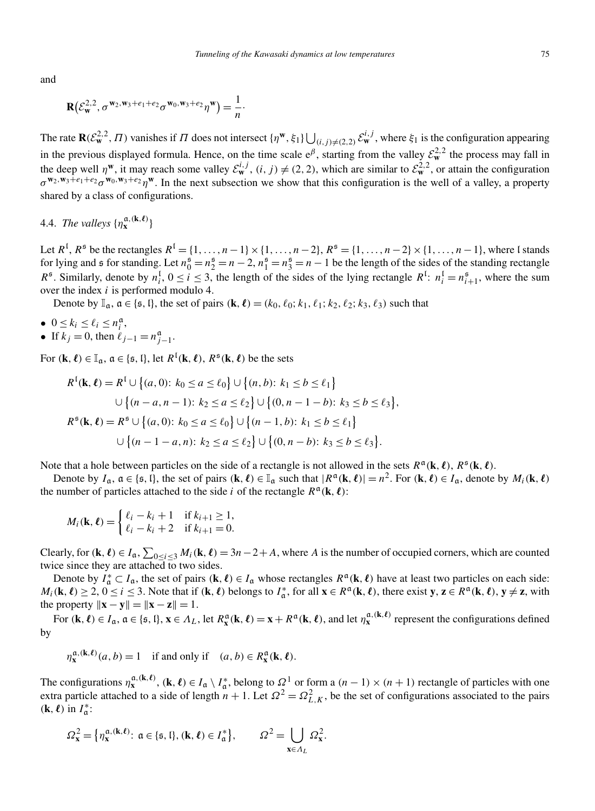<span id="page-16-0"></span>and

$$
\mathbf{R}(\mathcal{E}_{\mathbf{w}}^{2,2}, \sigma^{\mathbf{w}_2, \mathbf{w}_3 + e_1 + e_2} \sigma^{\mathbf{w}_0, \mathbf{w}_3 + e_2} \eta^{\mathbf{w}}) = \frac{1}{n}.
$$

The rate  $\mathbf{R}(\mathcal{E}_{\mathbf{w}}^{2,2}, \Pi)$  vanishes if  $\Pi$  does not intersect  $\{\eta^{\mathbf{w}}, \xi_1\} \bigcup_{(i,j)\neq (2,2)} \mathcal{E}_{\mathbf{w}}^{i,j}$ , where  $\xi_1$  is the configuration appearing in the previous displayed formula. Hence, on the time scale  $e^{\beta}$ , starting from the valley  $\mathcal{E}_w^{2,2}$  the process may fall in the deep well  $\eta^{\mathbf{w}}$ , it may reach some valley  $\mathcal{E}_{\mathbf{w}}^{i,j}$ ,  $(i, j) \neq (2, 2)$ , which are similar to  $\mathcal{E}_{\mathbf{w}}^{2,2}$ , or attain the configuration  $\sigma^{w_2, w_3 + e_1 + e_2} \sigma^{w_0, w_3 + e_2} \eta^w$ . In the next subsection we show that this configuration is the well of a valley, a property shared by a class of configurations.

### 4.4. *The valleys*  $\{\eta_{\mathbf{x}}^{\mathfrak{a},(\mathbf{k},\ell)}\}$

Let  $R^1, R^s$  be the rectangles  $R^1 = \{1, ..., n-1\} \times \{1, ..., n-2\}, R^s = \{1, ..., n-2\} \times \{1, ..., n-1\}$ , where I stands for lying and s for standing. Let  $n_0^s = n_2^s = n - 2$ ,  $n_1^s = n_3^s = n - 1$  be the length of the sides of the standing rectangle *R*<sup>5</sup>. Similarly, denote by  $n_i^{\{}, 0 \le i \le 3$ , the length of the sides of the lying rectangle  $R^{\{}, n_i^{\{}, j = n_{i+1}^{\{}, \}}$ , where the sum over the index *i* is performed modulo 4.

Denote by  $\mathbb{I}_{\mathfrak{a}}$ ,  $\mathfrak{a} \in \{ \mathfrak{s}, \mathfrak{l} \}$ , the set of pairs  $(\mathbf{k}, \ell) = (k_0, \ell_0; k_1, \ell_1; k_2, \ell_2; k_3, \ell_3)$  such that

- $0 \leq k_i \leq \ell_i \leq n_i^{\mathfrak{a}},$
- If  $k_j = 0$ , then  $\ell_{j-1} = n_{j-1}^{\mathfrak{a}}$ .

For  $(\mathbf{k}, \ell) \in \mathbb{I}_\mathfrak{a}, \mathfrak{a} \in \{\mathfrak{s}, \mathfrak{l}\}, \text{let } R^{\mathfrak{l}}(\mathbf{k}, \ell), R^{\mathfrak{s}}(\mathbf{k}, \ell) \text{ be the sets}$ 

$$
R^{\mathfrak{c}}(\mathbf{k}, \ell) = R^{\mathfrak{c}} \cup \{(a, 0) \colon k_0 \le a \le \ell_0\} \cup \{(n, b) \colon k_1 \le b \le \ell_1\}
$$
  

$$
\cup \{(n - a, n - 1) \colon k_2 \le a \le \ell_2\} \cup \{(0, n - 1 - b) \colon k_3 \le b \le \ell_3\},
$$
  

$$
R^{\mathfrak{s}}(\mathbf{k}, \ell) = R^{\mathfrak{s}} \cup \{(a, 0) \colon k_0 \le a \le \ell_0\} \cup \{(n - 1, b) \colon k_1 \le b \le \ell_1\}
$$
  

$$
\cup \{(n - 1 - a, n) \colon k_2 \le a \le \ell_2\} \cup \{(0, n - b) \colon k_3 \le b \le \ell_3\}.
$$

Note that a hole between particles on the side of a rectangle is not allowed in the sets  $R^{\mathfrak{a}}(\mathbf{k}, \ell)$ ,  $R^{\mathfrak{s}}(\mathbf{k}, \ell)$ .

Denote by  $I_a$ ,  $a \in \{\mathfrak{s}, \mathfrak{l}\}$ , the set of pairs  $(\mathbf{k}, \ell) \in \mathbb{I}_a$  such that  $|R^{\mathfrak{a}}(\mathbf{k}, \ell)| = n^2$ . For  $(\mathbf{k}, \ell) \in I_a$ , denote by  $M_i(\mathbf{k}, \ell)$ the number of particles attached to the side *i* of the rectangle  $R^{\mathfrak{a}}(\mathbf{k}, \ell)$ :

$$
M_i(\mathbf{k}, \ell) = \begin{cases} \ell_i - k_i + 1 & \text{if } k_{i+1} \ge 1, \\ \ell_i - k_i + 2 & \text{if } k_{i+1} = 0. \end{cases}
$$

Clearly, for  $(\mathbf{k}, \ell) \in I_{\mathfrak{a}}, \sum_{0 \le i \le 3} M_i(\mathbf{k}, \ell) = 3n - 2 + A$ , where *A* is the number of occupied corners, which are counted twice since they are attached to two sides.

Denote by  $I_{\alpha}^* \subset I_{\alpha}$ , the set of pairs  $(\mathbf{k}, \ell) \in I_{\alpha}$  whose rectangles  $R^{\alpha}(\mathbf{k}, \ell)$  have at least two particles on each side:  $M_i(\mathbf{k}, \ell) \ge 2, 0 \le i \le 3$ . Note that if  $(\mathbf{k}, \ell)$  belongs to  $I_{\mathfrak{a}}^*$ , for all  $\mathbf{x} \in R^{\mathfrak{a}}(\mathbf{k}, \ell)$ , there exist  $\mathbf{y}, \mathbf{z} \in R^{\mathfrak{a}}(\mathbf{k}, \ell), \mathbf{y} \ne \mathbf{z}$ , with the property  $||\mathbf{x} - \mathbf{y}|| = ||\mathbf{x} - \mathbf{z}|| = 1$ .

For  $(\mathbf{k}, \ell) \in I_{\mathfrak{a}}$ ,  $\mathfrak{a} \in \{\mathfrak{s}, \mathfrak{l}\}, \mathbf{x} \in \Lambda_L$ , let  $R_x^{\mathfrak{a}}(\mathbf{k}, \ell) = \mathbf{x} + R^{\mathfrak{a}}(\mathbf{k}, \ell)$ , and let  $\eta_x^{\mathfrak{a}, (\mathbf{k}, \ell)}$  represent the configurations defined by

$$
\eta_{\mathbf{x}}^{\mathfrak{a},(\mathbf{k},\ell)}(a,b) = 1 \quad \text{if and only if} \quad (a,b) \in R_{\mathbf{x}}^{\mathfrak{a}}(\mathbf{k},\ell).
$$

The configurations  $\eta_{\mathbf{x}}^{\alpha,(k,\ell)}$ ,  $(\mathbf{k},\ell) \in I_{\alpha} \setminus I_{\alpha}^{*}$ , belong to  $\Omega^{1}$  or form a  $(n-1) \times (n+1)$  rectangle of particles with one extra particle attached to a side of length  $n + 1$ . Let  $\Omega^2 = \Omega_{L,K}^2$ , be the set of configurations associated to the pairs  $(\mathbf{k}, \ell)$  in  $I_{\mathfrak{a}}^*$ :

$$
\Omega_{\mathbf{x}}^2 = \left\{ \eta_{\mathbf{x}}^{\mathfrak{a},(\mathbf{k},\ell)} : \mathfrak{a} \in \{\mathfrak{s},\mathfrak{l}\}, (\mathbf{k},\ell) \in I_{\mathfrak{a}}^* \right\}, \qquad \Omega^2 = \bigcup_{\mathbf{x} \in \Lambda_L} \Omega_{\mathbf{x}}^2.
$$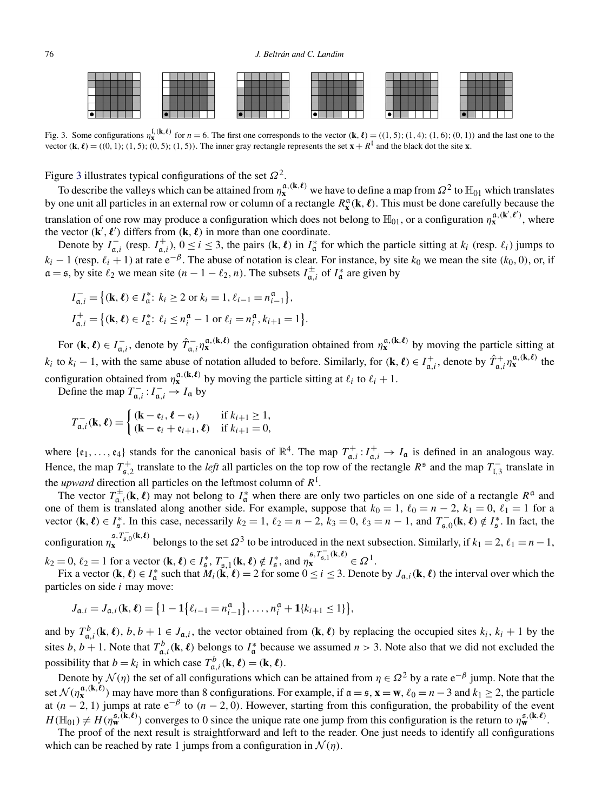

Fig. 3. Some configurations  $\eta_{\mathbf{x}}^{(0, \mathbf{k}, \ell)}$  for  $n = 6$ . The first one corresponds to the vector  $(\mathbf{k}, \ell) = ((1, 5); (1, 4); (1, 6); (0, 1))$  and the last one to the vector  $(\mathbf{k}, \ell) = ((0, 1); (1, 5); (0, 5); (1, 5))$ . The inner gray rectangle represents the set  $\mathbf{x} + R^{\mathbf{I}}$  and the black dot the site **x**.

Figure 3 illustrates typical configurations of the set *Ω*2.

To describe the valleys which can be attained from  $\eta_x^{\mathfrak{a},(k,\ell)}$  we have to define a map from  $\Omega^2$  to  $\mathbb{H}_{01}$  which translates by one unit all particles in an external row or column of a rectangle  $R_x^{\alpha}(\mathbf{k}, \ell)$ . This must be done carefully because the translation of one row may produce a configuration which does not belong to  $\mathbb{H}_{01}$ , or a configuration  $\eta_x^{\alpha, (\mathbf{k}', \ell')}$ , where the vector  $(\mathbf{k}', \ell')$  differs from  $(\mathbf{k}, \ell)$  in more than one coordinate.

Denote by  $I_{a,i}^-$  (resp.  $I_{a,i}^+$ ),  $0 \le i \le 3$ , the pairs  $(k, \ell)$  in  $I_a^*$  for which the particle sitting at  $k_i$  (resp.  $\ell_i$ ) jumps to  $k_i - 1$  (resp.  $\ell_i + 1$ ) at rate  $e^{-\beta}$ . The abuse of notation is clear. For instance, by site  $k_0$  we mean the site  $(k_0, 0)$ , or, if  $\mathfrak{a} = \mathfrak{s}$ , by site  $\ell_2$  we mean site  $(n - 1 - \ell_2, n)$ . The subsets  $I_{\mathfrak{a},i}^{\pm}$  of  $I_{\mathfrak{a}}^*$  are given by

$$
I_{\mathfrak{a},i}^- = \{ (\mathbf{k}, \ell) \in I_{\mathfrak{a}}^* : k_i \ge 2 \text{ or } k_i = 1, \ell_{i-1} = n_{i-1}^{\mathfrak{a}} \},
$$
  

$$
I_{\mathfrak{a},i}^+ = \{ (\mathbf{k}, \ell) \in I_{\mathfrak{a}}^* : \ell_i \le n_i^{\mathfrak{a}} - 1 \text{ or } \ell_i = n_i^{\mathfrak{a}}, k_{i+1} = 1 \}.
$$

For  $(\mathbf{k}, \ell) \in I^-_{\mathfrak{a}, i}$ , denote by  $\hat{T}^-_{\mathfrak{a}, i} \eta_{\mathbf{x}}^{\mathfrak{a}, (\mathbf{k}, \ell)}$  the configuration obtained from  $\eta_{\mathbf{x}}^{\mathfrak{a}, (\mathbf{k}, \ell)}$  by moving the particle sitting at  $k_i$  to  $k_i - 1$ , with the same abuse of notation alluded to before. Similarly, for  $(\mathbf{k}, \ell) \in I_{\mathfrak{a},i}^+$ , denote by  $\hat{T}_{\mathfrak{a},i}^+, \hat{T}_{\mathfrak{a}}^{\mathfrak{a},(\mathbf{k},\ell)}$  the configuration obtained from  $\eta_x^{\mathfrak{a},(\mathbf{k},\ell)}$  by moving the particle sitting at  $\ell_i$  to  $\ell_i + 1$ .

Define the map  $T_{\mathfrak{a},i}^- : I_{\mathfrak{a},i}^- \to I_{\mathfrak{a}}$  by

$$
T_{\mathfrak{a},i}^{-}(\mathbf{k},\boldsymbol{\ell}) = \begin{cases} (\mathbf{k} - \mathfrak{e}_i, \boldsymbol{\ell} - \mathfrak{e}_i) & \text{if } k_{i+1} \geq 1, \\ (\mathbf{k} - \mathfrak{e}_i + \mathfrak{e}_{i+1}, \boldsymbol{\ell}) & \text{if } k_{i+1} = 0, \end{cases}
$$

where  $\{\varepsilon_1,\ldots,\varepsilon_4\}$  stands for the canonical basis of  $\mathbb{R}^4$ . The map  $T^+_{\mathfrak{a},i}: I^+_{\mathfrak{a},i} \to I_{\mathfrak{a}}$  is defined in an analogous way. Hence, the map  $T_{\text{s},2}^+$  translate to the *left* all particles on the top row of the rectangle  $R^{\text{s}}$  and the map  $T_{1,3}^-$  translate in the *upward* direction all particles on the leftmost column of *R*<sup>l</sup> .

The vector  $T_{\alpha,i}^{\pm}(\mathbf{k}, \ell)$  may not belong to  $I_{\alpha}^{*}$  when there are only two particles on one side of a rectangle  $R^{\alpha}$  and one of them is translated along another side. For example, suppose that  $k_0 = 1$ ,  $\ell_0 = n - 2$ ,  $k_1 = 0$ ,  $\ell_1 = 1$  for a vector  $(\mathbf{k}, \ell) \in I_{\mathfrak{s}}^*$ . In this case, necessarily  $k_2 = 1$ ,  $\ell_2 = n - 2$ ,  $k_3 = 0$ ,  $\ell_3 = n - 1$ , and  $T_{\mathfrak{s},0}^-(\mathbf{k}, \ell) \notin I_{\mathfrak{s}}^*$ . In fact, the configuration  $\eta_{\mathbf{x}}^{s,T_{s,0}^{-}(k,\ell)}$  belongs to the set  $\Omega^3$  to be introduced in the next subsection. Similarly, if  $k_1 = 2$ ,  $\ell_1 = n - 1$ ,

 $k_2 = 0, \ell_2 = 1$  for a vector  $(\mathbf{k}, \ell) \in I_{\mathfrak{s}}^*, T_{\mathfrak{s}, 1}^{-1}(\mathbf{k}, \ell) \notin I_{\mathfrak{s}}^*,$  and  $\eta_{\mathbf{x}}^{\mathfrak{s}, T_{\mathfrak{s}, 1}^{-1}(\mathbf{k}, \ell)} \in \Omega^1$ .

Fix a vector  $(\mathbf{k}, \ell) \in I_{\mathfrak{a}}^*$  such that  $M_i(\mathbf{k}, \ell) = 2$  for some  $0 \le i \le 3$ . Denote by  $J_{\mathfrak{a}, i}(\mathbf{k}, \ell)$  the interval over which the particles on side *i* may move:

$$
J_{\mathfrak{a},i}=J_{\mathfrak{a},i}(\mathbf{k},\ell)=\big\{1-1\big\{\ell_{i-1}=n_{i-1}^{\mathfrak{a}}\big\},\ldots,n_i^{\mathfrak{a}}+1\{k_{i+1}\leq 1\}\big\},\,
$$

and by  $T_{\mathfrak{a},i}^b(\mathbf{k},\ell), b, b+1 \in J_{\mathfrak{a},i}$ , the vector obtained from  $(\mathbf{k},\ell)$  by replacing the occupied sites  $k_i, k_i + 1$  by the sites *b*, *b* + 1. Note that  $T_{\alpha,i}^b(\mathbf{k}, \ell)$  belongs to  $I_{\alpha}^*$  because we assumed *n* > 3. Note also that we did not excluded the possibility that  $b = k_i$  in which case  $T^b_{\mathfrak{a},i}(\mathbf{k}, \ell) = (\mathbf{k}, \ell)$ .

Denote by  $\mathcal{N}(\eta)$  the set of all configurations which can be attained from  $\eta \in \Omega^2$  by a rate e<sup>−*β*</sup> jump. Note that the set  $\mathcal{N}(n_{\mathbf{x}}^{\mathfrak{a},(\mathbf{k},\ell)})$  may have more than 8 configurations. For example, if  $\mathfrak{a} = \mathfrak{s}, \mathbf{x} = \mathbf{w}, \ell_0 = n-3$  and  $k_1 \geq 2$ , the particle at  $(n-2, 1)$  jumps at rate  $e^{-\beta}$  to  $(n-2, 0)$ . However, starting from this configuration, the probability of the event  $H(\mathbb{H}_{01}) \neq H(\eta_{\bf w}^{\mathfrak{s},({\bf k},\ell)})$  converges to 0 since the unique rate one jump from this configuration is the return to  $\eta_{\bf w}^{\mathfrak{s},({\bf k},\ell)}$ .

The proof of the next result is straightforward and left to the reader. One just needs to identify all configurations which can be reached by rate 1 jumps from a configuration in  $\mathcal{N}(\eta)$ .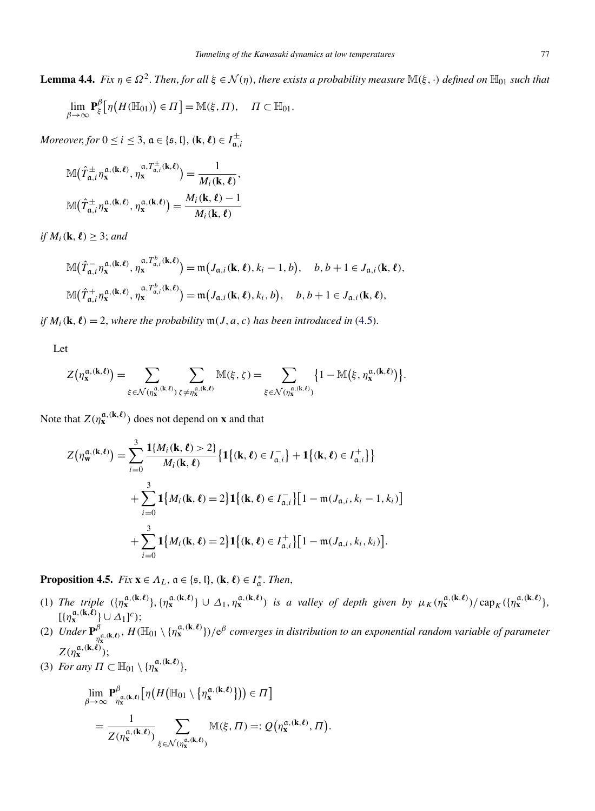<span id="page-18-0"></span>**Lemma 4.4.** *Fix*  $\eta \in \Omega^2$ . *Then, for all*  $\xi \in \mathcal{N}(\eta)$ *, there exists a probability measure*  $\mathbb{M}(\xi, \cdot)$  *defined on*  $\mathbb{H}_{01}$  *such that* 

$$
\lim_{\beta\to\infty}\mathbf{P}_{\xi}^{\beta}\big[\eta\big(H(\mathbb{H}_{01})\big)\in\Pi\big]=\mathbb{M}(\xi,\Pi),\quad \Pi\subset\mathbb{H}_{01}.
$$

*Moreover, for*  $0 \le i \le 3$ ,  $\mathfrak{a} \in \{\mathfrak{s},\mathfrak{l}\}$ ,  $(\mathbf{k},\mathbf{\ell}) \in I_{\mathfrak{a},i}^{\pm}$ 

$$
\mathbb{M}(\hat{T}_{\mathfrak{a},i}^{\pm} \eta_{\mathbf{x}}^{\mathfrak{a},(\mathbf{k},\ell)}, \eta_{\mathbf{x}}^{\mathfrak{a},\mathfrak{r}_{\mathfrak{a},i}^{\pm}(\mathbf{k},\ell)}) = \frac{1}{M_i(\mathbf{k},\ell)},
$$
  

$$
\mathbb{M}(\hat{T}_{\mathfrak{a},i}^{\pm} \eta_{\mathbf{x}}^{\mathfrak{a},(\mathbf{k},\ell)}, \eta_{\mathbf{x}}^{\mathfrak{a},(\mathbf{k},\ell)}) = \frac{M_i(\mathbf{k},\ell) - 1}{M_i(\mathbf{k},\ell)}
$$

*if*  $M_i(\mathbf{k}, \ell) \geq 3$ ; *and* 

$$
\mathbb{M}(\hat{T}_{\mathfrak{a},i}^{-}\eta_{\mathbf{x}}^{\mathfrak{a},(\mathbf{k},\ell)},\eta_{\mathbf{x}}^{\mathfrak{a},T_{\mathfrak{a},i}^{b}(\mathbf{k},\ell)})=\mathfrak{m}(J_{\mathfrak{a},i}(\mathbf{k},\ell),k_{i}-1,b),\quad b,b+1\in J_{\mathfrak{a},i}(\mathbf{k},\ell),\mathbb{M}(\hat{T}_{\mathfrak{a},i}^{+}\eta_{\mathbf{x}}^{\mathfrak{a},(\mathbf{k},\ell)},\eta_{\mathbf{x}}^{\mathfrak{a},T_{\mathfrak{a},i}^{b}(\mathbf{k},\ell)})=\mathfrak{m}(J_{\mathfrak{a},i}(\mathbf{k},\ell),k_{i},b),\quad b,b+1\in J_{\mathfrak{a},i}(\mathbf{k},\ell),
$$

*if*  $M_i(\mathbf{k}, \ell) = 2$ , *where the probability*  $\mathfrak{m}(J, a, c)$  *has been introduced in* [\(4.5\)](#page-8-0).

Let

$$
Z\big(\eta_{\mathbf{x}}^{\mathfrak{a},(\mathbf{k},\ell)}\big)=\sum_{\xi \in \mathcal{N}(\eta_{\mathbf{x}}^{\mathfrak{a},(\mathbf{k},\ell)})} \sum_{\zeta \neq \eta_{\mathbf{x}}^{\mathfrak{a},(\mathbf{k},\ell)}} \mathbb{M}(\xi,\zeta)=\sum_{\xi \in \mathcal{N}(\eta_{\mathbf{x}}^{\mathfrak{a},(\mathbf{k},\ell)})} \big\{1-\mathbb{M}\big(\xi,\eta_{\mathbf{x}}^{\mathfrak{a},(\mathbf{k},\ell)}\big)\big\}.
$$

Note that  $Z(\eta_{\mathbf{x}}^{\mathfrak{a},(\mathbf{k},\ell)})$  does not depend on **x** and that

$$
Z(\eta_{\mathbf{w}}^{\mathfrak{a},(\mathbf{k},\ell)}) = \sum_{i=0}^{3} \frac{\mathbf{1}\{M_{i}(\mathbf{k},\ell) > 2\}}{M_{i}(\mathbf{k},\ell)} \{ \mathbf{1}\{(\mathbf{k},\ell) \in I_{\mathfrak{a},i}^{-}\} + \mathbf{1}\{(\mathbf{k},\ell) \in I_{\mathfrak{a},i}^{+}\} \} + \sum_{i=0}^{3} \mathbf{1}\{M_{i}(\mathbf{k},\ell) = 2\} \mathbf{1}\{(\mathbf{k},\ell) \in I_{\mathfrak{a},i}^{-}\} [1 - m(J_{\mathfrak{a},i},k_{i} - 1,k_{i})] + \sum_{i=0}^{3} \mathbf{1}\{M_{i}(\mathbf{k},\ell) = 2\} \mathbf{1}\{(\mathbf{k},\ell) \in I_{\mathfrak{a},i}^{+}\} [1 - m(J_{\mathfrak{a},i},k_{i},k_{i})].
$$

**Proposition 4.5.** *Fix*  $\mathbf{x} \in \Lambda_L$ ,  $\mathfrak{a} \in \{\mathfrak{s}, \mathfrak{l}\}, (\mathbf{k}, \ell) \in I_{\mathfrak{a}}^*$ . *Then*,

- (1) The triple  $(\{\eta_{\mathbf{x}}^{\mathfrak{a},(\mathbf{k},\ell)}\},\{\eta_{\mathbf{x}}^{\mathfrak{a},(\mathbf{k},\ell)}\}\cup\Delta_1,\eta_{\mathbf{x}}^{\mathfrak{a},(\mathbf{k},\ell)})$  is a valley of depth given by  $\mu_K(\eta_{\mathbf{x}}^{\mathfrak{a},(\mathbf{k},\ell)})/\text{cap}_K(\{\eta_{\mathbf{x}}^{\mathfrak{a},(\mathbf{k},\ell)}\},\mathcal{A})$  $[\{\eta_{\mathbf{x}}^{\mathfrak{a},(\mathbf{k},\ell)}\}\cup\Delta_1]^c);$
- (2) Under  $P^{\beta}_{\eta_{x}^{a, (k,\ell)}}, H(\mathbb{H}_{01} \setminus \{\eta_{x}^{a, (k,\ell)}\})/e^{\beta}$  converges in distribution to an exponential random variable of parameter  $Z(\eta_{\mathbf{x}}^{\mathfrak{a},(\mathbf{k},\ell)});$
- (3) *For any*  $\Pi \subset \mathbb{H}_{01} \setminus \{ \eta_{\mathbf{x}}^{\mathfrak{a},(\mathbf{k},\ell)} \},$

$$
\lim_{\beta \to \infty} \mathbf{P}_{\eta_{\mathbf{x}}^{\mathfrak{a}},(\mathbf{k},\ell)}^{\beta} \big[\eta \big(H\big(\mathbb{H}_{01} \setminus \big\{\eta_{\mathbf{x}}^{\mathfrak{a},(\mathbf{k},\ell)}\big\}\big)\big) \in \Pi\big]
$$
\n
$$
= \frac{1}{Z(\eta_{\mathbf{x}}^{\mathfrak{a},(\mathbf{k},\ell)})} \sum_{\xi \in \mathcal{N}(\eta_{\mathbf{x}}^{\mathfrak{a},(\mathbf{k},\ell)})} \mathbb{M}(\xi,\Pi) =: Q\big(\eta_{\mathbf{x}}^{\mathfrak{a},(\mathbf{k},\ell)},\Pi\big).
$$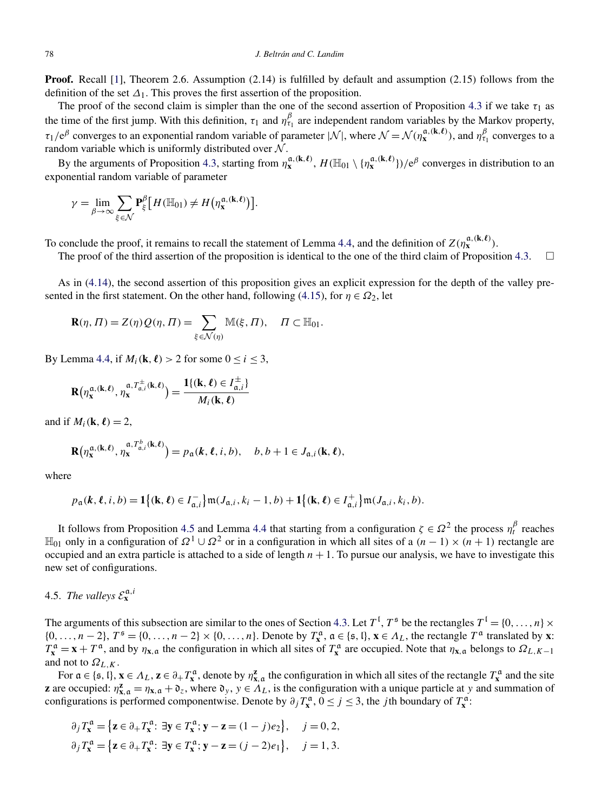**Proof.** Recall [\[1\]](#page-29-0), Theorem 2.6. Assumption (2.14) is fulfilled by default and assumption (2.15) follows from the definition of the set  $\Delta_1$ . This proves the first assertion of the proposition.

The proof of the second claim is simpler than the one of the second assertion of Proposition [4.3](#page-13-0) if we take  $\tau_1$  as the time of the first jump. With this definition,  $\tau_1$  and  $\eta_{\tau_1}^{\beta}$  are independent random variables by the Markov property, *τ*<sub>1</sub>*/e*<sup>*β*</sup> converges to an exponential random variable of parameter  $|N|$ , where  $\mathcal{N} = \mathcal{N}(\eta_{\mathbf{x}}^{\mathfrak{a},(\mathbf{k},\ell)})$ , and  $\eta_{\tau_1}^{\beta}$  converges to a random variable which is uniformly distributed over  $N$ .

By the arguments of Proposition [4.3,](#page-13-0) starting from  $\eta_x^{\mathfrak{a},(\mathbf{k},\ell)}, H(\mathbb{H}_{01} \setminus \{\eta_x^{\mathfrak{a},(\mathbf{k},\ell)}\})/e^{\beta}$  converges in distribution to an exponential random variable of parameter

$$
\gamma = \lim_{\beta \to \infty} \sum_{\xi \in \mathcal{N}} \mathbf{P}_{\xi}^{\beta} \big[ H(\mathbb{H}_{01}) \neq H\big(\eta_{\mathbf{x}}^{\mathfrak{a},(\mathbf{k},\ell)}\big) \big].
$$

To conclude the proof, it remains to recall the statement of Lemma [4.4,](#page-18-0) and the definition of  $Z(\eta_{\bf x}^{\mathfrak{a},(\bf k,\ell)})$ .

The proof of the third assertion of the proposition is identical to the one of the third claim of Proposition [4.3.](#page-13-0)  $\Box$ 

As in [\(4.14\)](#page-15-0), the second assertion of this proposition gives an explicit expression for the depth of the valley pre-sented in the first statement. On the other hand, following [\(4.15\)](#page-15-0), for  $\eta \in \Omega_2$ , let

$$
\mathbf{R}(\eta, \Pi) = Z(\eta) Q(\eta, \Pi) = \sum_{\xi \in \mathcal{N}(\eta)} \mathbb{M}(\xi, \Pi), \quad \Pi \subset \mathbb{H}_{01}.
$$

By Lemma [4.4,](#page-18-0) if  $M_i(\mathbf{k}, \ell) > 2$  for some  $0 \le i \le 3$ ,

$$
\mathbf{R}\big(\eta_{\mathbf{x}}^{\mathfrak{a},(\mathbf{k},\ell)},\eta_{\mathbf{x}}^{\mathfrak{a},T_{\mathfrak{a},i}^{\pm}(\mathbf{k},\ell)}\big)=\frac{\mathbf{1}\{(\mathbf{k},\ell)\in I_{\mathfrak{a},i}^{\pm}\}}{M_{i}(\mathbf{k},\ell)}
$$

and if  $M_i(\mathbf{k}, \ell) = 2$ ,

$$
\mathbf{R}\big(\eta_{\mathbf{x}}^{\mathfrak{a},(\mathbf{k},\ell)},\eta_{\mathbf{x}}^{\mathfrak{a},T_{\mathfrak{a},i}^b(\mathbf{k},\ell)}\big)=p_{\mathfrak{a}}(\mathbf{k},\ell,i,b),\quad b,b+1\in J_{\mathfrak{a},i}(\mathbf{k},\ell),
$$

where

$$
p_{\mathfrak{a}}(\mathbf{k},\mathbf{\ell},i,b) = \mathbf{1}\big\{(\mathbf{k},\mathbf{\ell}) \in I_{\mathfrak{a},i}^- \big\} \mathfrak{m}(J_{\mathfrak{a},i},k_i-1,b) + \mathbf{1}\big\{(\mathbf{k},\mathbf{\ell}) \in I_{\mathfrak{a},i}^+ \big\} \mathfrak{m}(J_{\mathfrak{a},i},k_i,b).
$$

It follows from Proposition [4.5](#page-18-0) and Lemma [4.4](#page-18-0) that starting from a configuration  $\zeta \in \Omega^2$  the process  $\eta_t^{\beta}$  reaches  $\mathbb{H}_{01}$  only in a configuration of  $\Omega^1 \cup \Omega^2$  or in a configuration in which all sites of a  $(n-1) \times (n+1)$  rectangle are occupied and an extra particle is attached to a side of length  $n + 1$ . To pursue our analysis, we have to investigate this new set of configurations.

## 4.5. *The valleys*  $\mathcal{E}_{\mathbf{x}}^{\mathfrak{a},i}$

The arguments of this subsection are similar to the ones of Section [4.3.](#page-10-0) Let  $T^{\mathfrak{l}}$ ,  $T^{\mathfrak{s}}$  be the rectangles  $T^{\mathfrak{l}} = \{0, \ldots, n\} \times$  $\{0,\ldots,n-2\}$ ,  $T^{\mathfrak{s}} = \{0,\ldots,n-2\} \times \{0,\ldots,n\}$ . Denote by  $T^{\mathfrak{a}}_{\mathbf{x}}, \mathfrak{a} \in \{\mathfrak{s},\mathfrak{l}\}, \mathbf{x} \in \Lambda_L$ , the rectangle  $T^{\mathfrak{a}}$  translated by **x**:  $T_x^{\alpha} = x + T^{\alpha}$ , and by  $\eta_{x,\alpha}$  the configuration in which all sites of  $T_x^{\alpha}$  are occupied. Note that  $\eta_{x,\alpha}$  belongs to  $\Omega_{L,K-1}$ and not to  $\Omega_{L,K}$ .

For  $\alpha \in \{\mathfrak{s}, \mathfrak{l}\}, \mathbf{x} \in \Lambda_L, \mathbf{z} \in \partial_+ T_{\mathbf{x}}^{\alpha}$ , denote by  $\eta_{\mathbf{x}, \alpha}^{\mathbf{z}}$  the configuration in which all sites of the rectangle  $T_{\mathbf{x}}^{\alpha}$  and the site **z** are occupied:  $\eta_{\mathbf{x},\alpha}^{\mathbf{z}} = \eta_{\mathbf{x},\alpha} + \mathfrak{d}_{z}$ , where  $\mathfrak{d}_{y}$ ,  $y \in \Lambda_L$ , is the configuration with a unique particle at *y* and summation of configurations is performed componentwise. Denote by  $\partial_j T_x^{\mathfrak{a}}, 0 \le j \le 3$ , the *j*th boundary of  $T_x^{\mathfrak{a}}$ :

$$
\partial_j T_{\mathbf{x}}^{\mathfrak{a}} = \left\{ \mathbf{z} \in \partial_+ T_{\mathbf{x}}^{\mathfrak{a}} : \exists \mathbf{y} \in T_{\mathbf{x}}^{\mathfrak{a}}; \mathbf{y} - \mathbf{z} = (1 - j)e_2 \right\}, \quad j = 0, 2,
$$
  

$$
\partial_j T_{\mathbf{x}}^{\mathfrak{a}} = \left\{ \mathbf{z} \in \partial_+ T_{\mathbf{x}}^{\mathfrak{a}} : \exists \mathbf{y} \in T_{\mathbf{x}}^{\mathfrak{a}}; \mathbf{y} - \mathbf{z} = (j - 2)e_1 \right\}, \quad j = 1, 3.
$$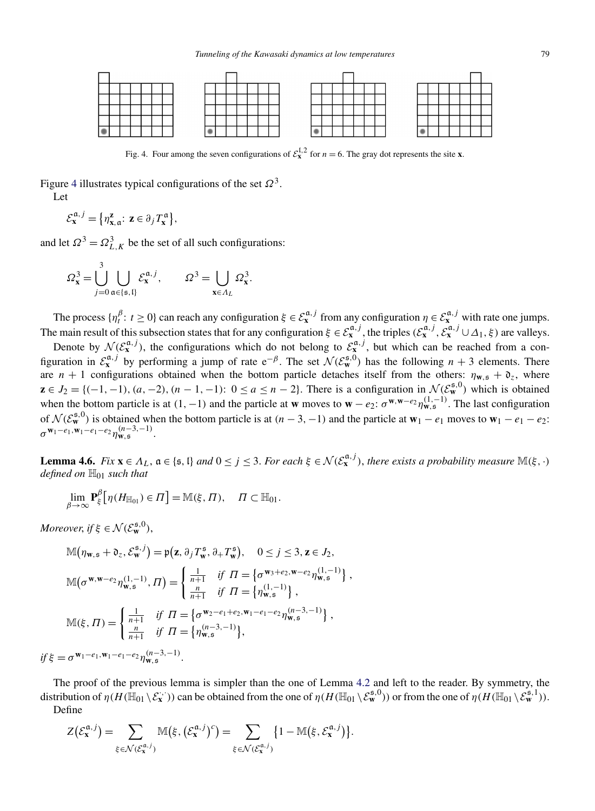

Fig. 4. Four among the seven configurations of  $\mathcal{E}_{\mathbf{x}}^{\{2\}}$  for  $n = 6$ . The gray dot represents the site **x**.

Figure 4 illustrates typical configurations of the set *Ω*3. Let

$$
\mathcal{E}_{\mathbf{x}}^{\mathfrak{a},j} = \left\{ \eta_{\mathbf{x},\mathfrak{a}}^{\mathbf{z}} : \mathbf{z} \in \partial_j T_{\mathbf{x}}^{\mathfrak{a}} \right\},\
$$

and let  $\Omega^3 = \Omega^3_{L,K}$  be the set of all such configurations:

$$
\Omega_{\mathbf{x}}^3 = \bigcup_{j=0}^3 \bigcup_{\mathfrak{a} \in \{\mathfrak{s}, \mathfrak{l}\}} \mathcal{E}_{\mathbf{x}}^{\mathfrak{a},j}, \qquad \Omega^3 = \bigcup_{\mathbf{x} \in \Lambda_L} \Omega_{\mathbf{x}}^3.
$$

The process  $\{\eta_t^{\beta} : t \ge 0\}$  can reach any configuration  $\xi \in \mathcal{E}_\mathbf{x}^{\mathfrak{a},j}$  from any configuration  $\eta \in \mathcal{E}_\mathbf{x}^{\mathfrak{a},j}$  with rate one jumps. The main result of this subsection states that for any configuration  $\xi \in \mathcal{E}_x^{\mathfrak{a},j}$ , the triples  $(\mathcal{E}_x^{\mathfrak{a},j}, \mathcal{E}_x^{\mathfrak{a},j} \cup \Delta_1, \xi)$  are valleys.

Denote by  $\mathcal{N}(\mathcal{E}_x^{\alpha, j})$ , the configurations which do not belong to  $\mathcal{E}_x^{\alpha, j}$ , but which can be reached from a configuration in  $\mathcal{E}_{\mathbf{x}}^{\alpha,j}$  by performing a jump of rate e<sup>-*β*</sup>. The set  $\mathcal{N}(\mathcal{E}_{\mathbf{w}}^{\beta,0})$  has the following *n* + 3 elements. There are  $n + 1$  configurations obtained when the bottom particle detaches itself from the others:  $\eta_{w,\tilde{p}} + \mathfrak{d}_z$ , where **z** ∈ *J*<sub>2</sub> = { $(-1, -1)$ *,*  $(a, -2)$ *,*  $(n - 1, -1)$ :  $0 \le a \le n - 2$ }. There is a configuration in  $\mathcal{N}(\mathcal{E}_{\mathbf{w}}^{\mathfrak{s},0})$  which is obtained when the bottom particle is at  $(1, -1)$  and the particle at w moves to  $w - e_2$ :  $\sigma^{w, w - e_2} \eta_{w, \mathfrak{s}}^{(1, -1)}$ . The last configuration of  $\mathcal{N}(\mathcal{E}_{\mathbf{w}}^{\mathfrak{g},0})$  is obtained when the bottom particle is at  $(n-3,-1)$  and the particle at  $\mathbf{w}_1 - e_1$  moves to  $\mathbf{w}_1 - e_1 - e_2$ :  $\sigma^{w_1-e_1,w_1-e_1-e_2}\eta_{w,s}^{(n-3,-1)}$ .

**Lemma 4.6.** Fix  $\mathbf{x} \in A_L$ ,  $\mathfrak{a} \in \{\mathfrak{s},\mathfrak{l}\}$  and  $0 \leq j \leq 3$ . For each  $\xi \in \mathcal{N}(\mathcal{E}_{\mathbf{x}}^{\mathfrak{a},j})$ , there exists a probability measure  $\mathbb{M}(\xi, \cdot)$ *defined on*  $\mathbb{H}_{01}$  *such that* 

$$
\lim_{\beta\to\infty}\mathbf{P}_{\xi}^{\beta}\big[\eta(H_{\mathbb{H}_{01}})\in\Pi\big]=\mathbb{M}(\xi,\Pi),\quad \Pi\subset\mathbb{H}_{01}.
$$

*Moreover, if*  $\xi \in \mathcal{N}(\mathcal{E}_{\mathbf{w}}^{\mathfrak{s},0})$ ,

$$
\mathbb{M}(\eta_{\mathbf{w},\mathfrak{s}} + \mathfrak{d}_{z}, \mathcal{E}_{\mathbf{w}}^{\mathfrak{s},j}) = \mathfrak{p}(\mathbf{z}, \partial_{j} T_{\mathbf{w}}^{\mathfrak{s}}, \partial_{+} T_{\mathbf{w}}^{\mathfrak{s}}), \quad 0 \le j \le 3, \mathbf{z} \in J_{2},
$$
\n
$$
\mathbb{M}(\sigma^{\mathbf{w},\mathbf{w}-e_{2}} \eta_{\mathbf{w},\mathfrak{s}}^{(1,-1)}, \Pi) = \begin{cases} \frac{1}{n+1} & \text{if } \Pi = \{\sigma^{\mathbf{w}_{3}+e_{2}, \mathbf{w}-e_{2}} \eta_{\mathbf{w},\mathfrak{s}}^{(1,-1)} \}, \\ \frac{n}{n+1} & \text{if } \Pi = \{\eta_{\mathbf{w},\mathfrak{s}}^{(1,-1)}\}, \end{cases}
$$
\n
$$
\mathbb{M}(\xi, \Pi) = \begin{cases} \frac{1}{n+1} & \text{if } \Pi = \{\sigma^{\mathbf{w}_{2}-e_{1}+e_{2}, \mathbf{w}_{1}-e_{1}-e_{2}} \eta_{\mathbf{w},\mathfrak{s}}^{(n-3,-1)} \}, \\ \frac{n}{n+1} & \text{if } \Pi = \{\eta_{\mathbf{w},\mathfrak{s}}^{(n-3,-1)}\}, \end{cases}
$$

 $if \xi = \sigma^{w_1 - e_1, w_1 - e_1 - e_2} \eta_{w, \mathfrak{s}}^{(n-3, -1)}$ .

The proof of the previous lemma is simpler than the one of Lemma [4.2](#page-11-0) and left to the reader. By symmetry, the distribution of  $\eta(H(\mathbb{H}_{01} \setminus \mathcal{E}_{\mathbf{x}}^{;}) )$  can be obtained from the one of  $\eta(H(\mathbb{H}_{01} \setminus \mathcal{E}_{\mathbf{w}}^{\mathfrak{s},0} ))$  or from the one of  $\eta(H(\mathbb{H}_{01} \setminus \mathcal{E}_{\mathbf{w}}^{\mathfrak{s},1} ))$ . Define

$$
Z\big(\mathcal{E}^{\mathfrak{a},j}_\mathbf{x}\big)=\sum_{\xi\in\mathcal{N}(\mathcal{E}^{\mathfrak{a},j}_\mathbf{x})}\mathbb{M}\big(\xi,\big(\mathcal{E}^{\mathfrak{a},j}_\mathbf{x}\big)^c\big)=\sum_{\xi\in\mathcal{N}(\mathcal{E}^{\mathfrak{a},j}_\mathbf{x})}\big\{1-\mathbb{M}\big(\xi,\mathcal{E}^{\mathfrak{a},j}_\mathbf{x}\big)\big\}.
$$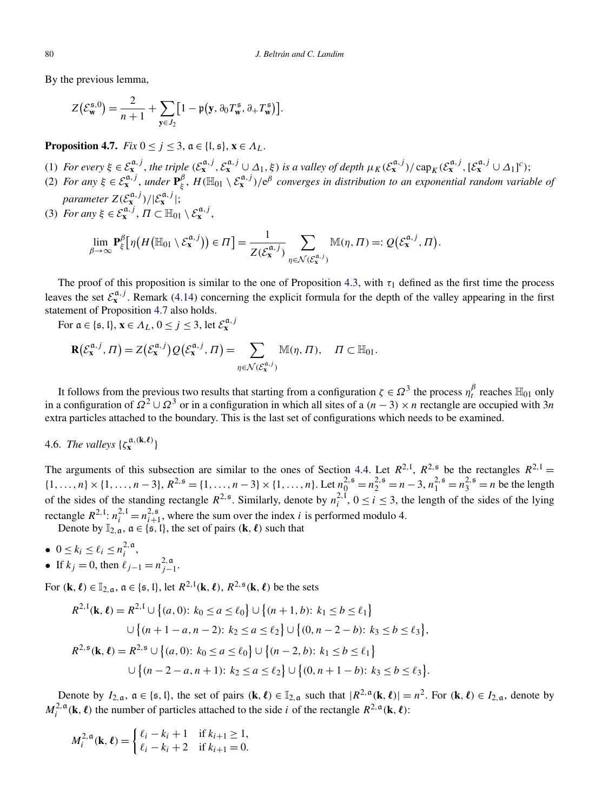<span id="page-21-0"></span>By the previous lemma,

$$
Z(\mathcal{E}_{\mathbf{w}}^{\mathfrak{s},0}) = \frac{2}{n+1} + \sum_{\mathbf{y} \in J_2} \bigl[1 - \mathfrak{p}\bigl(\mathbf{y}, \partial_0 T_{\mathbf{w}}^{\mathfrak{s}}, \partial_+ T_{\mathbf{w}}^{\mathfrak{s}}\bigr)\bigr].
$$

**Proposition 4.7.** *Fix*  $0 \le j \le 3$ ,  $a \in \{1, \infty\}$ ,  $\mathbf{x} \in \Lambda_L$ .

- (1) For every  $\xi \in \mathcal{E}_{\mathbf{x}}^{\mathfrak{a},j}$ , the triple  $(\mathcal{E}_{\mathbf{x}}^{\mathfrak{a},j}, \mathcal{E}_{\mathbf{x}}^{\mathfrak{a},j} \cup \Delta_1, \xi)$  is a valley of depth  $\mu_K(\mathcal{E}_{\mathbf{x}}^{\mathfrak{a},j})$  ( $\text{cap}_K(\mathcal{E}_{\mathbf{x}}^{\mathfrak{a},j}, [\mathcal{E}_{\mathbf{x}}^{\mathfrak{a},j} \cup \Delta_1]^c)$ ;
- (2) For any  $\xi \in \mathcal{E}_{\mathbf{x}}^{\mathfrak{a},j}$ , under  $\mathbf{P}_{\xi}^{\beta}$ ,  $H(\mathbb{H}_{01} \setminus \mathcal{E}_{\mathbf{x}}^{\mathfrak{a},j})/e^{\beta}$  converges in distribution to an exponential random variable of  $\frac{1}{2}$  *parameter*  $Z(\mathcal{E}_{\mathbf{x}}^{\mathfrak{a},j})/|\mathcal{E}_{\mathbf{x}}^{\mathfrak{a},j}|;$
- (3) *For any*  $\xi \in \mathcal{E}_{\mathbf{x}}^{\mathfrak{a},j}$ ,  $\Pi \subset \mathbb{H}_{01} \setminus \mathcal{E}_{\mathbf{x}}^{\mathfrak{a},j}$ ,

$$
\lim_{\beta \to \infty} \mathbf{P}_{\xi}^{\beta} \big[ \eta \big( H(\mathbb{H}_{01} \setminus \mathcal{E}_{\mathbf{x}}^{\mathfrak{a},j}) \big) \in \Pi \big] = \frac{1}{Z(\mathcal{E}_{\mathbf{x}}^{\mathfrak{a},j})} \sum_{\eta \in \mathcal{N}(\mathcal{E}_{\mathbf{x}}^{\mathfrak{a},j})} \mathbb{M}(\eta, \Pi) =: Q(\mathcal{E}_{\mathbf{x}}^{\mathfrak{a},j}, \Pi).
$$

The proof of this proposition is similar to the one of Proposition [4.3,](#page-13-0) with  $\tau_1$  defined as the first time the process leaves the set  $\mathcal{E}_{\mathbf{x}}^{\mathfrak{a},j}$ . Remark [\(4.14\)](#page-15-0) concerning the explicit formula for the depth of the valley appearing in the first statement of Proposition 4.7 also holds.

For  $\mathfrak{a} \in \{\mathfrak{s}, \mathfrak{l}\}, \mathbf{x} \in \Lambda_L, 0 \leq j \leq 3$ , let  $\mathcal{E}_{\mathbf{x}}^{\mathfrak{a},j}$ 

$$
\mathbf{R}(\mathcal{E}_{\mathbf{x}}^{\mathfrak{a},j},\Pi)=Z(\mathcal{E}_{\mathbf{x}}^{\mathfrak{a},j})Q(\mathcal{E}_{\mathbf{x}}^{\mathfrak{a},j},\Pi)=\sum_{\eta\in\mathcal{N}(\mathcal{E}_{\mathbf{x}}^{\mathfrak{a},j})}\mathbb{M}(\eta,\Pi),\quad \Pi\subset\mathbb{H}_{01}.
$$

It follows from the previous two results that starting from a configuration  $\zeta \in \Omega^3$  the process  $\eta_t^{\beta}$  reaches  $\mathbb{H}_{01}$  only in a configuration of  $\Omega^2 \cup \Omega^3$  or in a configuration in which all sites of a  $(n-3) \times n$  rectangle are occupied with 3*n* extra particles attached to the boundary. This is the last set of configurations which needs to be examined.

### 4.6. *The valleys*  $\{\zeta_{\mathbf{x}}^{\mathfrak{a},(\mathbf{k},\ell)}\}$

The arguments of this subsection are similar to the ones of Section [4.4.](#page-16-0) Let  $R^{2,1}$ ,  $R^{2,5}$  be the rectangles  $R^{2,1}$  =  $\{1,\ldots,n\}\times\{1,\ldots,n-3\}, R^{2,\mathfrak{s}} = \{1,\ldots,n-3\}\times\{1,\ldots,n\}.$  Let  $n_0^{2,\mathfrak{s}} = n_2^{2,\mathfrak{s}} = n-3, n_1^{2,\mathfrak{s}} = n_3^{2,\mathfrak{s}} = n$  be the length of the sides of the standing rectangle  $R^{2,5}$ . Similarly, denote by  $n_i^{2,1}$ ,  $0 \le i \le 3$ , the length of the sides of the lying rectangle  $R^{2,1}$ :  $n_i^{2,1} = n_{i+1}^{2,s}$ , where the sum over the index *i* is performed modulo 4.

Denote by  $\mathbb{I}_{2,\mathfrak{a}}, \mathfrak{a} \in \{\mathfrak{s}, \mathfrak{l}\},$  the set of pairs  $(\mathbf{k}, \ell)$  such that

- $0 \le k_i \le \ell_i \le n_i^{2, \mathfrak{a}},$
- If  $k_j = 0$ , then  $\ell_{j-1} = n_{j-1}^{2,\mathfrak{a}}$ .

For  $(\mathbf{k}, \ell) \in \mathbb{I}_{2, \mathfrak{a}}, \mathfrak{a} \in \{\mathfrak{s}, \mathfrak{l}\}, \text{ let } R^{2, \mathfrak{l}}(\mathbf{k}, \ell), R^{2, \mathfrak{s}}(\mathbf{k}, \ell) \text{ be the sets}$ 

$$
R^{2,1}(\mathbf{k}, \ell) = R^{2,1} \cup \{(a, 0): k_0 \le a \le \ell_0\} \cup \{(n+1, b): k_1 \le b \le \ell_1\}
$$
  

$$
\cup \{(n+1-a, n-2): k_2 \le a \le \ell_2\} \cup \{(0, n-2-b): k_3 \le b \le \ell_3\},
$$
  

$$
R^{2,5}(\mathbf{k}, \ell) = R^{2,5} \cup \{(a, 0): k_0 \le a \le \ell_0\} \cup \{(n-2, b): k_1 \le b \le \ell_1\}
$$
  

$$
\cup \{(n-2-a, n+1): k_2 \le a \le \ell_2\} \cup \{(0, n+1-b): k_3 \le b \le \ell_3\}.
$$

Denote by  $I_{2,\mathfrak{a}}$ ,  $\mathfrak{a} \in \{\mathfrak{s},\mathfrak{l}\}$ , the set of pairs  $(\mathbf{k}, \ell) \in \mathbb{I}_{2,\mathfrak{a}}$  such that  $|R^{2,\mathfrak{a}}(\mathbf{k},\ell)| = n^2$ . For  $(\mathbf{k}, \ell) \in I_{2,\mathfrak{a}}$ , denote by  $M_i^{2,\alpha}$  (**k***,*  $\ell$ *) the number of particles attached to the side <i>i* of the rectangle  $R^{2,\alpha}$  (**k***, t*):

$$
M_i^{2,\mathfrak{a}}(\mathbf{k},\ell) = \begin{cases} \ell_i - k_i + 1 & \text{if } k_{i+1} \ge 1, \\ \ell_i - k_i + 2 & \text{if } k_{i+1} = 0. \end{cases}
$$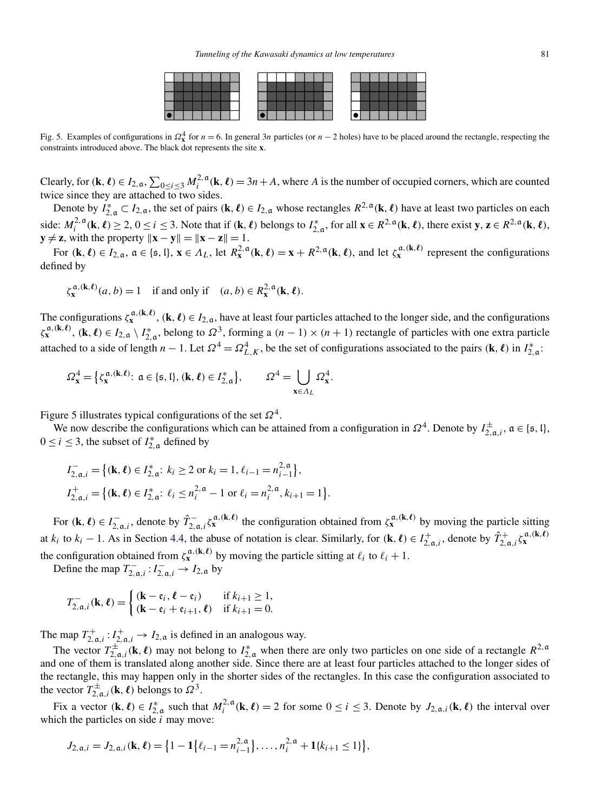

Fig. 5. Examples of configurations in  $\Omega^4$  for  $n = 6$ . In general 3*n* particles (or  $n - 2$  holes) have to be placed around the rectangle, respecting the constraints introduced above. The black dot represents the site **x**.

Clearly, for  $(\mathbf{k}, \ell) \in I_{2, \mathfrak{a}}, \sum_{0 \le i \le 3} M_i^{2, \mathfrak{a}}(\mathbf{k}, \ell) = 3n + A$ , where A is the number of occupied corners, which are counted twice since they are attached to two sides.

Denote by  $I_{2,\mathfrak{a}}^* \subset I_{2,\mathfrak{a}}$ , the set of pairs  $(\mathbf{k}, \ell) \in I_{2,\mathfrak{a}}$  whose rectangles  $R^{2,\mathfrak{a}}(\mathbf{k}, \ell)$  have at least two particles on each side:  $M_i^{2,\mathfrak{a}}(\mathbf{k},\ell) \geq 2, 0 \leq i \leq 3$ . Note that if  $(\mathbf{k},\ell)$  belongs to  $I_{2,\mathfrak{a}}^*$ , for all  $\mathbf{x} \in R^{2,\mathfrak{a}}(\mathbf{k},\ell)$ , there exist  $\mathbf{y}, \mathbf{z} \in R^{2,\mathfrak{a}}(\mathbf{k},\ell)$ , **y** ≠ **z**, with the property  $||\mathbf{x} - \mathbf{y}|| = ||\mathbf{x} - \mathbf{z}|| = 1$ .

For  $(\mathbf{k}, \ell) \in I_{2, \mathfrak{a}}$ ,  $\mathfrak{a} \in \{\mathfrak{s}, \mathfrak{l}\}, \mathbf{x} \in \Lambda_L$ , let  $R_{\mathbf{x}}^{2, \mathfrak{a}}(\mathbf{k}, \ell) = \mathbf{x} + R^{2, \mathfrak{a}}(\mathbf{k}, \ell)$ , and let  $\zeta_{\mathbf{x}}^{\mathfrak{a}, (\mathbf{k}, \ell)}$  represent the configurations defined by

$$
\zeta_{\mathbf{x}}^{\mathfrak{a},(\mathbf{k},\ell)}(a,b) = 1 \quad \text{if and only if} \quad (a,b) \in R_{\mathbf{x}}^{2,\mathfrak{a}}(\mathbf{k},\ell).
$$

The configurations  $\zeta_x^{\mathfrak{a},(\mathbf{k},\ell)}$ ,  $(\mathbf{k},\ell) \in I_{2,\mathfrak{a}}$ , have at least four particles attached to the longer side, and the configurations  $\zeta_{\mathbf{x}}^{\mathfrak{a},(\mathbf{k},\ell)}$ ,  $(\mathbf{k},\ell) \in I_{2,\mathfrak{a}} \setminus I_{2,\mathfrak{a}}^*$ , belong to  $\Omega^3$ , forming a  $(n-1) \times (n+1)$  rectangle of particles with one extra particle attached to a side of length  $n-1$ . Let  $\Omega^4 = \Omega^4_{L,K}$ , be the set of configurations associated to the pairs  $(\mathbf{k}, \ell)$  in  $I^*_{2, \mathfrak{a}}$ .

$$
\Omega_{\mathbf{x}}^4 = \left\{ \zeta_{\mathbf{x}}^{\mathfrak{a},(\mathbf{k},\ell)} : \mathfrak{a} \in \{\mathfrak{s},\mathfrak{l}\}, (\mathbf{k},\ell) \in I_{2,\mathfrak{a}}^* \right\}, \qquad \Omega^4 = \bigcup_{\mathbf{x} \in \Lambda_L} \Omega_{\mathbf{x}}^4.
$$

Figure 5 illustrates typical configurations of the set *Ω*4.

We now describe the configurations which can be attained from a configuration in  $\Omega^4$ . Denote by  $I^{\pm}_{2,\mathfrak{a},i}$ ,  $\mathfrak{a} \in \{\mathfrak{s},\mathfrak{l}\},$  $0 \le i \le 3$ , the subset of  $I_{2,\,\mathfrak{a}}^*$  defined by

$$
I_{2,\mathfrak{a},i}^{-} = \{ (\mathbf{k}, \ell) \in I_{2,\mathfrak{a}}^{*} : k_i \ge 2 \text{ or } k_i = 1, \ell_{i-1} = n_{i-1}^{2,\mathfrak{a}} \},
$$
  

$$
I_{2,\mathfrak{a},i}^{+} = \{ (\mathbf{k}, \ell) \in I_{2,\mathfrak{a}}^{*} : \ell_i \le n_i^{2,\mathfrak{a}} - 1 \text{ or } \ell_i = n_i^{2,\mathfrak{a}}, k_{i+1} = 1 \}.
$$

For  $(\mathbf{k}, \ell) \in I^{-}_{2, \mathfrak{a}, i}$ , denote by  $\hat{T}^{-}_{2, \mathfrak{a}, i} \zeta_{\mathbf{x}}^{\mathfrak{a}, (\mathbf{k}, \ell)}$  the configuration obtained from  $\zeta_{\mathbf{x}}^{\mathfrak{a}, (\mathbf{k}, \ell)}$  by moving the particle sitting at  $k_i$  to  $k_i - 1$ . As in Section [4.4,](#page-16-0) the abuse of notation is clear. Similarly, for  $(\mathbf{k}, \ell) \in I_{2, \mathfrak{a}, i}^+$ , denote by  $\hat{T}_{2, \mathfrak{a}, i}^+ \zeta_{\mathbf{x}}^{\mathfrak{a}, (\mathbf{k}, \ell)}$ the configuration obtained from  $\zeta_{\mathbf{x}}^{\mathfrak{a},(\mathbf{k},\ell)}$  by moving the particle sitting at  $\ell_i$  to  $\ell_i + 1$ .

Define the map  $T_{2,\alpha,i}^- : T_{2,\alpha,i}^- \to T_{2,\alpha}$  by

$$
T_{2,\mathfrak{a},i}^{-}(\mathbf{k},\boldsymbol{\ell})=\begin{cases} (\mathbf{k}-\mathfrak{e}_i,\boldsymbol{\ell}-\mathfrak{e}_i) & \text{if } k_{i+1}\geq 1,\\ (\mathbf{k}-\mathfrak{e}_i+\mathfrak{e}_{i+1},\boldsymbol{\ell}) & \text{if } k_{i+1}=0. \end{cases}
$$

The map  $T_{2,\mathfrak{a},i}^+ : I_{2,\mathfrak{a},i}^+ \to I_{2,\mathfrak{a}}$  is defined in an analogous way.

The vector  $T^{\pm}_{2,\pi,i}(\mathbf{k}, \ell)$  may not belong to  $I^*_{2,\pi}$  when there are only two particles on one side of a rectangle  $R^{2,\pi}$ and one of them is translated along another side. Since there are at least four particles attached to the longer sides of the rectangle, this may happen only in the shorter sides of the rectangles. In this case the configuration associated to the vector  $T_{2,\alpha,i}^{\pm}(\mathbf{k}, \ell)$  belongs to  $\Omega^3$ .

Fix a vector  $(\mathbf{k}, \ell) \in I_{2, \mathfrak{a}}^*$  such that  $M_i^{2, \mathfrak{a}}(\mathbf{k}, \ell) = 2$  for some  $0 \le i \le 3$ . Denote by  $J_{2, \mathfrak{a}, i}(\mathbf{k}, \ell)$  the interval over which the particles on side *i* may move:

$$
J_{2,\mathfrak{a},i}=J_{2,\mathfrak{a},i}(\mathbf{k},\ell)=\big\{1-\mathbf{1}\big\{\ell_{i-1}=n_{i-1}^{2,\mathfrak{a}}\big\},\ldots,n_i^{2,\mathfrak{a}}+\mathbf{1}\{k_{i+1}\leq 1\}\big\},\,
$$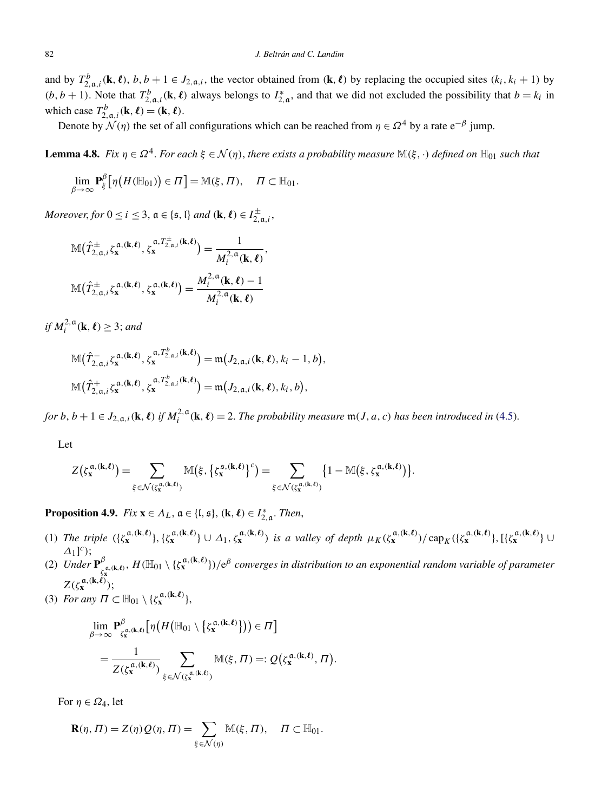and by  $T_{2,\mathfrak{a},i}^b(\mathbf{k},\ell)$ ,  $b, b+1 \in J_{2,\mathfrak{a},i}$ , the vector obtained from  $(\mathbf{k},\ell)$  by replacing the occupied sites  $(k_i, k_i + 1)$  by  $(b, b + 1)$ . Note that  $T_{2,\mathfrak{a},i}^b(\mathbf{k}, \ell)$  always belongs to  $I_{2,\mathfrak{a}}^*$ , and that we did not excluded the possibility that  $b = k_i$  in which case  $T^b_{2, \mathfrak{a}, i}(\mathbf{k}, \ell) = (\mathbf{k}, \ell)$ .

Denote by  $\mathcal{N}(\eta)$  the set of all configurations which can be reached from  $\eta \in \Omega^4$  by a rate  $e^{-\beta}$  jump.

**Lemma 4.8.** *Fix*  $\eta \in \Omega^4$ . *For each*  $\xi \in \mathcal{N}(\eta)$ , *there exists a probability measure*  $\mathbb{M}(\xi, \cdot)$  *defined on*  $\mathbb{H}_{01}$  *such that* 

$$
\lim_{\beta\to\infty}\mathbf{P}_{\xi}^{\beta}\big[\eta\big(H(\mathbb{H}_{01})\big)\in\Pi\big]=\mathbb{M}(\xi,\Pi),\quad \Pi\subset\mathbb{H}_{01}.
$$

*Moreover, for*  $0 \le i \le 3$ ,  $a \in \{5, 1\}$  *and*  $(\mathbf{k}, \ell) \in I^{\pm}_{2, \mathfrak{a}, i}$ ,

$$
\mathbb{M}(\hat{T}_{2,\mathfrak{a},i}^{\pm} \zeta_{\mathbf{x}}^{\mathfrak{a},(\mathbf{k},\ell)}, \zeta_{\mathbf{x}}^{\mathfrak{a},T_{2,\mathfrak{a},i}^{\pm}(\mathbf{k},\ell)}) = \frac{1}{M_i^{2,\mathfrak{a}}(\mathbf{k},\ell)},
$$
  

$$
\mathbb{M}(\hat{T}_{2,\mathfrak{a},i}^{\pm} \zeta_{\mathbf{x}}^{\mathfrak{a},(\mathbf{k},\ell)}, \zeta_{\mathbf{x}}^{\mathfrak{a},(\mathbf{k},\ell)}) = \frac{M_i^{2,\mathfrak{a}}(\mathbf{k},\ell)-1}{M_i^{2,\mathfrak{a}}(\mathbf{k},\ell)}
$$

*if*  $M_i^{2, \mathfrak{a}}(\mathbf{k}, \ell) \geq 3$ ; *and* 

$$
\mathbb{M}(\hat{T}_{2,\mathfrak{a},i}^{-}\zeta_{\mathbf{x}}^{\mathfrak{a},(\mathbf{k},\ell)},\zeta_{\mathbf{x}}^{\mathfrak{a},T_{2,\mathfrak{a},i}^{b}(\mathbf{k},\ell)})=\mathfrak{m}(J_{2,\mathfrak{a},i}(\mathbf{k},\ell),k_{i}-1,b),
$$
  

$$
\mathbb{M}(\hat{T}_{2,\mathfrak{a},i}^{+}\zeta_{\mathbf{x}}^{\mathfrak{a},(\mathbf{k},\ell)},\zeta_{\mathbf{x}}^{\mathfrak{a},T_{2,\mathfrak{a},i}^{b}(\mathbf{k},\ell)})=\mathfrak{m}(J_{2,\mathfrak{a},i}(\mathbf{k},\ell),k_{i},b),
$$

for b,  $b+1 \in J_{2,\mathfrak{a},i}(\mathbf{k},\ell)$  if  $M_i^{2,\mathfrak{a}}(\mathbf{k},\ell) = 2$ . The probability measure  $\mathfrak{m}(J,a,c)$  has been introduced in [\(4.5\)](#page-8-0).

Let

$$
Z\big(\zeta_{\boldsymbol{x}}^{\mathfrak{a},(\boldsymbol{k},\boldsymbol{\ell})}\big)=\sum_{\xi\in \mathcal{N}(\zeta_{\boldsymbol{x}}^{\mathfrak{a},(\boldsymbol{k},\boldsymbol{\ell})})}\mathbb{M}\big(\xi,\big\{\zeta_{\boldsymbol{x}}^{\mathfrak{s},(\boldsymbol{k},\boldsymbol{\ell})}\big\}^{\scriptscriptstyle\mathcal{C}}\big)=\sum_{\xi\in \mathcal{N}(\zeta_{\boldsymbol{x}}^{\mathfrak{a},(\boldsymbol{k},\boldsymbol{\ell})})}\big\{1-\mathbb{M}\big(\xi,\zeta_{\boldsymbol{x}}^{\mathfrak{a},(\boldsymbol{k},\boldsymbol{\ell})}\big)\big\}.
$$

**Proposition 4.9.** *Fix*  $\mathbf{x} \in A_L$ ,  $\mathfrak{a} \in \{1, \mathfrak{s}\}, \ (\mathbf{k}, \ell) \in I_{2, \mathfrak{a}}^*$ . *Then*,

- (1) The triple  $(\{\zeta_x^{\mathfrak{a},(\mathbf{k},\ell)}\},\{\zeta_x^{\mathfrak{a},(\mathbf{k},\ell)}\}\cup\Delta_1,\zeta_x^{\mathfrak{a},(\mathbf{k},\ell)})$  is a valley of depth  $\mu_K(\zeta_x^{\mathfrak{a},(\mathbf{k},\ell)})$  cap<sub>K</sub>( $\{\zeta_x^{\mathfrak{a},(\mathbf{k},\ell)}\},\{\zeta_x^{\mathfrak{a},(\mathbf{k},\ell)}\}\cup\Delta_1$ *Δ*1] *c)*;
- (2) Under  $\mathbf{P}_{\zeta_{\mathbf{x}}^{(n,(k,\ell)}},^{\beta} H(\mathbb{H}_{01} \setminus {\{\zeta_{\mathbf{x}}^{\mathfrak{a},(k,\ell)}\}})/e^{\beta}$  converges in distribution to an exponential random variable of parameter  $Z(\zeta_{\mathbf{x}}^{\mathfrak{a},(\mathbf{k},\ell)});$
- (3) *For any*  $\Pi \subset \mathbb{H}_{01} \setminus {\{\zeta_{\mathbf{x}}^{\mathfrak{a},(\mathbf{k},\ell)}\}}$ ,

$$
\lim_{\beta \to \infty} \mathbf{P}^{\beta}_{\zeta_{\mathbf{x}}^{a,(\mathbf{k},\ell)}} \big[ \eta \big( H \big( \mathbb{H}_{01} \setminus \{ \zeta_{\mathbf{x}}^{a,(\mathbf{k},\ell)} \} \big) \big) \in \Pi \big]
$$
\n
$$
= \frac{1}{Z(\zeta_{\mathbf{x}}^{a,(\mathbf{k},\ell)})} \sum_{\xi \in \mathcal{N}(\zeta_{\mathbf{x}}^{a,(\mathbf{k},\ell)})} \mathbb{M}(\xi,\Pi) =: Q \big( \zeta_{\mathbf{x}}^{a,(\mathbf{k},\ell)},\Pi \big).
$$

For  $\eta \in \Omega_4$ , let

$$
\mathbf{R}(\eta, \Pi) = Z(\eta) Q(\eta, \Pi) = \sum_{\xi \in \mathcal{N}(\eta)} \mathbb{M}(\xi, \Pi), \quad \Pi \subset \mathbb{H}_{01}.
$$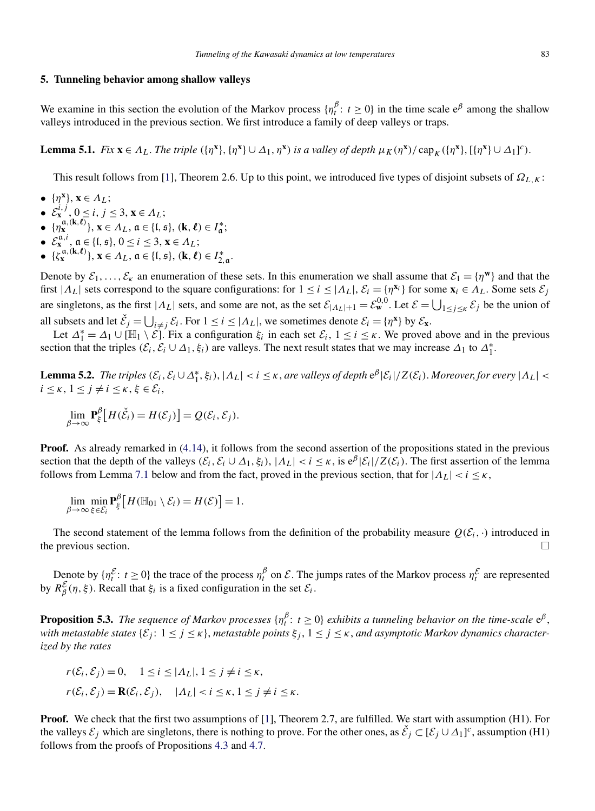### <span id="page-24-0"></span>**5. Tunneling behavior among shallow valleys**

We examine in this section the evolution of the Markov process  $\{\eta_t^{\beta} : t \ge 0\}$  in the time scale  $e^{\beta}$  among the shallow valleys introduced in the previous section. We first introduce a family of deep valleys or traps.

**Lemma 5.1.** Fix  $\mathbf{x} \in \Lambda_L$ . The triple  $(\{\eta^{\mathbf{x}}\}, \{\eta^{\mathbf{x}}\} \cup \Delta_1, \eta^{\mathbf{x}})$  is a valley of depth  $\mu_K(\eta^{\mathbf{x}}) / \text{cap}_K(\{\eta^{\mathbf{x}}\}, [\{\eta^{\mathbf{x}}\} \cup \Delta_1]^c)$ .

This result follows from [\[1\]](#page-29-0), Theorem 2.6. Up to this point, we introduced five types of disjoint subsets of  $\Omega_L$ <sub>K</sub>:

- $\bullet$  { $\eta^{\mathbf{x}}$ },  $\mathbf{x} \in \Lambda_L$ ;
- $\mathcal{E}_{\mathbf{x}}^{i,j}, 0 \leq i, j \leq 3, \mathbf{x} \in \Lambda_L;$
- $\bullet$  { $\eta_{\mathbf{x}}^{\mathfrak{a},(\mathbf{k},\ell)}$ },  $\mathbf{x} \in \Lambda_L$ ,  $\mathfrak{a} \in \{ \mathfrak{l}, \mathfrak{s} \}, (\mathbf{k}, \ell) \in I_{\mathfrak{a}}^*$ ;
- $\mathcal{E}_{\mathbf{x}}^{\mathfrak{a},i}$ ,  $\mathfrak{a} \in \{I, \mathfrak{s}\}, 0 \le i \le 3, \mathbf{x} \in \Lambda_L;$
- $\{\zeta_{\mathbf{x}}^{\mathfrak{a},(\mathbf{k},\ell)}\}, \mathbf{x} \in \Lambda_L, \mathfrak{a} \in \{\mathfrak{l},\mathfrak{s}\}, (\mathbf{k},\ell) \in I_{2,\mathfrak{a}}^*$ .

Denote by  $\mathcal{E}_1, \ldots, \mathcal{E}_k$  an enumeration of these sets. In this enumeration we shall assume that  $\mathcal{E}_1 = \{\eta^w\}$  and that the first  $|A_L|$  sets correspond to the square configurations: for  $1 \le i \le |A_L|$ ,  $\mathcal{E}_i = \{\eta^{x_i}\}\$ for some  $x_i \in A_L$ . Some sets  $\mathcal{E}_j$ are singletons, as the first  $|A_L|$  sets, and some are not, as the set  $\mathcal{E}_{|A_L|+1} = \mathcal{E}_{\mathbf{w}}^{0,0}$ . Let  $\mathcal{E} = \bigcup_{1 \le j \le \kappa} \mathcal{E}_j$  be the union of all subsets and let  $\check{\mathcal{E}}_j = \bigcup_{i \neq j} \mathcal{E}_i$ . For  $1 \leq i \leq |A_L|$ , we sometimes denote  $\mathcal{E}_i = \{\eta^{\mathbf{x}}\}$  by  $\mathcal{E}_{\mathbf{x}}$ .

Let  $\Delta_1^* = \Delta_1 \cup [\mathbb{H}_1 \setminus \mathcal{E}]$ . Fix a configuration  $\xi_i$  in each set  $\mathcal{E}_i$ ,  $1 \le i \le \kappa$ . We proved above and in the previous section that the triples  $(\mathcal{E}_i, \mathcal{E}_i \cup \Delta_1, \xi_i)$  are valleys. The next result states that we may increase  $\Delta_1$  to  $\Delta_1^*$ .

**Lemma 5.2.** The triples  $(\mathcal{E}_i, \mathcal{E}_i \cup \Delta_1^*, \xi_i), |\Lambda_L| < i \leq \kappa$ , are valleys of depth  $e^{\beta}|\mathcal{E}_i|/Z(\mathcal{E}_i)$ . Moreover, for every  $|\Lambda_L|$  $i \leq \kappa, 1 \leq j \neq i \leq \kappa, \xi \in \mathcal{E}_i$ ,

$$
\lim_{\beta \to \infty} \mathbf{P}_{\xi}^{\beta} \big[ H(\check{\mathcal{E}}_i) = H(\mathcal{E}_j) \big] = Q(\mathcal{E}_i, \mathcal{E}_j).
$$

**Proof.** As already remarked in [\(4.14\)](#page-15-0), it follows from the second assertion of the propositions stated in the previous section that the depth of the valleys  $(\mathcal{E}_i, \mathcal{E}_i \cup \Delta_1, \xi_i)$ ,  $|\Lambda_L| < i \leq \kappa$ , is  $e^{\beta} |\mathcal{E}_i| / Z(\mathcal{E}_i)$ . The first assertion of the lemma follows from Lemma [7.1](#page-28-0) below and from the fact, proved in the previous section, that for  $|A_L| < i \leq \kappa$ ,

$$
\lim_{\beta \to \infty} \min_{\xi \in \mathcal{E}_i} \mathbf{P}_{\xi}^{\beta} \big[ H(\mathbb{H}_{01} \setminus \mathcal{E}_i) = H(\mathcal{E}) \big] = 1.
$$

The second statement of the lemma follows from the definition of the probability measure  $Q(\mathcal{E}_i, \cdot)$  introduced in the previous section.  $\Box$ 

Denote by  $\{\eta_t^{\mathcal{E}}: t \ge 0\}$  the trace of the process  $\eta_t^{\beta}$  on  $\mathcal{E}$ . The jumps rates of the Markov process  $\eta_t^{\mathcal{E}}$  are represented by  $R^{\varepsilon}_{\beta}(\eta, \xi)$ . Recall that  $\xi_i$  is a fixed configuration in the set  $\mathcal{E}_i$ .

**Proposition 5.3.** *The sequence of Markov processes*  $\{\eta_t^{\beta} : t \ge 0\}$  *exhibits a tunneling behavior on the time-scale*  $e^{\beta}$ , *with metastable states*  $\{\mathcal{E}_j: 1 \leq j \leq \kappa\}$ , *metastable points*  $\xi_j$ ,  $1 \leq j \leq \kappa$ , *and asymptotic Markov dynamics characterized by the rates*

$$
r(\mathcal{E}_i, \mathcal{E}_j) = 0, \quad 1 \le i \le |\Lambda_L|, 1 \le j \ne i \le \kappa,
$$
  

$$
r(\mathcal{E}_i, \mathcal{E}_j) = \mathbf{R}(\mathcal{E}_i, \mathcal{E}_j), \quad |\Lambda_L| < i \le \kappa, 1 \le j \ne i \le \kappa.
$$

**Proof.** We check that the first two assumptions of [\[1\]](#page-29-0), Theorem 2.7, are fulfilled. We start with assumption (H1). For the valleys  $\mathcal{E}_j$  which are singletons, there is nothing to prove. For the other ones, as  $\check{\mathcal{E}}_j \subset [\mathcal{E}_j \cup \Delta_1]^c$ , assumption (H1) follows from the proofs of Propositions [4.3](#page-13-0) and [4.7.](#page-21-0)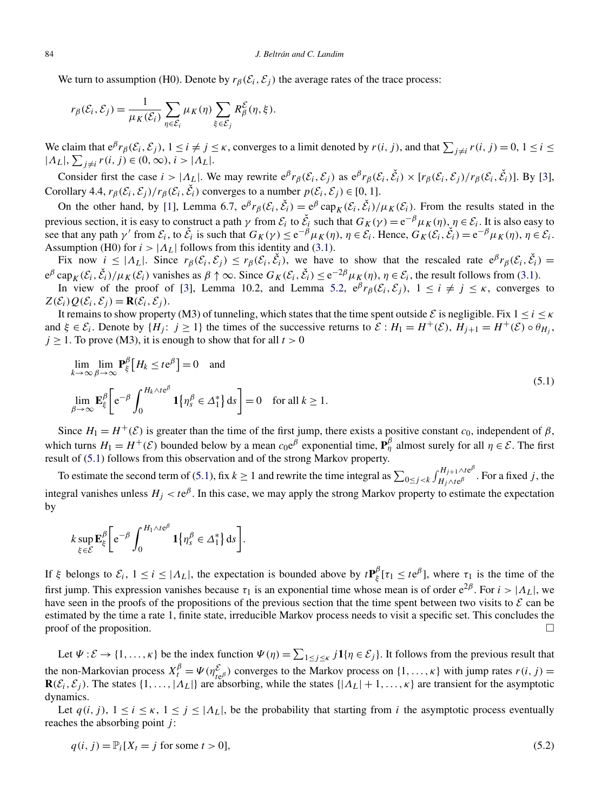<span id="page-25-0"></span>We turn to assumption (H0). Denote by  $r_\beta(\mathcal{E}_i, \mathcal{E}_j)$  the average rates of the trace process:

$$
r_{\beta}(\mathcal{E}_i, \mathcal{E}_j) = \frac{1}{\mu_K(\mathcal{E}_i)} \sum_{\eta \in \mathcal{E}_i} \mu_K(\eta) \sum_{\xi \in \mathcal{E}_j} R_{\beta}^{\mathcal{E}}(\eta, \xi).
$$

We claim that  $e^{\beta} r_{\beta}(\mathcal{E}_i, \mathcal{E}_j)$ ,  $1 \le i \ne j \le \kappa$ , converges to a limit denoted by  $r(i, j)$ , and that  $\sum_{j \ne i} r(i, j) = 0, 1 \le i \le \kappa$  $|A_L|, \sum_{j \neq i} r(i, j) \in (0, \infty), i > |A_L|.$ 

Consider first the case  $i > |A_L|$ . We may rewrite  $e^{\beta} r_{\beta}(\mathcal{E}_i, \mathcal{E}_j)$  as  $e^{\beta} r_{\beta}(\mathcal{E}_i, \check{\mathcal{E}}_i) \times [r_{\beta}(\mathcal{E}_i, \mathcal{E}_j) / r_{\beta}(\mathcal{E}_i, \check{\mathcal{E}}_i)]$ . By [\[3\]](#page-29-0), Corollary 4.4,  $r_\beta(\mathcal{E}_i, \mathcal{E}_j)/r_\beta(\mathcal{E}_i, \check{\mathcal{E}}_i)$  converges to a number  $p(\mathcal{E}_i, \mathcal{E}_j) \in [0, 1]$ .

On the other hand, by [\[1\]](#page-29-0), Lemma 6.7,  $e^{\beta}r_{\beta}(\mathcal{E}_i, \check{\mathcal{E}}_i) = e^{\beta} \text{cap}_K(\mathcal{E}_i, \check{\mathcal{E}}_i)/\mu_K(\mathcal{E}_i)$ . From the results stated in the previous section, it is easy to construct a path  $\gamma$  from  $\mathcal{E}_i$  to  $\check{\mathcal{E}}_i$  such that  $G_K(\gamma) = e^{-\beta} \mu_K(\eta)$ ,  $\eta \in \mathcal{E}_i$ . It is also easy to see that any path *γ'* from  $\mathcal{E}_i$ , to  $\check{\mathcal{E}}_i$  is such that  $G_K(\gamma) \le e^{-\beta} \mu_K(\eta)$ ,  $\eta \in \mathcal{E}_i$ . Hence,  $G_K(\check{\mathcal{E}}_i, \check{\mathcal{E}}_i) = e^{-\beta} \mu_K(\eta)$ ,  $\eta \in \mathcal{E}_i$ . Assumption (H0) for  $i > |A_L|$  follows from this identity and [\(3.1\)](#page-6-0).

Fix now  $i \leq |A_L|$ . Since  $r_\beta(\mathcal{E}_i, \mathcal{E}_j) \leq r_\beta(\mathcal{E}_i, \check{\mathcal{E}}_i)$ , we have to show that the rescaled rate  $e^\beta r_\beta(\mathcal{E}_i, \check{\mathcal{E}}_i) =$  $e^{\beta}$  cap<sub>*K*</sub>( $\mathcal{E}_i$ ,  $\check{\mathcal{E}}_i$ )/ $\mu_K(\mathcal{E}_i)$  vanishes as  $\beta \uparrow \infty$ . Since  $G_K(\mathcal{E}_i, \check{\mathcal{E}}_i) \leq e^{-2\beta} \mu_K(\eta)$ ,  $\eta \in \mathcal{E}_i$ , the result follows from [\(3.1\)](#page-6-0).

In view of the proof of [\[3\]](#page-29-0), Lemma 10.2, and Lemma [5.2,](#page-24-0)  $e^{\beta}r_{\beta}(\mathcal{E}_i, \mathcal{E}_j)$ ,  $1 \le i \ne j \le \kappa$ , converges to  $Z(\mathcal{E}_i)Q(\mathcal{E}_i,\mathcal{E}_j) = \mathbf{R}(\mathcal{E}_i,\mathcal{E}_j).$ 

It remains to show property (M3) of tunneling, which states that the time spent outside  $\mathcal E$  is negligible. Fix  $1 \le i \le \kappa$ and  $\xi \in \mathcal{E}_i$ . Denote by  $\{H_i: j \ge 1\}$  the times of the successive returns to  $\mathcal{E}: H_1 = H^+(\mathcal{E}), H_{j+1} = H^+(\mathcal{E}) \circ \theta_{H_j}$  $j \ge 1$ . To prove (M3), it is enough to show that for all  $t > 0$ 

$$
\lim_{k \to \infty} \lim_{\beta \to \infty} \mathbf{P}_{\xi}^{\beta} \left[ H_k \le t e^{\beta} \right] = 0 \text{ and}
$$
\n
$$
\lim_{\beta \to \infty} \mathbf{E}_{\xi}^{\beta} \left[ e^{-\beta} \int_{0}^{H_k \wedge t e^{\beta}} \mathbf{1} \{ \eta_s^{\beta} \in \Delta_1^* \} ds \right] = 0 \text{ for all } k \ge 1.
$$
\n(5.1)

Since  $H_1 = H^+(\mathcal{E})$  is greater than the time of the first jump, there exists a positive constant  $c_0$ , independent of  $\beta$ , which turns  $H_1 = H^+(\mathcal{E})$  bounded below by a mean  $c_0e^{\beta}$  exponential time,  $\mathbf{P}_\eta^{\beta}$  almost surely for all  $\eta \in \mathcal{E}$ . The first result of (5.1) follows from this observation and of the strong Markov property.

To estimate the second term of (5.1), fix  $k \ge 1$  and rewrite the time integral as  $\sum_{0 \le j < k} \int_{H_j \wedge t e^{\beta}}^{H_{j+1} \wedge t e^{\beta}}$ . For a fixed *j*, the integral vanishes unless  $H_i < t e^{\beta}$ . In this case, we may apply the strong Markov property to estimate the expectation by

$$
k \sup_{\xi \in \mathcal{E}} \mathbf{E}_{\xi}^{\beta} \bigg[ e^{-\beta} \int_0^{H_1 \wedge t e^{\beta}} \mathbf{1} \{ \eta_s^{\beta} \in \Delta_1^* \} ds \bigg].
$$

If  $\xi$  belongs to  $\mathcal{E}_i$ ,  $1 \le i \le |\Lambda_L|$ , the expectation is bounded above by  $t\mathbf{P}_{\xi}^{\beta}[\tau_1 \le t e^{\beta}]$ , where  $\tau_1$  is the time of the first jump. This expression vanishes because  $\tau_1$  is an exponential time whose mean is of order  $e^{2\beta}$ . For  $i > |A_L|$ , we have seen in the proofs of the propositions of the previous section that the time spent between two visits to  $\mathcal E$  can be estimated by the time a rate 1, finite state, irreducible Markov process needs to visit a specific set. This concludes the proof of the proposition.  $\Box$ 

Let  $\Psi : \mathcal{E} \to \{1, ..., \kappa\}$  be the index function  $\Psi(\eta) = \sum_{1 \le j \le \kappa} j \mathbf{1}{\{\eta \in \mathcal{E}_j\}}$ . It follows from the previous result that the non-Markovian process  $X_t^{\beta} = \Psi(\eta_{te^{\beta}}^{\mathcal{E}})$  converges to the Markov process on  $\{1, \ldots, \kappa\}$  with jump rates  $r(i, j) =$  $\mathbf{R}(\mathcal{E}_i, \mathcal{E}_j)$ . The states  $\{1, \ldots, |A_L|\}$  are absorbing, while the states  $\{|A_L| + 1, \ldots, \kappa\}$  are transient for the asymptotic dynamics.

Let  $q(i, j)$ ,  $1 \le i \le \kappa$ ,  $1 \le j \le |A_L|$ , be the probability that starting from *i* the asymptotic process eventually reaches the absorbing point *j* :

$$
q(i, j) = \mathbb{P}_i[X_t = j \text{ for some } t > 0],\tag{5.2}
$$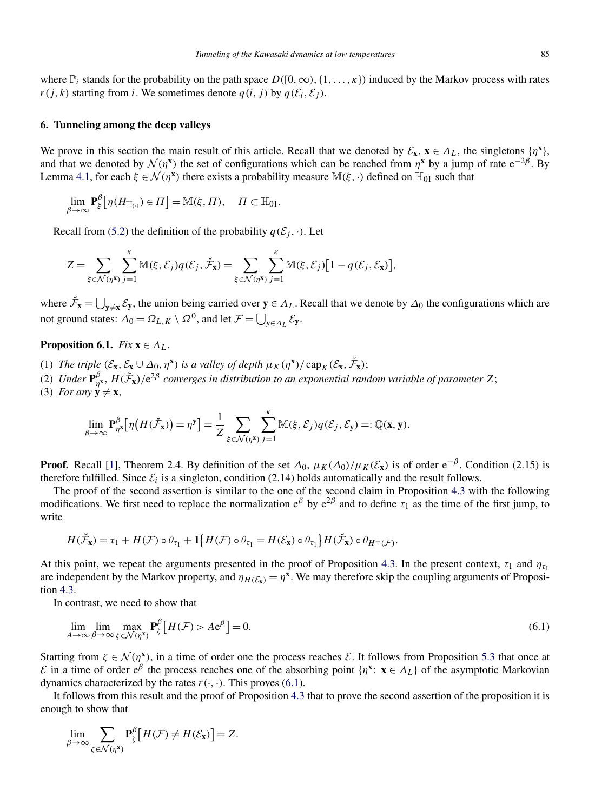<span id="page-26-0"></span>where  $\mathbb{P}_i$  stands for the probability on the path space  $D([0, \infty), \{1, \ldots, \kappa\})$  induced by the Markov process with rates  $r(j, k)$  starting from *i*. We sometimes denote  $q(i, j)$  by  $q(\mathcal{E}_i, \mathcal{E}_j)$ .

### **6. Tunneling among the deep valleys**

We prove in this section the main result of this article. Recall that we denoted by  $\mathcal{E}_\mathbf{x}, \mathbf{x} \in \Lambda_L$ , the singletons  $\{\eta^\mathbf{x}\},$ and that we denoted by  $\mathcal{N}(n^{\mathbf{x}})$  the set of configurations which can be reached from  $n^{\mathbf{x}}$  by a jump of rate  $e^{-2\beta}$ . By Lemma [4.1,](#page-9-0) for each  $\xi \in \mathcal{N}(\eta^{\mathbf{x}})$  there exists a probability measure  $\mathbb{M}(\xi, \cdot)$  defined on  $\mathbb{H}_{01}$  such that

$$
\lim_{\beta\to\infty}\mathbf{P}_{\xi}^{\beta}\big[\eta(H_{\mathbb{H}_{01}})\in\Pi\big]=\mathbb{M}(\xi,\Pi),\quad \Pi\subset\mathbb{H}_{01}.
$$

Recall from [\(5.2\)](#page-25-0) the definition of the probability  $q(\mathcal{E}_i, \cdot)$ . Let

$$
Z = \sum_{\xi \in \mathcal{N}(\eta^{\mathbf{x}})} \sum_{j=1}^{\kappa} \mathbb{M}(\xi, \mathcal{E}_j) q(\mathcal{E}_j, \check{\mathcal{F}}_{\mathbf{x}}) = \sum_{\xi \in \mathcal{N}(\eta^{\mathbf{x}})} \sum_{j=1}^{\kappa} \mathbb{M}(\xi, \mathcal{E}_j) [1 - q(\mathcal{E}_j, \mathcal{E}_{\mathbf{x}})],
$$

where  $\check{\mathcal{F}}_x = \bigcup_{y \neq x} \mathcal{E}_y$ , the union being carried over  $y \in \Lambda_L$ . Recall that we denote by  $\Delta_0$  the configurations which are not ground states:  $\Delta_0 = \Omega_{L,K} \setminus \Omega^0$ , and let  $\mathcal{F} = \bigcup_{\mathbf{y} \in \Lambda_L} \mathcal{E}_{\mathbf{y}}$ .

**Proposition 6.1.** *Fix*  $\mathbf{x} \in A_L$ .

- (1) *The triple*  $(\mathcal{E}_{\mathbf{x}}, \mathcal{E}_{\mathbf{x}} \cup \Delta_0, \eta^{\mathbf{x}})$  *is a valley of depth*  $\mu_K(\eta^{\mathbf{x}})/\text{cap}_K(\mathcal{E}_{\mathbf{x}}, \mathcal{F}_{\mathbf{x}})$ ;
- (2) *Under*  $P_{\eta}^{\beta}$ ,  $H(\check{\mathcal{F}}_X)/e^{2\beta}$  converges in distribution to an exponential random variable of parameter Z; (3) *For any*  $\mathbf{y} \neq \mathbf{x}$ ,

$$
\lim_{\beta \to \infty} \mathbf{P}_{\eta}^{\beta} \big[ \eta \big( H(\breve{\mathcal{F}}_{\mathbf{x}}) \big) = \eta^{\mathbf{y}} \big] = \frac{1}{Z} \sum_{\xi \in \mathcal{N}(\eta^{\mathbf{x}})} \sum_{j=1}^{K} \mathbb{M}(\xi, \mathcal{E}_{j}) q(\mathcal{E}_{j}, \mathcal{E}_{\mathbf{y}}) =: \mathbb{Q}(\mathbf{x}, \mathbf{y}).
$$

**Proof.** Recall [\[1\]](#page-29-0), Theorem 2.4. By definition of the set  $\Delta_0$ ,  $\mu_K(\Delta_0)/\mu_K(\mathcal{E}_x)$  is of order e<sup>-*β*</sup>. Condition (2.15) is therefore fulfilled. Since  $\mathcal{E}_i$  is a singleton, condition (2.14) holds automatically and the result follows.

The proof of the second assertion is similar to the one of the second claim in Proposition [4.3](#page-13-0) with the following modifications. We first need to replace the normalization  $e^{\beta}$  by  $e^{2\beta}$  and to define  $\tau_1$  as the time of the first jump, to write

$$
H(\breve{\mathcal{F}}_{\mathbf{x}}) = \tau_1 + H(\mathcal{F}) \circ \theta_{\tau_1} + \mathbf{1}\big\{H(\mathcal{F}) \circ \theta_{\tau_1} = H(\mathcal{E}_{\mathbf{x}}) \circ \theta_{\tau_1}\big\}H(\breve{\mathcal{F}}_{\mathbf{x}}) \circ \theta_{H^+(\mathcal{F})}.
$$

At this point, we repeat the arguments presented in the proof of Proposition [4.3.](#page-13-0) In the present context,  $\tau_1$  and  $\eta_{\tau_1}$ are independent by the Markov property, and  $\eta_{H(\mathcal{E}_x)} = \eta^x$ . We may therefore skip the coupling arguments of Proposition [4.3.](#page-13-0)

In contrast, we need to show that

$$
\lim_{A \to \infty} \lim_{\beta \to \infty} \max_{\zeta \in \mathcal{N}(\eta^{\mathbf{x}})} \mathbf{P}_{\zeta}^{\beta} \left[ H(\mathcal{F}) > A e^{\beta} \right] = 0.
$$
\n(6.1)

Starting from  $\zeta \in \mathcal{N}(\eta^{\mathbf{x}})$ , in a time of order one the process reaches  $\mathcal{E}$ . It follows from Proposition [5.3](#page-24-0) that once at *E* in a time of order e<sup>β</sup> the process reaches one of the absorbing point {*η*<sup>x</sup>: **x** ∈ *Λ*<sub>*L*</sub>} of the asymptotic Markovian dynamics characterized by the rates  $r(\cdot, \cdot)$ . This proves (6.1).

It follows from this result and the proof of Proposition [4.3](#page-13-0) that to prove the second assertion of the proposition it is enough to show that

$$
\lim_{\beta \to \infty} \sum_{\zeta \in \mathcal{N}(\eta^{\mathbf{x}})} \mathbf{P}_{\zeta}^{\beta} \big[ H(\mathcal{F}) \neq H(\mathcal{E}_{\mathbf{x}}) \big] = Z.
$$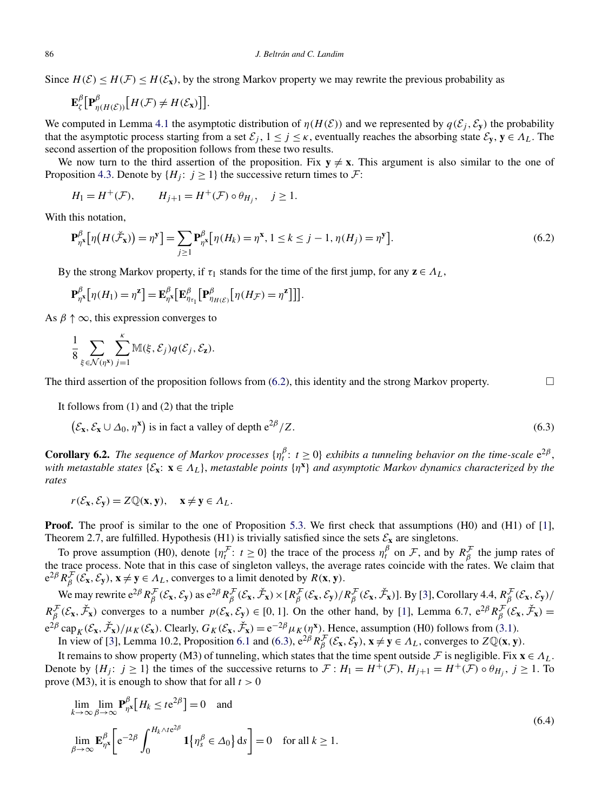<span id="page-27-0"></span>Since  $H(\mathcal{E}) \leq H(\mathcal{F}) \leq H(\mathcal{E}_x)$ , by the strong Markov property we may rewrite the previous probability as

$$
\mathbf{E}_{\zeta}^{\beta} \big[ \mathbf{P}_{\eta(H(\mathcal{E}))}^{\beta} \big[ H(\mathcal{F}) \neq H(\mathcal{E}_{\mathbf{x}}) \big] \big].
$$

We computed in Lemma [4.1](#page-9-0) the asymptotic distribution of  $\eta(H(\mathcal{E}))$  and we represented by  $q(\mathcal{E}_j, \mathcal{E}_x)$  the probability that the asymptotic process starting from a set  $\mathcal{E}_i$ ,  $1 \leq j \leq \kappa$ , eventually reaches the absorbing state  $\mathcal{E}_v$ ,  $y \in \Lambda_L$ . The second assertion of the proposition follows from these two results.

We now turn to the third assertion of the proposition. Fix  $y \neq x$ . This argument is also similar to the one of Proposition [4.3.](#page-13-0) Denote by  ${H_i: j \geq 1}$  the successive return times to F:

$$
H_1 = H^+(\mathcal{F}), \qquad H_{j+1} = H^+(\mathcal{F}) \circ \theta_{H_j}, \quad j \ge 1.
$$

With this notation,

$$
\mathbf{P}_{\eta^{\mathbf{x}}}^{\beta}[\eta(H(\tilde{\mathcal{F}}_{\mathbf{x}})) = \eta^{\mathbf{y}}] = \sum_{j \ge 1} \mathbf{P}_{\eta^{\mathbf{x}}}^{\beta}[\eta(H_k) = \eta^{\mathbf{x}}, 1 \le k \le j - 1, \eta(H_j) = \eta^{\mathbf{y}}].
$$
\n(6.2)

By the strong Markov property, if  $\tau_1$  stands for the time of the first jump, for any  $\mathbf{z} \in \Lambda_L$ ,

$$
\mathbf{P}_{\eta^{\mathbf{x}}}^{\beta} \big[ \eta(H_1) = \eta^{\mathbf{z}} \big] = \mathbf{E}_{\eta^{\mathbf{x}}}^{\beta} \big[ \mathbf{E}_{\eta_{\tau_1}}^{\beta} \big[ \mathbf{P}_{\eta_{H(\mathcal{E})}}^{\beta} \big[ \eta(H_{\mathcal{F}}) = \eta^{\mathbf{z}} \big] \big] \big].
$$

As  $\beta \uparrow \infty$ , this expression converges to

$$
\frac{1}{8} \sum_{\xi \in \mathcal{N}(\eta^{\mathbf{x}})} \sum_{j=1}^{\kappa} \mathbb{M}(\xi, \mathcal{E}_j) q(\mathcal{E}_j, \mathcal{E}_{\mathbf{z}}).
$$

The third assertion of the proposition follows from  $(6.2)$ , this identity and the strong Markov property.

It follows from (1) and (2) that the triple

$$
(\mathcal{E}_{\mathbf{x}}, \mathcal{E}_{\mathbf{x}} \cup \Delta_0, \eta^{\mathbf{x}}) \text{ is in fact a valley of depth } e^{2\beta}/Z. \tag{6.3}
$$

**Corollary 6.2.** *The sequence of Markov processes*  $\{\eta_t^{\beta}: t \ge 0\}$  *exhibits a tunneling behavior on the time-scale*  $e^{2\beta}$ , *with metastable states*  $\{\mathcal{E}_x : x \in \Lambda_L\}$ , *metastable points*  $\{\eta^x\}$  *and asymptotic Markov dynamics characterized by the rates*

$$
r(\mathcal{E}_{\mathbf{x}}, \mathcal{E}_{\mathbf{y}}) = Z \mathbb{Q}(\mathbf{x}, \mathbf{y}), \quad \mathbf{x} \neq \mathbf{y} \in \Lambda_L.
$$

**Proof.** The proof is similar to the one of Proposition [5.3.](#page-24-0) We first check that assumptions (H0) and (H1) of [\[1\]](#page-29-0), Theorem 2.7, are fulfilled. Hypothesis (H1) is trivially satisfied since the sets  $\mathcal{E}_x$  are singletons.

To prove assumption (H0), denote  $\{\eta_t^{\mathcal{F}}: t \ge 0\}$  the trace of the process  $\eta_t^{\beta}$  on  $\mathcal{F}$ , and by  $R_{\beta}^{\mathcal{F}}$  the jump rates of the trace process. Note that in this case of singleton valleys, the average rates coincide with the rates. We claim that  $e^{2\beta} R_{\beta}^{\mathcal{F}}(\mathcal{E}_{\mathbf{x}}, \mathcal{E}_{\mathbf{y}}), \mathbf{x} \neq \mathbf{y} \in \Lambda_L$ , converges to a limit denoted by  $R(\mathbf{x}, \mathbf{y})$ .

We may rewrite  $e^{2\beta}R_{\beta}^{\mathcal{F}}(\mathcal{E}_{\mathbf{x}}, \mathcal{E}_{\mathbf{y}})$  as  $e^{2\beta}R_{\beta}^{\mathcal{F}}(\mathcal{E}_{\mathbf{x}}, \check{\mathcal{F}}_{\mathbf{x}}) \times [R_{\beta}^{\mathcal{F}}(\mathcal{E}_{\mathbf{x}}, \mathcal{E}_{\mathbf{y}})/R_{\beta}^{\mathcal{F}}(\mathcal{E}_{\mathbf{x}}, \check{\mathcal{F}}_{\mathbf{x}})].$  By [\[3\]](#page-29-0), Corollary 4.4,  $R_{\beta}^{\mathcal{$  $R_{\beta}^{\mathcal{F}}(\mathcal{E}_{x}, \check{\mathcal{F}}_{x})$  converges to a number  $p(\mathcal{E}_{x}, \mathcal{E}_{y}) \in [0, 1]$ . On the other hand, by [\[1\]](#page-29-0), Lemma 6.7,  $e^{2\beta} R_{\beta}^{\mathcal{F}}(\mathcal{E}_{x}, \check{\mathcal{F}}_{x}) =$  $e^{2\beta}$  cap<sub>*K*</sub>( $\mathcal{E}_{\mathbf{x}}, \tilde{\mathcal{F}}_{\mathbf{x}}$ )/ $\mu_K(\mathcal{E}_{\mathbf{x}})$ . Clearly,  $G_K(\mathcal{E}_{\mathbf{x}}, \tilde{\mathcal{F}}_{\mathbf{x}}) = e^{-2\beta} \mu_K(\eta^{\mathbf{x}})$ . Hence, assumption (H0) follows from [\(3.1\)](#page-6-0).

In view of [\[3\]](#page-29-0), Lemma 10.2, Proposition [6.1](#page-26-0) and (6.3),  $e^{2\beta} R^{\mathcal{F}}_{\beta}(\mathcal{E}_x, \mathcal{E}_y)$ ,  $\mathbf{x} \neq \mathbf{y} \in \Lambda_L$ , converges to  $Z \mathbb{Q}(\mathbf{x}, \mathbf{y})$ .

It remains to show property (M3) of tunneling, which states that the time spent outside F is negligible. Fix  $\mathbf{x} \in \Lambda_L$ . Denote by  $\{H_j: j \ge 1\}$  the times of the successive returns to  $\mathcal{F}: H_1 = H^+(\mathcal{F}), H_{j+1} = H^+(\mathcal{F}) \circ \theta_{H_j}, j \ge 1$ . To prove (M3), it is enough to show that for all  $t > 0$ 

$$
\lim_{k \to \infty} \lim_{\beta \to \infty} \mathbf{P}_{\eta^{\mathbf{x}}}^{\beta} \left[ H_k \le t e^{2\beta} \right] = 0 \text{ and}
$$
\n
$$
\lim_{\beta \to \infty} \mathbf{E}_{\eta^{\mathbf{x}}}^{\beta} \left[ e^{-2\beta} \int_0^{H_k \wedge t e^{2\beta}} \mathbf{1} \{ \eta_s^{\beta} \in \Delta_0 \} \, \mathrm{d}s \right] = 0 \quad \text{for all } k \ge 1.
$$
\n(6.4)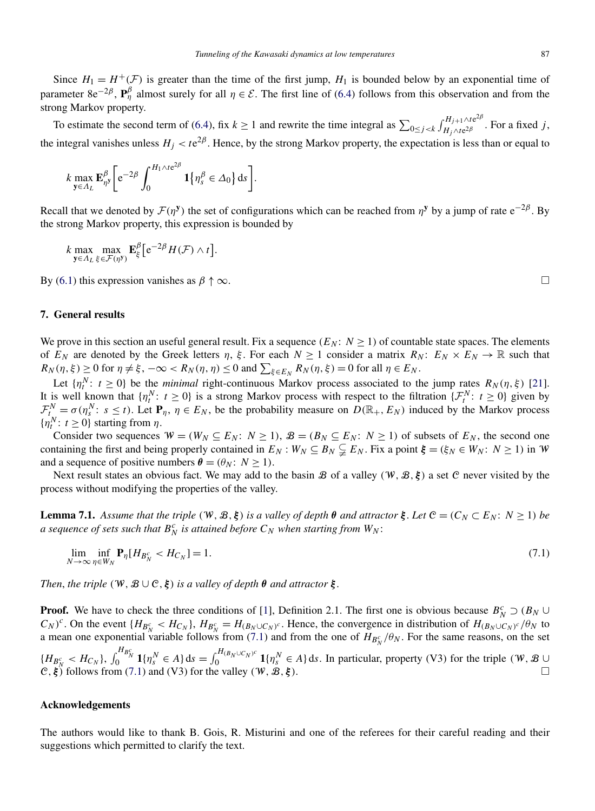<span id="page-28-0"></span>Since  $H_1 = H^+(\mathcal{F})$  is greater than the time of the first jump,  $H_1$  is bounded below by an exponential time of parameter 8e<sup>-2β</sup>,  $\mathbf{P}_{\eta}^{\beta}$  almost surely for all  $\eta \in \mathcal{E}$ . The first line of [\(6.4\)](#page-27-0) follows from this observation and from the strong Markov property.

To estimate the second term of [\(6.4\)](#page-27-0), fix  $k \ge 1$  and rewrite the time integral as  $\sum_{0 \le j < k} \int_{H_j \wedge t e^{2\beta}}^{H_{j+1} \wedge t e^{2\beta}}$ . For a fixed *j*, the integral vanishes unless  $H_j < te^{2\beta}$ . Hence, by the strong Markov property, the expectation is less than or equal to

$$
k \max_{\mathbf{y} \in \Lambda_L} \mathbf{E}_{\eta \mathbf{y}}^{\beta} \bigg[ e^{-2\beta} \int_0^{H_1 \wedge t e^{2\beta}} \mathbf{1} \{ \eta_s^{\beta} \in \Delta_0 \} \, \mathrm{d}s \bigg].
$$

Recall that we denoted by  $\mathcal{F}(\eta^{\mathbf{y}})$  the set of configurations which can be reached from  $\eta^{\mathbf{y}}$  by a jump of rate e<sup>-2*β*</sup>. By the strong Markov property, this expression is bounded by

$$
k \max_{\mathbf{y} \in \Lambda_L} \max_{\xi \in \mathcal{F}(\eta^{\mathbf{y}})} \mathbf{E}_{\xi}^{\beta} \big[ e^{-2\beta} H(\mathcal{F}) \wedge t \big].
$$

By [\(6.1\)](#page-26-0) this expression vanishes as  $\beta \uparrow \infty$ .

### **7. General results**

We prove in this section an useful general result. Fix a sequence  $(E_N: N \ge 1)$  of countable state spaces. The elements of  $E_N$  are denoted by the Greek letters  $\eta$ ,  $\xi$ . For each  $N \ge 1$  consider a matrix  $R_N$ :  $E_N \times E_N \to \mathbb{R}$  such that  $R_N(\eta, \xi) \ge 0$  for  $\eta \ne \xi$ ,  $-\infty < R_N(\eta, \eta) \le 0$  and  $\sum_{\xi \in E_N} R_N(\eta, \xi) = 0$  for all  $\eta \in E_N$ .

Let  $\{\eta_t^N: t \geq 0\}$  be the *minimal* right-continuous Markov process associated to the jump rates  $R_N(\eta, \xi)$  [\[21\]](#page-29-0). It is well known that  $\{\eta_t^N: t \ge 0\}$  is a strong Markov process with respect to the filtration  $\{\mathcal{F}_t^N: t \ge 0\}$  given by  $\mathcal{F}^N_t = \sigma(\eta^N_s : s \le t)$ . Let  $\mathbf{P}_{\eta}, \eta \in E_N$ , be the probability measure on  $D(\mathbb{R}_+, E_N)$  induced by the Markov process  ${n_t^N: t \geq 0}$  starting from *η*.

Consider two sequences  $W = (W_N \subseteq E_N: N \ge 1)$ ,  $\mathcal{B} = (B_N \subseteq E_N: N \ge 1)$  of subsets of  $E_N$ , the second one containing the first and being properly contained in  $E_N$ :  $W_N \subseteq B_N \subseteq E_N$ . Fix a point  $\xi = (\xi_N \in W_N$ :  $N \ge 1$ ) in W and a sequence of positive numbers  $\theta = (\theta_N : N \ge 1)$ .

Next result states an obvious fact. We may add to the basin  $\mathcal B$  of a valley  $(W, \mathcal B, \xi)$  a set C never visited by the process without modifying the properties of the valley.

**Lemma 7.1.** Assume that the triple  $(W, \mathcal{B}, \xi)$  is a valley of depth  $\theta$  and attractor  $\xi$ . Let  $\mathcal{C} = (C_N \subset E_N : N \ge 1)$  be *a* sequence of sets such that  $B_N^c$  is attained before  $C_N$  when starting from  $W_N$ :

$$
\lim_{N \to \infty} \inf_{\eta \in W_N} \mathbf{P}_{\eta} [H_{B_N^c} < H_{C_N}] = 1. \tag{7.1}
$$

*Then, the triple*  $(W, \mathcal{B} \cup \mathcal{C}, \xi)$  *is a valley of depth*  $\theta$  *and attractor*  $\xi$ *.* 

**Proof.** We have to check the three conditions of [\[1\]](#page-29-0), Definition 2.1. The first one is obvious because  $B_N^c \supset (B_N \cup B_N^c)$  $C_N$ <sup>c</sup>. On the event  $\{H_{B_N^c} < H_{C_N}\}\$ ,  $H_{B_N^c} = H_{(B_N \cup C_N)^c}$ . Hence, the convergence in distribution of  $H_{(B_N \cup C_N)^c}/\theta_N$  to a mean one exponential variable follows from (7.1) and from the one of  $H_{B_N^c}/\theta_N$ . For the same reasons, on the set  $\{H_{B_N^c} < H_{C_N}\}\$ ,  $\int_0^{H_{B_N^c}} 1\{\eta_s^N \in A\} ds = \int_0^{H_{(B_N \cup C_N)^c}} 1\{\eta_s^N \in A\} ds$ . In particular, property (V3) for the triple (W, B  $\cup$  $(C, \xi)$  follows from (7.1) and (V3) for the valley  $(W, \mathcal{B}, \xi)$ .

### **Acknowledgements**

The authors would like to thank B. Gois, R. Misturini and one of the referees for their careful reading and their suggestions which permitted to clarify the text.